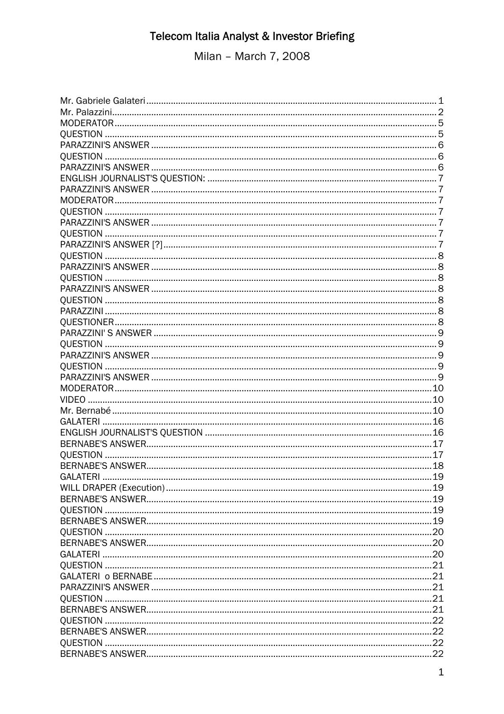Milan - March 7, 2008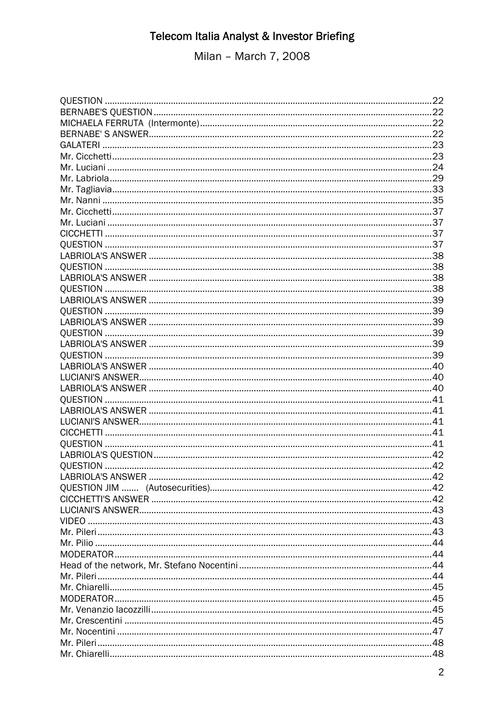Milan - March 7, 2008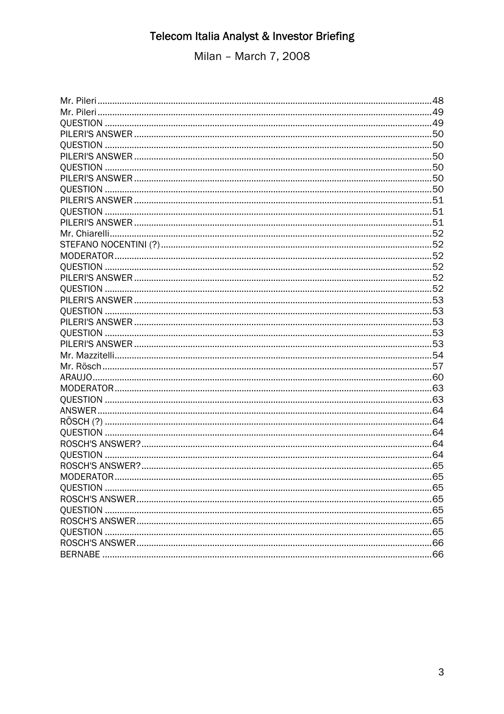Milan - March 7, 2008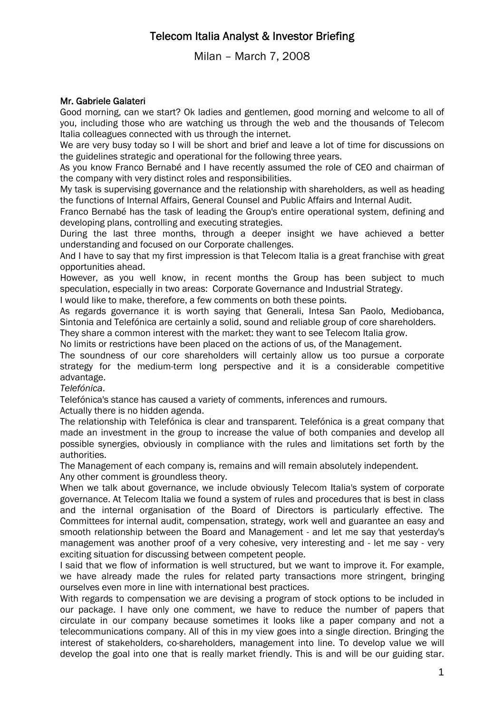Milan – March 7, 2008

### Mr. Gabriele Galateri

Good morning, can we start? Ok ladies and gentlemen, good morning and welcome to all of you, including those who are watching us through the web and the thousands of Telecom Italia colleagues connected with us through the internet.

We are very busy today so I will be short and brief and leave a lot of time for discussions on the guidelines strategic and operational for the following three years.

As you know Franco Bernabé and I have recently assumed the role of CEO and chairman of the company with very distinct roles and responsibilities.

My task is supervising governance and the relationship with shareholders, as well as heading the functions of Internal Affairs, General Counsel and Public Affairs and Internal Audit.

Franco Bernabé has the task of leading the Group's entire operational system, defining and developing plans, controlling and executing strategies.

During the last three months, through a deeper insight we have achieved a better understanding and focused on our Corporate challenges.

And I have to say that my first impression is that Telecom Italia is a great franchise with great opportunities ahead.

However, as you well know, in recent months the Group has been subject to much speculation, especially in two areas: Corporate Governance and Industrial Strategy.

I would like to make, therefore, a few comments on both these points.

As regards governance it is worth saying that Generali, Intesa San Paolo, Mediobanca, Sintonia and Telefónica are certainly a solid, sound and reliable group of core shareholders.

They share a common interest with the market: they want to see Telecom Italia grow.

No limits or restrictions have been placed on the actions of us, of the Management.

The soundness of our core shareholders will certainly allow us too pursue a corporate strategy for the medium-term long perspective and it is a considerable competitive advantage.

*Telefónica*.

Telefónica's stance has caused a variety of comments, inferences and rumours.

Actually there is no hidden agenda.

The relationship with Telefónica is clear and transparent. Telefónica is a great company that made an investment in the group to increase the value of both companies and develop all possible synergies, obviously in compliance with the rules and limitations set forth by the authorities.

The Management of each company is, remains and will remain absolutely independent. Any other comment is groundless theory.

When we talk about governance, we include obviously Telecom Italia's system of corporate governance. At Telecom Italia we found a system of rules and procedures that is best in class and the internal organisation of the Board of Directors is particularly effective. The Committees for internal audit, compensation, strategy, work well and guarantee an easy and smooth relationship between the Board and Management - and let me say that yesterday's management was another proof of a very cohesive, very interesting and - let me say - very exciting situation for discussing between competent people.

I said that we flow of information is well structured, but we want to improve it. For example, we have already made the rules for related party transactions more stringent, bringing ourselves even more in line with international best practices.

With regards to compensation we are devising a program of stock options to be included in our package. I have only one comment, we have to reduce the number of papers that circulate in our company because sometimes it looks like a paper company and not a telecommunications company. All of this in my view goes into a single direction. Bringing the interest of stakeholders, co-shareholders, management into line. To develop value we will develop the goal into one that is really market friendly. This is and will be our guiding star.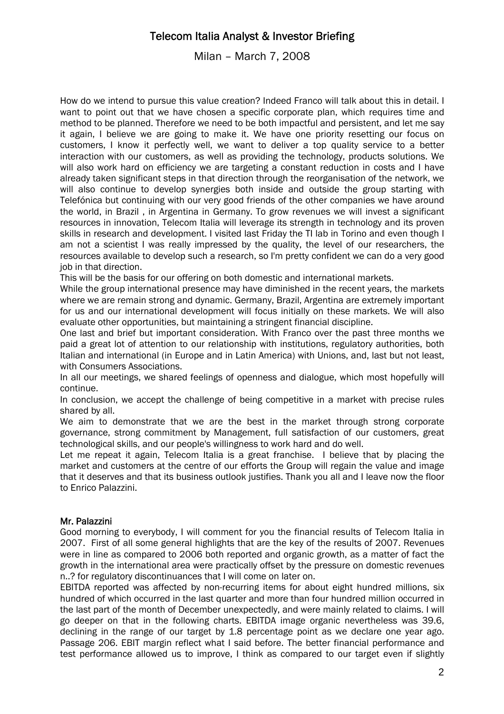Milan – March 7, 2008

How do we intend to pursue this value creation? Indeed Franco will talk about this in detail. I want to point out that we have chosen a specific corporate plan, which requires time and method to be planned. Therefore we need to be both impactful and persistent, and let me say it again, I believe we are going to make it. We have one priority resetting our focus on customers, I know it perfectly well, we want to deliver a top quality service to a better interaction with our customers, as well as providing the technology, products solutions. We will also work hard on efficiency we are targeting a constant reduction in costs and I have already taken significant steps in that direction through the reorganisation of the network, we will also continue to develop synergies both inside and outside the group starting with Telefónica but continuing with our very good friends of the other companies we have around the world, in Brazil , in Argentina in Germany. To grow revenues we will invest a significant resources in innovation, Telecom Italia will leverage its strength in technology and its proven skills in research and development. I visited last Friday the TI lab in Torino and even though I am not a scientist I was really impressed by the quality, the level of our researchers, the resources available to develop such a research, so I'm pretty confident we can do a very good job in that direction.

This will be the basis for our offering on both domestic and international markets.

While the group international presence may have diminished in the recent years, the markets where we are remain strong and dynamic. Germany, Brazil, Argentina are extremely important for us and our international development will focus initially on these markets. We will also evaluate other opportunities, but maintaining a stringent financial discipline.

One last and brief but important consideration. With Franco over the past three months we paid a great lot of attention to our relationship with institutions, regulatory authorities, both Italian and international (in Europe and in Latin America) with Unions, and, last but not least, with Consumers Associations.

In all our meetings, we shared feelings of openness and dialogue, which most hopefully will continue.

In conclusion, we accept the challenge of being competitive in a market with precise rules shared by all.

We aim to demonstrate that we are the best in the market through strong corporate governance, strong commitment by Management, full satisfaction of our customers, great technological skills, and our people's willingness to work hard and do well.

Let me repeat it again, Telecom Italia is a great franchise. I believe that by placing the market and customers at the centre of our efforts the Group will regain the value and image that it deserves and that its business outlook justifies. Thank you all and I leave now the floor to Enrico Palazzini.

### Mr. Palazzini

Good morning to everybody, I will comment for you the financial results of Telecom Italia in 2007. First of all some general highlights that are the key of the results of 2007. Revenues were in line as compared to 2006 both reported and organic growth, as a matter of fact the growth in the international area were practically offset by the pressure on domestic revenues n..? for regulatory discontinuances that I will come on later on.

EBITDA reported was affected by non-recurring items for about eight hundred millions, six hundred of which occurred in the last quarter and more than four hundred million occurred in the last part of the month of December unexpectedly, and were mainly related to claims. I will go deeper on that in the following charts. EBITDA image organic nevertheless was 39.6, declining in the range of our target by 1.8 percentage point as we declare one year ago. Passage 206. EBIT margin reflect what I said before. The better financial performance and test performance allowed us to improve, I think as compared to our target even if slightly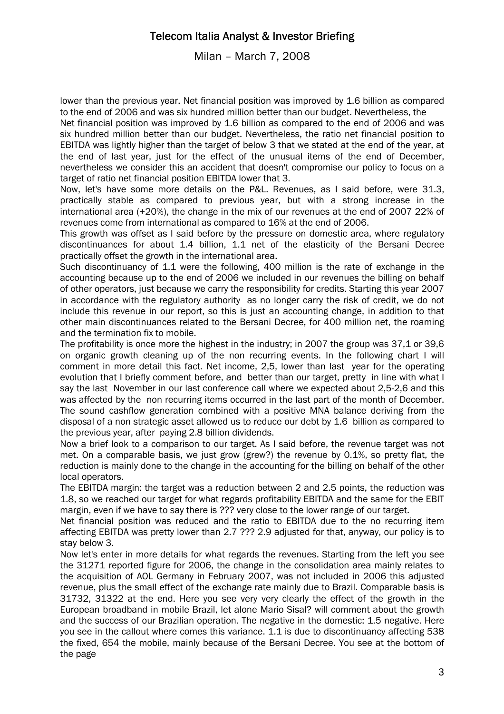Milan – March 7, 2008

lower than the previous year. Net financial position was improved by 1.6 billion as compared to the end of 2006 and was six hundred million better than our budget. Nevertheless, the

Net financial position was improved by 1.6 billion as compared to the end of 2006 and was six hundred million better than our budget. Nevertheless, the ratio net financial position to EBITDA was lightly higher than the target of below 3 that we stated at the end of the year, at the end of last year, just for the effect of the unusual items of the end of December, nevertheless we consider this an accident that doesn't compromise our policy to focus on a target of ratio net financial position EBITDA lower that 3.

Now, let's have some more details on the P&L. Revenues, as I said before, were 31.3, practically stable as compared to previous year, but with a strong increase in the international area (+20%), the change in the mix of our revenues at the end of 2007 22% of revenues come from international as compared to 16% at the end of 2006.

This growth was offset as I said before by the pressure on domestic area, where regulatory discontinuances for about 1.4 billion, 1.1 net of the elasticity of the Bersani Decree practically offset the growth in the international area.

Such discontinuancy of 1.1 were the following, 400 million is the rate of exchange in the accounting because up to the end of 2006 we included in our revenues the billing on behalf of other operators, just because we carry the responsibility for credits. Starting this year 2007 in accordance with the regulatory authority as no longer carry the risk of credit, we do not include this revenue in our report, so this is just an accounting change, in addition to that other main discontinuances related to the Bersani Decree, for 400 million net, the roaming and the termination fix to mobile.

The profitability is once more the highest in the industry; in 2007 the group was 37,1 or 39,6 on organic growth cleaning up of the non recurring events. In the following chart I will comment in more detail this fact. Net income, 2,5, lower than last year for the operating evolution that I briefly comment before, and better than our target, pretty in line with what I say the last November in our last conference call where we expected about 2,5-2,6 and this was affected by the non recurring items occurred in the last part of the month of December. The sound cashflow generation combined with a positive MNA balance deriving from the disposal of a non strategic asset allowed us to reduce our debt by 1.6 billion as compared to the previous year, after paying 2.8 billion dividends.

Now a brief look to a comparison to our target. As I said before, the revenue target was not met. On a comparable basis, we just grow (grew?) the revenue by 0.1%, so pretty flat, the reduction is mainly done to the change in the accounting for the billing on behalf of the other local operators.

The EBITDA margin: the target was a reduction between 2 and 2.5 points, the reduction was 1.8, so we reached our target for what regards profitability EBITDA and the same for the EBIT margin, even if we have to say there is ??? very close to the lower range of our target.

Net financial position was reduced and the ratio to EBITDA due to the no recurring item affecting EBITDA was pretty lower than 2.7 ??? 2.9 adjusted for that, anyway, our policy is to stay below 3.

Now let's enter in more details for what regards the revenues. Starting from the left you see the 31271 reported figure for 2006, the change in the consolidation area mainly relates to the acquisition of AOL Germany in February 2007, was not included in 2006 this adjusted revenue, plus the small effect of the exchange rate mainly due to Brazil. Comparable basis is 31732, 31322 at the end. Here you see very very clearly the effect of the growth in the European broadband in mobile Brazil, let alone Mario Sisal? will comment about the growth and the success of our Brazilian operation. The negative in the domestic: 1.5 negative. Here you see in the callout where comes this variance. 1.1 is due to discontinuancy affecting 538 the fixed, 654 the mobile, mainly because of the Bersani Decree. You see at the bottom of the page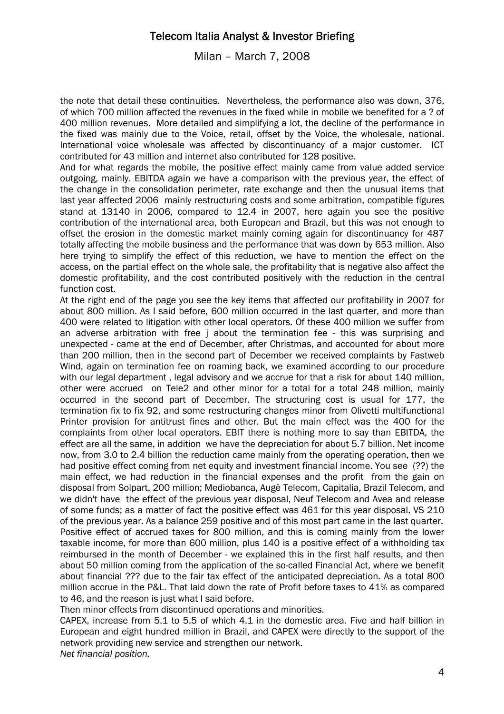Milan – March 7, 2008

the note that detail these continuities. Nevertheless, the performance also was down, 376, of which 700 million affected the revenues in the fixed while in mobile we benefited for a ? of 400 million revenues. More detailed and simplifying a lot, the decline of the performance in the fixed was mainly due to the Voice, retail, offset by the Voice, the wholesale, national. International voice wholesale was affected by discontinuancy of a major customer. ICT contributed for 43 million and internet also contributed for 128 positive.

And for what regards the mobile, the positive effect mainly came from value added service outgoing, mainly. EBITDA again we have a comparison with the previous year, the effect of the change in the consolidation perimeter, rate exchange and then the unusual items that last year affected 2006 mainly restructuring costs and some arbitration, compatible figures stand at 13140 in 2006, compared to 12.4 in 2007, here again you see the positive contribution of the international area, both European and Brazil, but this was not enough to offset the erosion in the domestic market mainly coming again for discontinuancy for 487 totally affecting the mobile business and the performance that was down by 653 million. Also here trying to simplify the effect of this reduction, we have to mention the effect on the access, on the partial effect on the whole sale, the profitability that is negative also affect the domestic profitability, and the cost contributed positively with the reduction in the central function cost.

At the right end of the page you see the key items that affected our profitability in 2007 for about 800 million. As I said before, 600 million occurred in the last quarter, and more than 400 were related to litigation with other local operators. Of these 400 million we suffer from an adverse arbitration with free j about the termination fee - this was surprising and unexpected - came at the end of December, after Christmas, and accounted for about more than 200 million, then in the second part of December we received complaints by Fastweb Wind, again on termination fee on roaming back, we examined according to our procedure with our legal department, legal advisory and we accrue for that a risk for about 140 million, other were accrued on Tele2 and other minor for a total for a total 248 million, mainly occurred in the second part of December. The structuring cost is usual for 177, the termination fix to fix 92, and some restructuring changes minor from Olivetti multifunctional Printer provision for antitrust fines and other. But the main effect was the 400 for the complaints from other local operators. EBIT there is nothing more to say than EBITDA, the effect are all the same, in addition we have the depreciation for about 5.7 billion. Net income now, from 3.0 to 2.4 billion the reduction came mainly from the operating operation, then we had positive effect coming from net equity and investment financial income. You see (??) the main effect, we had reduction in the financial expenses and the profit from the gain on disposal from Solpart, 200 million; Mediobanca, Augè Telecom, Capitalia, Brazil Telecom, and we didn't have the effect of the previous year disposal, Neuf Telecom and Avea and release of some funds; as a matter of fact the positive effect was 461 for this year disposal, VS 210 of the previous year. As a balance 259 positive and of this most part came in the last quarter. Positive effect of accrued taxes for 800 million, and this is coming mainly from the lower taxable income, for more than 600 million, plus 140 is a positive effect of a withholding tax reimbursed in the month of December - we explained this in the first half results, and then about 50 million coming from the application of the so-called Financial Act, where we benefit about financial ??? due to the fair tax effect of the anticipated depreciation. As a total 800 million accrue in the P&L. That laid down the rate of Profit before taxes to 41% as compared to 46, and the reason is just what I said before.

Then minor effects from discontinued operations and minorities.

CAPEX, increase from 5.1 to 5.5 of which 4.1 in the domestic area. Five and half billion in European and eight hundred million in Brazil, and CAPEX were directly to the support of the network providing new service and strengthen our network. *Net financial position.*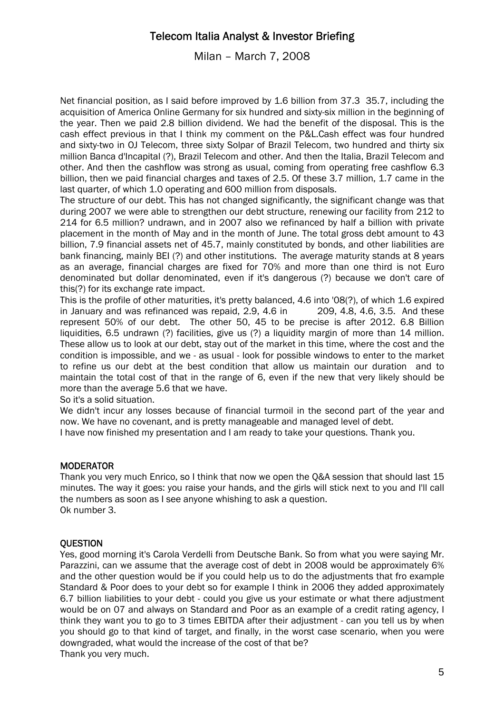Milan – March 7, 2008

Net financial position, as I said before improved by 1.6 billion from 37.3 35.7, including the acquisition of America Online Germany for six hundred and sixty-six million in the beginning of the year. Then we paid 2.8 billion dividend. We had the benefit of the disposal. This is the cash effect previous in that I think my comment on the P&L.Cash effect was four hundred and sixty-two in OJ Telecom, three sixty Solpar of Brazil Telecom, two hundred and thirty six million Banca d'Incapital (?), Brazil Telecom and other. And then the Italia, Brazil Telecom and other. And then the cashflow was strong as usual, coming from operating free cashflow 6.3 billion, then we paid financial charges and taxes of 2.5. Of these 3.7 million, 1.7 came in the last quarter, of which 1.0 operating and 600 million from disposals.

The structure of our debt. This has not changed significantly, the significant change was that during 2007 we were able to strengthen our debt structure, renewing our facility from 212 to 214 for 6.5 million? undrawn, and in 2007 also we refinanced by half a billion with private placement in the month of May and in the month of June. The total gross debt amount to 43 billion, 7.9 financial assets net of 45.7, mainly constituted by bonds, and other liabilities are bank financing, mainly BEI (?) and other institutions. The average maturity stands at 8 years as an average, financial charges are fixed for 70% and more than one third is not Euro denominated but dollar denominated, even if it's dangerous (?) because we don't care of this(?) for its exchange rate impact.

This is the profile of other maturities, it's pretty balanced, 4.6 into '08(?), of which 1.6 expired in January and was refinanced was repaid, 2.9, 4.6 in 209, 4.8, 4.6, 3.5. And these represent 50% of our debt. The other 50, 45 to be precise is after 2012. 6.8 Billion liquidities, 6.5 undrawn (?) facilities, give us (?) a liquidity margin of more than 14 million. These allow us to look at our debt, stay out of the market in this time, where the cost and the condition is impossible, and we - as usual - look for possible windows to enter to the market to refine us our debt at the best condition that allow us maintain our duration and to maintain the total cost of that in the range of 6, even if the new that very likely should be more than the average 5.6 that we have.

So it's a solid situation.

We didn't incur any losses because of financial turmoil in the second part of the year and now. We have no covenant, and is pretty manageable and managed level of debt.

I have now finished my presentation and I am ready to take your questions. Thank you.

### **MODERATOR**

Thank you very much Enrico, so I think that now we open the Q&A session that should last 15 minutes. The way it goes: you raise your hands, and the girls will stick next to you and I'll call the numbers as soon as I see anyone whishing to ask a question. Ok number 3.

### **OUESTION**

Yes, good morning it's Carola Verdelli from Deutsche Bank. So from what you were saying Mr. Parazzini, can we assume that the average cost of debt in 2008 would be approximately 6% and the other question would be if you could help us to do the adjustments that fro example Standard & Poor does to your debt so for example I think in 2006 they added approximately 6.7 billion liabilities to your debt - could you give us your estimate or what there adjustment would be on 07 and always on Standard and Poor as an example of a credit rating agency, I think they want you to go to 3 times EBITDA after their adjustment - can you tell us by when you should go to that kind of target, and finally, in the worst case scenario, when you were downgraded, what would the increase of the cost of that be? Thank you very much.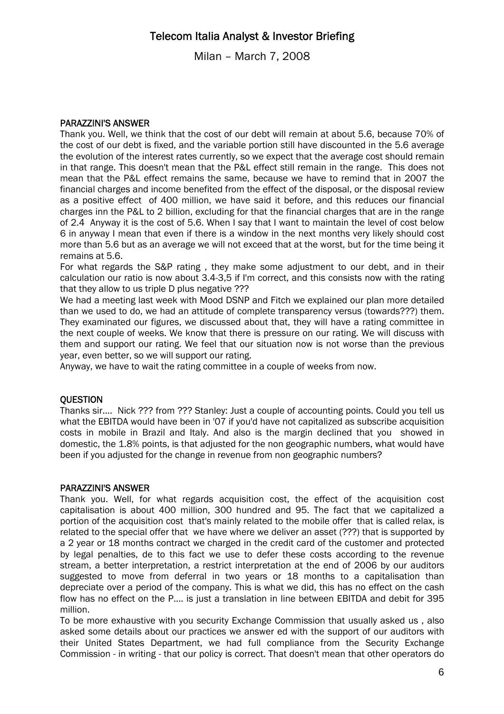Milan – March 7, 2008

### PARAZZINI'S ANSWER

Thank you. Well, we think that the cost of our debt will remain at about 5.6, because 70% of the cost of our debt is fixed, and the variable portion still have discounted in the 5.6 average the evolution of the interest rates currently, so we expect that the average cost should remain in that range. This doesn't mean that the P&L effect still remain in the range. This does not mean that the P&L effect remains the same, because we have to remind that in 2007 the financial charges and income benefited from the effect of the disposal, or the disposal review as a positive effect of 400 million, we have said it before, and this reduces our financial charges inn the P&L to 2 billion, excluding for that the financial charges that are in the range of 2.4 Anyway it is the cost of 5.6. When I say that I want to maintain the level of cost below 6 in anyway I mean that even if there is a window in the next months very likely should cost more than 5.6 but as an average we will not exceed that at the worst, but for the time being it remains at 5.6.

For what regards the S&P rating , they make some adjustment to our debt, and in their calculation our ratio is now about 3.4-3,5 if I'm correct, and this consists now with the rating that they allow to us triple D plus negative ???

We had a meeting last week with Mood DSNP and Fitch we explained our plan more detailed than we used to do, we had an attitude of complete transparency versus (towards???) them. They examinated our figures, we discussed about that, they will have a rating committee in the next couple of weeks. We know that there is pressure on our rating. We will discuss with them and support our rating. We feel that our situation now is not worse than the previous year, even better, so we will support our rating.

Anyway, we have to wait the rating committee in a couple of weeks from now.

### **OUESTION**

Thanks sir.... Nick ??? from ??? Stanley: Just a couple of accounting points. Could you tell us what the EBITDA would have been in '07 if you'd have not capitalized as subscribe acquisition costs in mobile in Brazil and Italy. And also is the margin declined that you showed in domestic, the 1.8% points, is that adjusted for the non geographic numbers, what would have been if you adjusted for the change in revenue from non geographic numbers?

#### PARAZZINI'S ANSWER

Thank you. Well, for what regards acquisition cost, the effect of the acquisition cost capitalisation is about 400 million, 300 hundred and 95. The fact that we capitalized a portion of the acquisition cost that's mainly related to the mobile offer that is called relax, is related to the special offer that we have where we deliver an asset (???) that is supported by a 2 year or 18 months contract we charged in the credit card of the customer and protected by legal penalties, de to this fact we use to defer these costs according to the revenue stream, a better interpretation, a restrict interpretation at the end of 2006 by our auditors suggested to move from deferral in two years or 18 months to a capitalisation than depreciate over a period of the company. This is what we did, this has no effect on the cash flow has no effect on the P.... is just a translation in line between EBITDA and debit for 395 million.

To be more exhaustive with you security Exchange Commission that usually asked us , also asked some details about our practices we answer ed with the support of our auditors with their United States Department, we had full compliance from the Security Exchange Commission - in writing - that our policy is correct. That doesn't mean that other operators do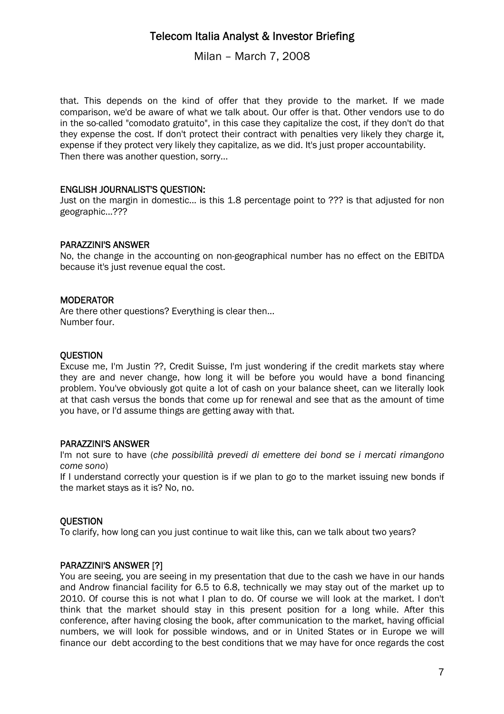Milan – March 7, 2008

that. This depends on the kind of offer that they provide to the market. If we made comparison, we'd be aware of what we talk about. Our offer is that. Other vendors use to do in the so-called "comodato gratuito", in this case they capitalize the cost, if they don't do that they expense the cost. If don't protect their contract with penalties very likely they charge it, expense if they protect very likely they capitalize, as we did. It's just proper accountability. Then there was another question, sorry...

### ENGLISH JOURNALIST'S QUESTION:

Just on the margin in domestic... is this 1.8 percentage point to ??? is that adjusted for non geographic...???

#### PARAZZINI'S ANSWER

No, the change in the accounting on non-geographical number has no effect on the EBITDA because it's just revenue equal the cost.

#### **MODERATOR**

Are there other questions? Everything is clear then... Number four.

#### **OUESTION**

Excuse me, I'm Justin ??, Credit Suisse, I'm just wondering if the credit markets stay where they are and never change, how long it will be before you would have a bond financing problem. You've obviously got quite a lot of cash on your balance sheet, can we literally look at that cash versus the bonds that come up for renewal and see that as the amount of time you have, or I'd assume things are getting away with that.

### PARAZZINI'S ANSWER

I'm not sure to have (*che possibilità prevedi di emettere dei bond se i mercati rimangono come sono*)

If I understand correctly your question is if we plan to go to the market issuing new bonds if the market stays as it is? No, no.

### **OUESTION**

To clarify, how long can you just continue to wait like this, can we talk about two years?

### PARAZZINI'S ANSWER [?]

You are seeing, you are seeing in my presentation that due to the cash we have in our hands and Androw financial facility for 6.5 to 6.8, technically we may stay out of the market up to 2010. Of course this is not what I plan to do. Of course we will look at the market. I don't think that the market should stay in this present position for a long while. After this conference, after having closing the book, after communication to the market, having official numbers, we will look for possible windows, and or in United States or in Europe we will finance our debt according to the best conditions that we may have for once regards the cost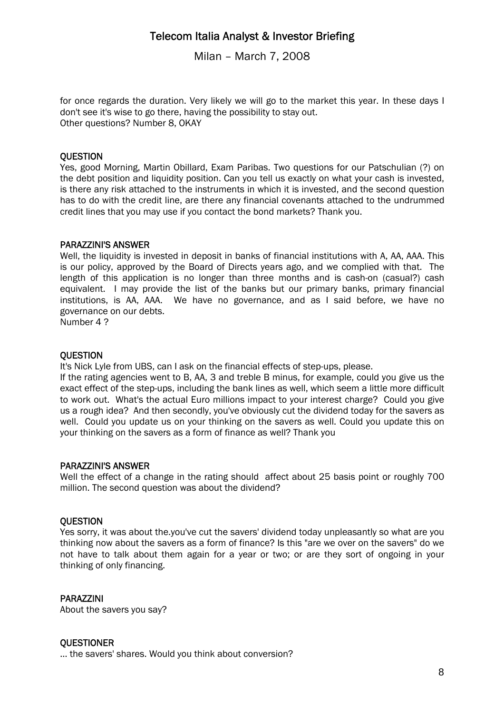Milan – March 7, 2008

for once regards the duration. Very likely we will go to the market this year. In these days I don't see it's wise to go there, having the possibility to stay out. Other questions? Number 8, OKAY

### **OUESTION**

Yes, good Morning, Martin Obillard, Exam Paribas. Two questions for our Patschulian (?) on the debt position and liquidity position. Can you tell us exactly on what your cash is invested, is there any risk attached to the instruments in which it is invested, and the second question has to do with the credit line, are there any financial covenants attached to the undrummed credit lines that you may use if you contact the bond markets? Thank you.

### PARAZZINI'S ANSWER

Well, the liquidity is invested in deposit in banks of financial institutions with A, AA, AAA. This is our policy, approved by the Board of Directs years ago, and we complied with that. The length of this application is no longer than three months and is cash-on (casual?) cash equivalent. I may provide the list of the banks but our primary banks, primary financial institutions, is AA, AAA. We have no governance, and as I said before, we have no governance on our debts.

Number 4 ?

### **OUESTION**

It's Nick Lyle from UBS, can I ask on the financial effects of step-ups, please.

If the rating agencies went to B, AA, 3 and treble B minus, for example, could you give us the exact effect of the step-ups, including the bank lines as well, which seem a little more difficult to work out. What's the actual Euro millions impact to your interest charge? Could you give us a rough idea? And then secondly, you've obviously cut the dividend today for the savers as well. Could you update us on your thinking on the savers as well. Could you update this on your thinking on the savers as a form of finance as well? Thank you

### PARAZZINI'S ANSWER

Well the effect of a change in the rating should affect about 25 basis point or roughly 700 million. The second question was about the dividend?

### **OUESTION**

Yes sorry, it was about the.you've cut the savers' dividend today unpleasantly so what are you thinking now about the savers as a form of finance? Is this "are we over on the savers" do we not have to talk about them again for a year or two; or are they sort of ongoing in your thinking of only financing.

### PARAZZINI

About the savers you say?

### **OUESTIONER**

… the savers' shares. Would you think about conversion?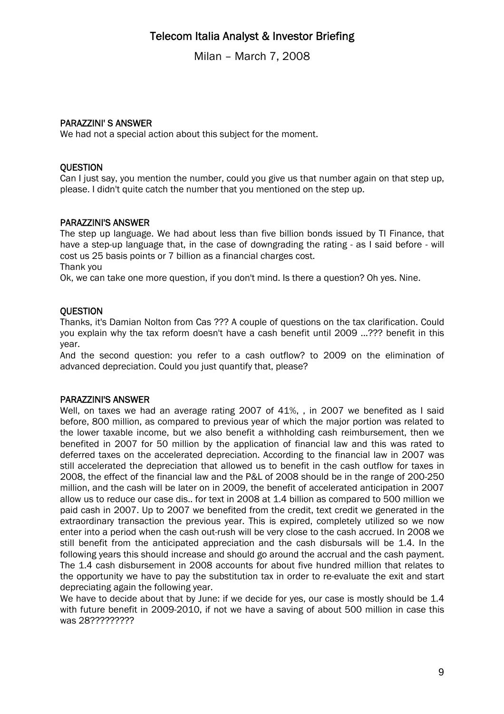Milan – March 7, 2008

### PARAZZINI' S ANSWER

We had not a special action about this subject for the moment.

### **OUESTION**

Can I just say, you mention the number, could you give us that number again on that step up, please. I didn't quite catch the number that you mentioned on the step up.

### PARAZZINI'S ANSWER

The step up language. We had about less than five billion bonds issued by TI Finance, that have a step-up language that, in the case of downgrading the rating - as I said before - will cost us 25 basis points or 7 billion as a financial charges cost. Thank you

Ok, we can take one more question, if you don't mind. Is there a question? Oh yes. Nine.

### **OUESTION**

Thanks, it's Damian Nolton from Cas ??? A couple of questions on the tax clarification. Could you explain why the tax reform doesn't have a cash benefit until 2009 ...??? benefit in this year.

And the second question: you refer to a cash outflow? to 2009 on the elimination of advanced depreciation. Could you just quantify that, please?

### PARAZZINI'S ANSWER

Well, on taxes we had an average rating 2007 of 41%, , in 2007 we benefited as I said before, 800 million, as compared to previous year of which the major portion was related to the lower taxable income, but we also benefit a withholding cash reimbursement, then we benefited in 2007 for 50 million by the application of financial law and this was rated to deferred taxes on the accelerated depreciation. According to the financial law in 2007 was still accelerated the depreciation that allowed us to benefit in the cash outflow for taxes in 2008, the effect of the financial law and the P&L of 2008 should be in the range of 200-250 million, and the cash will be later on in 2009, the benefit of accelerated anticipation in 2007 allow us to reduce our case dis.. for text in 2008 at 1.4 billion as compared to 500 million we paid cash in 2007. Up to 2007 we benefited from the credit, text credit we generated in the extraordinary transaction the previous year. This is expired, completely utilized so we now enter into a period when the cash out-rush will be very close to the cash accrued. In 2008 we still benefit from the anticipated appreciation and the cash disbursals will be 1.4. In the following years this should increase and should go around the accrual and the cash payment. The 1.4 cash disbursement in 2008 accounts for about five hundred million that relates to the opportunity we have to pay the substitution tax in order to re-evaluate the exit and start depreciating again the following year.

We have to decide about that by June: if we decide for yes, our case is mostly should be 1.4 with future benefit in 2009-2010, if not we have a saving of about 500 million in case this was 28?????????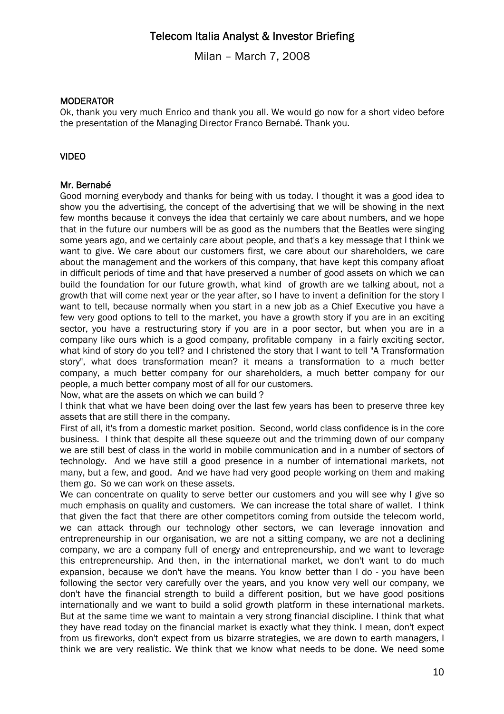Milan – March 7, 2008

### **MODERATOR**

Ok, thank you very much Enrico and thank you all. We would go now for a short video before the presentation of the Managing Director Franco Bernabé. Thank you.

### VIDEO

### Mr. Bernabé

Good morning everybody and thanks for being with us today. I thought it was a good idea to show you the advertising, the concept of the advertising that we will be showing in the next few months because it conveys the idea that certainly we care about numbers, and we hope that in the future our numbers will be as good as the numbers that the Beatles were singing some years ago, and we certainly care about people, and that's a key message that I think we want to give. We care about our customers first, we care about our shareholders, we care about the management and the workers of this company, that have kept this company afloat in difficult periods of time and that have preserved a number of good assets on which we can build the foundation for our future growth, what kind of growth are we talking about, not a growth that will come next year or the year after, so I have to invent a definition for the story I want to tell, because normally when you start in a new job as a Chief Executive you have a few very good options to tell to the market, you have a growth story if you are in an exciting sector, you have a restructuring story if you are in a poor sector, but when you are in a company like ours which is a good company, profitable company in a fairly exciting sector, what kind of story do you tell? and I christened the story that I want to tell "A Transformation story", what does transformation mean? it means a transformation to a much better company, a much better company for our shareholders, a much better company for our people, a much better company most of all for our customers.

Now, what are the assets on which we can build ?

I think that what we have been doing over the last few years has been to preserve three key assets that are still there in the company.

First of all, it's from a domestic market position. Second, world class confidence is in the core business. I think that despite all these squeeze out and the trimming down of our company we are still best of class in the world in mobile communication and in a number of sectors of technology. And we have still a good presence in a number of international markets, not many, but a few, and good. And we have had very good people working on them and making them go. So we can work on these assets.

We can concentrate on quality to serve better our customers and you will see why I give so much emphasis on quality and customers. We can increase the total share of wallet. I think that given the fact that there are other competitors coming from outside the telecom world, we can attack through our technology other sectors, we can leverage innovation and entrepreneurship in our organisation, we are not a sitting company, we are not a declining company, we are a company full of energy and entrepreneurship, and we want to leverage this entrepreneurship. And then, in the international market, we don't want to do much expansion, because we don't have the means. You know better than I do - you have been following the sector very carefully over the years, and you know very well our company, we don't have the financial strength to build a different position, but we have good positions internationally and we want to build a solid growth platform in these international markets. But at the same time we want to maintain a very strong financial discipline. I think that what they have read today on the financial market is exactly what they think. I mean, don't expect from us fireworks, don't expect from us bizarre strategies, we are down to earth managers, I think we are very realistic. We think that we know what needs to be done. We need some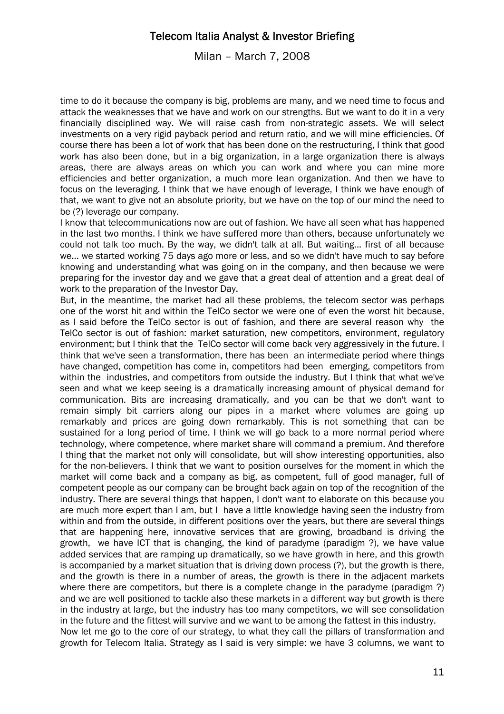Milan – March 7, 2008

time to do it because the company is big, problems are many, and we need time to focus and attack the weaknesses that we have and work on our strengths. But we want to do it in a very financially disciplined way. We will raise cash from non-strategic assets. We will select investments on a very rigid payback period and return ratio, and we will mine efficiencies. Of course there has been a lot of work that has been done on the restructuring, I think that good work has also been done, but in a big organization, in a large organization there is always areas, there are always areas on which you can work and where you can mine more efficiencies and better organization, a much more lean organization. And then we have to focus on the leveraging. I think that we have enough of leverage, I think we have enough of that, we want to give not an absolute priority, but we have on the top of our mind the need to be (?) leverage our company.

I know that telecommunications now are out of fashion. We have all seen what has happened in the last two months. I think we have suffered more than others, because unfortunately we could not talk too much. By the way, we didn't talk at all. But waiting... first of all because we... we started working 75 days ago more or less, and so we didn't have much to say before knowing and understanding what was going on in the company, and then because we were preparing for the investor day and we gave that a great deal of attention and a great deal of work to the preparation of the Investor Day.

But, in the meantime, the market had all these problems, the telecom sector was perhaps one of the worst hit and within the TelCo sector we were one of even the worst hit because, as I said before the TelCo sector is out of fashion, and there are several reason why the TelCo sector is out of fashion: market saturation, new competitors, environment, regulatory environment; but I think that the TelCo sector will come back very aggressively in the future. I think that we've seen a transformation, there has been an intermediate period where things have changed, competition has come in, competitors had been emerging, competitors from within the industries, and competitors from outside the industry. But I think that what we've seen and what we keep seeing is a dramatically increasing amount of physical demand for communication. Bits are increasing dramatically, and you can be that we don't want to remain simply bit carriers along our pipes in a market where volumes are going up remarkably and prices are going down remarkably. This is not something that can be sustained for a long period of time. I think we will go back to a more normal period where technology, where competence, where market share will command a premium. And therefore I thing that the market not only will consolidate, but will show interesting opportunities, also for the non-believers. I think that we want to position ourselves for the moment in which the market will come back and a company as big, as competent, full of good manager, full of competent people as our company can be brought back again on top of the recognition of the industry. There are several things that happen, I don't want to elaborate on this because you are much more expert than I am, but I have a little knowledge having seen the industry from within and from the outside, in different positions over the years, but there are several things that are happening here, innovative services that are growing, broadband is driving the growth, we have ICT that is changing, the kind of paradyme (paradigm ?), we have value added services that are ramping up dramatically, so we have growth in here, and this growth is accompanied by a market situation that is driving down process (?), but the growth is there, and the growth is there in a number of areas, the growth is there in the adjacent markets where there are competitors, but there is a complete change in the paradyme (paradigm?) and we are well positioned to tackle also these markets in a different way but growth is there in the industry at large, but the industry has too many competitors, we will see consolidation in the future and the fittest will survive and we want to be among the fattest in this industry. Now let me go to the core of our strategy, to what they call the pillars of transformation and growth for Telecom Italia. Strategy as I said is very simple: we have 3 columns, we want to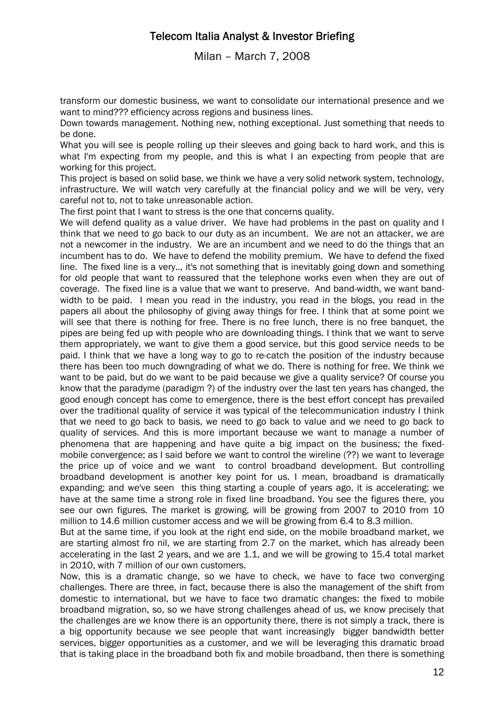Milan – March 7, 2008

transform our domestic business, we want to consolidate our international presence and we want to mind??? efficiency across regions and business lines.

Down towards management. Nothing new, nothing exceptional. Just something that needs to be done.

What you will see is people rolling up their sleeves and going back to hard work, and this is what I'm expecting from my people, and this is what I an expecting from people that are working for this project.

This project is based on solid base, we think we have a very solid network system, technology, infrastructure. We will watch very carefully at the financial policy and we will be very, very careful not to, not to take unreasonable action.

The first point that I want to stress is the one that concerns quality.

We will defend quality as a value driver. We have had problems in the past on quality and I think that we need to go back to our duty as an incumbent. We are not an attacker, we are not a newcomer in the industry. We are an incumbent and we need to do the things that an incumbent has to do. We have to defend the mobility premium. We have to defend the fixed line. The fixed line is a very.., it's not something that is inevitably going down and something for old people that want to reassured that the telephone works even when they are out of coverage. The fixed line is a value that we want to preserve. And band-width, we want bandwidth to be paid. I mean you read in the industry, you read in the blogs, you read in the papers all about the philosophy of giving away things for free. I think that at some point we will see that there is nothing for free. There is no free lunch, there is no free banquet, the pipes are being fed up with people who are downloading things. I think that we want to serve them appropriately, we want to give them a good service, but this good service needs to be paid. I think that we have a long way to go to re-catch the position of the industry because there has been too much downgrading of what we do. There is nothing for free. We think we want to be paid, but do we want to be paid because we give a quality service? Of course you know that the paradyme (paradigm ?) of the industry over the last ten years has changed, the good enough concept has come to emergence, there is the best effort concept has prevailed over the traditional quality of service it was typical of the telecommunication industry I think that we need to go back to basis, we need to go back to value and we need to go back to quality of services. And this is more important because we want to manage a number of phenomena that are happening and have quite a big impact on the business; the fixedmobile convergence; as I said before we want to control the wireline (??) we want to leverage the price up of voice and we want to control broadband development. But controlling broadband development is another key point for us. I mean, broadband is dramatically expanding; and we've seen this thing starting a couple of years ago, it is accelerating; we have at the same time a strong role in fixed line broadband. You see the figures there, you see our own figures. The market is growing, will be growing from 2007 to 2010 from 10 million to 14.6 million customer access and we will be growing from 6.4 to 8.3 million.

But at the same time, if you look at the right end side, on the mobile broadband market, we are starting almost fro nil, we are starting from 2.7 on the market, which has already been accelerating in the last 2 years, and we are 1.1, and we will be growing to 15.4 total market in 2010, with 7 million of our own customers.

Now, this is a dramatic change, so we have to check, we have to face two converging challenges. There are three, in fact, because there is also the management of the shift from domestic to international, but we have to face two dramatic changes: the fixed to mobile broadband migration, so, so we have strong challenges ahead of us, we know precisely that the challenges are we know there is an opportunity there, there is not simply a track, there is a big opportunity because we see people that want increasingly bigger bandwidth better services, bigger opportunities as a customer, and we will be leveraging this dramatic broad that is taking place in the broadband both fix and mobile broadband, then there is something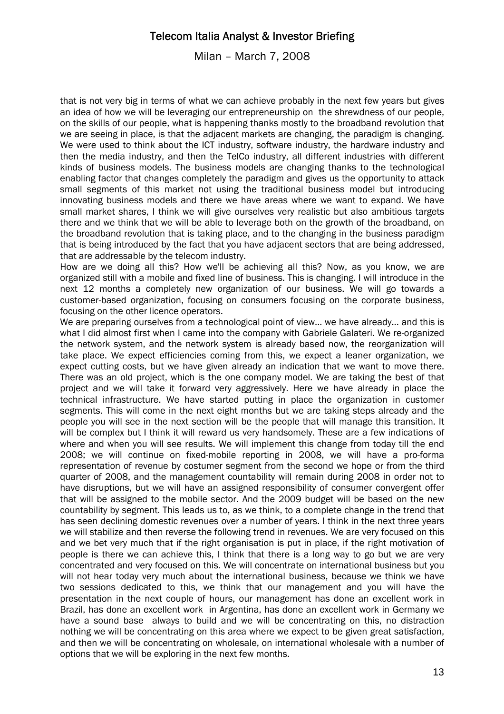Milan – March 7, 2008

that is not very big in terms of what we can achieve probably in the next few years but gives an idea of how we will be leveraging our entrepreneurship on the shrewdness of our people, on the skills of our people, what is happening thanks mostly to the broadband revolution that we are seeing in place, is that the adjacent markets are changing, the paradigm is changing. We were used to think about the ICT industry, software industry, the hardware industry and then the media industry, and then the TelCo industry, all different industries with different kinds of business models. The business models are changing thanks to the technological enabling factor that changes completely the paradigm and gives us the opportunity to attack small segments of this market not using the traditional business model but introducing innovating business models and there we have areas where we want to expand. We have small market shares, I think we will give ourselves very realistic but also ambitious targets there and we think that we will be able to leverage both on the growth of the broadband, on the broadband revolution that is taking place, and to the changing in the business paradigm that is being introduced by the fact that you have adjacent sectors that are being addressed, that are addressable by the telecom industry.

How are we doing all this? How we'll be achieving all this? Now, as you know, we are organized still with a mobile and fixed line of business. This is changing. I will introduce in the next 12 months a completely new organization of our business. We will go towards a customer-based organization, focusing on consumers focusing on the corporate business, focusing on the other licence operators.

We are preparing ourselves from a technological point of view... we have already... and this is what I did almost first when I came into the company with Gabriele Galateri. We re-organized the network system, and the network system is already based now, the reorganization will take place. We expect efficiencies coming from this, we expect a leaner organization, we expect cutting costs, but we have given already an indication that we want to move there. There was an old project, which is the one company model. We are taking the best of that project and we will take it forward very aggressively. Here we have already in place the technical infrastructure. We have started putting in place the organization in customer segments. This will come in the next eight months but we are taking steps already and the people you will see in the next section will be the people that will manage this transition. It will be complex but I think it will reward us very handsomely. These are a few indications of where and when you will see results. We will implement this change from today till the end 2008; we will continue on fixed-mobile reporting in 2008, we will have a pro-forma representation of revenue by costumer segment from the second we hope or from the third quarter of 2008, and the management countability will remain during 2008 in order not to have disruptions, but we will have an assigned responsibility of consumer convergent offer that will be assigned to the mobile sector. And the 2009 budget will be based on the new countability by segment. This leads us to, as we think, to a complete change in the trend that has seen declining domestic revenues over a number of years. I think in the next three years we will stabilize and then reverse the following trend in revenues. We are very focused on this and we bet very much that if the right organisation is put in place, if the right motivation of people is there we can achieve this, I think that there is a long way to go but we are very concentrated and very focused on this. We will concentrate on international business but you will not hear today very much about the international business, because we think we have two sessions dedicated to this, we think that our management and you will have the presentation in the next couple of hours, our management has done an excellent work in Brazil, has done an excellent work in Argentina, has done an excellent work in Germany we have a sound base always to build and we will be concentrating on this, no distraction nothing we will be concentrating on this area where we expect to be given great satisfaction, and then we will be concentrating on wholesale, on international wholesale with a number of options that we will be exploring in the next few months.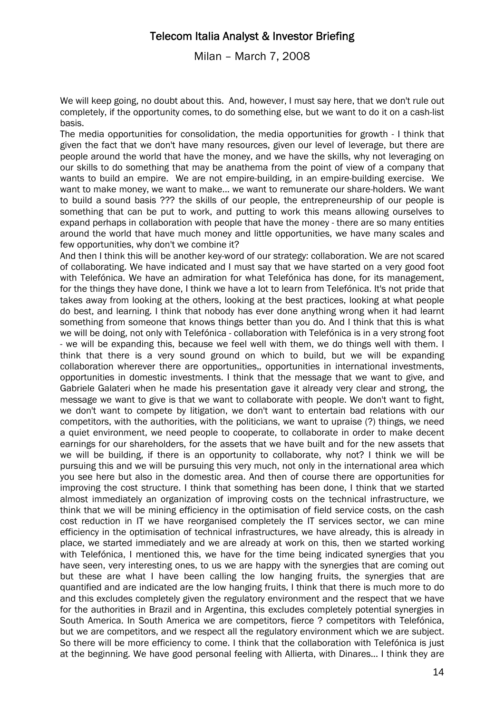Milan – March 7, 2008

We will keep going, no doubt about this. And, however, I must say here, that we don't rule out completely, if the opportunity comes, to do something else, but we want to do it on a cash-list basis.

The media opportunities for consolidation, the media opportunities for growth - I think that given the fact that we don't have many resources, given our level of leverage, but there are people around the world that have the money, and we have the skills, why not leveraging on our skills to do something that may be anathema from the point of view of a company that wants to build an empire. We are not empire-building, in an empire-building exercise. We want to make money, we want to make... we want to remunerate our share-holders. We want to build a sound basis ??? the skills of our people, the entrepreneurship of our people is something that can be put to work, and putting to work this means allowing ourselves to expand perhaps in collaboration with people that have the money - there are so many entities around the world that have much money and little opportunities, we have many scales and few opportunities, why don't we combine it?

And then I think this will be another key-word of our strategy: collaboration. We are not scared of collaborating. We have indicated and I must say that we have started on a very good foot with Telefónica. We have an admiration for what Telefónica has done, for its management, for the things they have done, I think we have a lot to learn from Telefónica. It's not pride that takes away from looking at the others, looking at the best practices, looking at what people do best, and learning. I think that nobody has ever done anything wrong when it had learnt something from someone that knows things better than you do. And I think that this is what we will be doing, not only with Telefónica - collaboration with Telefónica is in a very strong foot - we will be expanding this, because we feel well with them, we do things well with them. I think that there is a very sound ground on which to build, but we will be expanding collaboration wherever there are opportunities,, opportunities in international investments, opportunities in domestic investments. I think that the message that we want to give, and Gabriele Galateri when he made his presentation gave it already very clear and strong, the message we want to give is that we want to collaborate with people. We don't want to fight, we don't want to compete by litigation, we don't want to entertain bad relations with our competitors, with the authorities, with the politicians, we want to upraise (?) things, we need a quiet environment, we need people to cooperate, to collaborate in order to make decent earnings for our shareholders, for the assets that we have built and for the new assets that we will be building, if there is an opportunity to collaborate, why not? I think we will be pursuing this and we will be pursuing this very much, not only in the international area which you see here but also in the domestic area. And then of course there are opportunities for improving the cost structure. I think that something has been done, I think that we started almost immediately an organization of improving costs on the technical infrastructure, we think that we will be mining efficiency in the optimisation of field service costs, on the cash cost reduction in IT we have reorganised completely the IT services sector, we can mine efficiency in the optimisation of technical infrastructures, we have already, this is already in place, we started immediately and we are already at work on this, then we started working with Telefónica, I mentioned this, we have for the time being indicated synergies that you have seen, very interesting ones, to us we are happy with the synergies that are coming out but these are what I have been calling the low hanging fruits, the synergies that are quantified and are indicated are the low hanging fruits, I think that there is much more to do and this excludes completely given the regulatory environment and the respect that we have for the authorities in Brazil and in Argentina, this excludes completely potential synergies in South America. In South America we are competitors, fierce ? competitors with Telefónica, but we are competitors, and we respect all the regulatory environment which we are subject. So there will be more efficiency to come. I think that the collaboration with Telefónica is just at the beginning. We have good personal feeling with Allierta, with Dinares... I think they are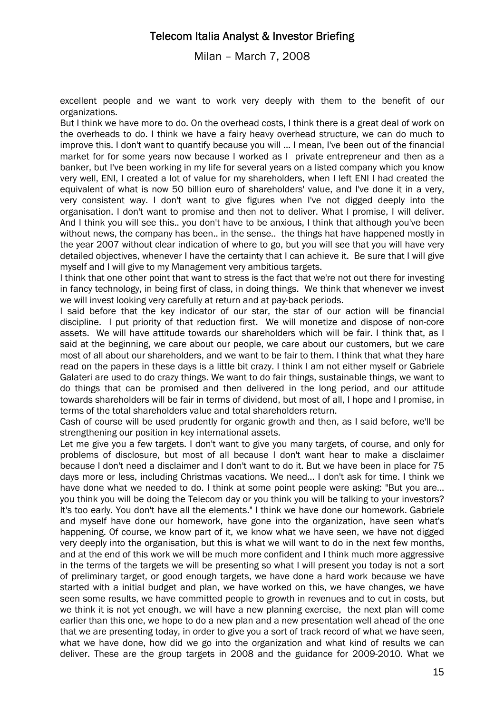Milan – March 7, 2008

excellent people and we want to work very deeply with them to the benefit of our organizations.

But I think we have more to do. On the overhead costs, I think there is a great deal of work on the overheads to do. I think we have a fairy heavy overhead structure, we can do much to improve this. I don't want to quantify because you will ... I mean, I've been out of the financial market for for some years now because I worked as I private entrepreneur and then as a banker, but I've been working in my life for several years on a listed company which you know very well, ENI, I created a lot of value for my shareholders, when I left ENI I had created the equivalent of what is now 50 billion euro of shareholders' value, and I've done it in a very, very consistent way. I don't want to give figures when I've not digged deeply into the organisation. I don't want to promise and then not to deliver. What I promise, I will deliver. And I think you will see this.. you don't have to be anxious, I think that although you've been without news, the company has been.. in the sense.. the things hat have happened mostly in the year 2007 without clear indication of where to go, but you will see that you will have very detailed objectives, whenever I have the certainty that I can achieve it. Be sure that I will give myself and I will give to my Management very ambitious targets.

I think that one other point that want to stress is the fact that we're not out there for investing in fancy technology, in being first of class, in doing things. We think that whenever we invest we will invest looking very carefully at return and at pay-back periods.

I said before that the key indicator of our star, the star of our action will be financial discipline. I put priority of that reduction first. We will monetize and dispose of non-core assets. We will have attitude towards our shareholders which will be fair. I think that, as I said at the beginning, we care about our people, we care about our customers, but we care most of all about our shareholders, and we want to be fair to them. I think that what they hare read on the papers in these days is a little bit crazy. I think I am not either myself or Gabriele Galateri are used to do crazy things. We want to do fair things, sustainable things, we want to do things that can be promised and then delivered in the long period, and our attitude towards shareholders will be fair in terms of dividend, but most of all, I hope and I promise, in terms of the total shareholders value and total shareholders return.

Cash of course will be used prudently for organic growth and then, as I said before, we'll be strengthening our position in key international assets.

Let me give you a few targets. I don't want to give you many targets, of course, and only for problems of disclosure, but most of all because I don't want hear to make a disclaimer because I don't need a disclaimer and I don't want to do it. But we have been in place for 75 days more or less, including Christmas vacations. We need... I don't ask for time. I think we have done what we needed to do. I think at some point people were asking: "But you are... you think you will be doing the Telecom day or you think you will be talking to your investors? It's too early. You don't have all the elements." I think we have done our homework. Gabriele and myself have done our homework, have gone into the organization, have seen what's happening. Of course, we know part of it, we know what we have seen, we have not digged very deeply into the organisation, but this is what we will want to do in the next few months, and at the end of this work we will be much more confident and I think much more aggressive in the terms of the targets we will be presenting so what I will present you today is not a sort of preliminary target, or good enough targets, we have done a hard work because we have started with a initial budget and plan, we have worked on this, we have changes, we have seen some results, we have committed people to growth in revenues and to cut in costs, but we think it is not yet enough, we will have a new planning exercise, the next plan will come earlier than this one, we hope to do a new plan and a new presentation well ahead of the one that we are presenting today, in order to give you a sort of track record of what we have seen, what we have done, how did we go into the organization and what kind of results we can deliver. These are the group targets in 2008 and the guidance for 2009-2010. What we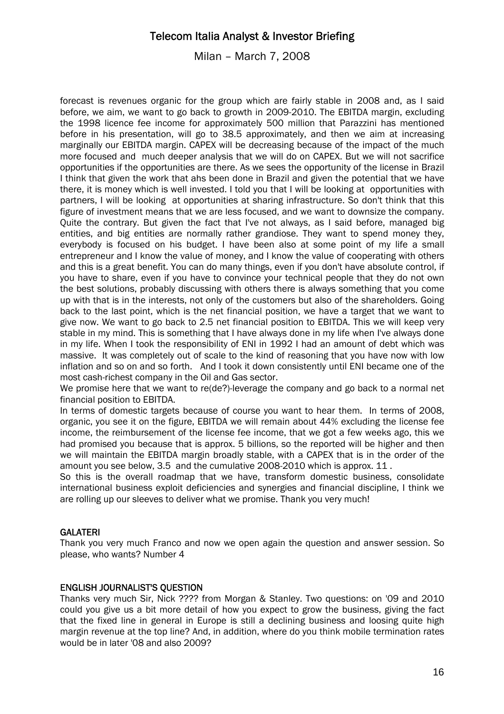Milan – March 7, 2008

forecast is revenues organic for the group which are fairly stable in 2008 and, as I said before, we aim, we want to go back to growth in 2009-2010. The EBITDA margin, excluding the 1998 licence fee income for approximately 500 million that Parazzini has mentioned before in his presentation, will go to 38.5 approximately, and then we aim at increasing marginally our EBITDA margin. CAPEX will be decreasing because of the impact of the much more focused and much deeper analysis that we will do on CAPEX. But we will not sacrifice opportunities if the opportunities are there. As we sees the opportunity of the license in Brazil I think that given the work that ahs been done in Brazil and given the potential that we have there, it is money which is well invested. I told you that I will be looking at opportunities with partners, I will be looking at opportunities at sharing infrastructure. So don't think that this figure of investment means that we are less focused, and we want to downsize the company. Quite the contrary. But given the fact that I've not always, as I said before, managed big entities, and big entities are normally rather grandiose. They want to spend money they, everybody is focused on his budget. I have been also at some point of my life a small entrepreneur and I know the value of money, and I know the value of cooperating with others and this is a great benefit. You can do many things, even if you don't have absolute control, if you have to share, even if you have to convince your technical people that they do not own the best solutions, probably discussing with others there is always something that you come up with that is in the interests, not only of the customers but also of the shareholders. Going back to the last point, which is the net financial position, we have a target that we want to give now. We want to go back to 2.5 net financial position to EBITDA. This we will keep very stable in my mind. This is something that I have always done in my life when I've always done in my life. When I took the responsibility of ENI in 1992 I had an amount of debt which was massive. It was completely out of scale to the kind of reasoning that you have now with low inflation and so on and so forth. And I took it down consistently until ENI became one of the most cash-richest company in the Oil and Gas sector.

We promise here that we want to re(de?)-leverage the company and go back to a normal net financial position to EBITDA.

In terms of domestic targets because of course you want to hear them. In terms of 2008, organic, you see it on the figure, EBITDA we will remain about 44% excluding the license fee income, the reimbursement of the license fee income, that we got a few weeks ago, this we had promised you because that is approx. 5 billions, so the reported will be higher and then we will maintain the EBITDA margin broadly stable, with a CAPEX that is in the order of the amount you see below, 3.5 and the cumulative 2008-2010 which is approx. 11 .

So this is the overall roadmap that we have, transform domestic business, consolidate international business exploit deficiencies and synergies and financial discipline, I think we are rolling up our sleeves to deliver what we promise. Thank you very much!

### GALATERI

Thank you very much Franco and now we open again the question and answer session. So please, who wants? Number 4

### ENGLISH JOURNALIST'S QUESTION

Thanks very much Sir, Nick ???? from Morgan & Stanley. Two questions: on '09 and 2010 could you give us a bit more detail of how you expect to grow the business, giving the fact that the fixed line in general in Europe is still a declining business and loosing quite high margin revenue at the top line? And, in addition, where do you think mobile termination rates would be in later '08 and also 2009?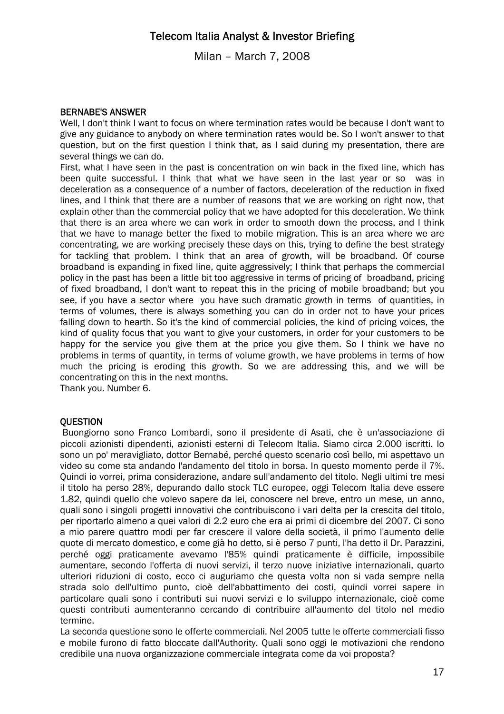Milan – March 7, 2008

### BERNABE'S ANSWER

Well, I don't think I want to focus on where termination rates would be because I don't want to give any guidance to anybody on where termination rates would be. So I won't answer to that question, but on the first question I think that, as I said during my presentation, there are several things we can do.

First, what I have seen in the past is concentration on win back in the fixed line, which has been quite successful. I think that what we have seen in the last year or so was in deceleration as a consequence of a number of factors, deceleration of the reduction in fixed lines, and I think that there are a number of reasons that we are working on right now, that explain other than the commercial policy that we have adopted for this deceleration. We think that there is an area where we can work in order to smooth down the process, and I think that we have to manage better the fixed to mobile migration. This is an area where we are concentrating, we are working precisely these days on this, trying to define the best strategy for tackling that problem. I think that an area of growth, will be broadband. Of course broadband is expanding in fixed line, quite aggressively; I think that perhaps the commercial policy in the past has been a little bit too aggressive in terms of pricing of broadband, pricing of fixed broadband, I don't want to repeat this in the pricing of mobile broadband; but you see, if you have a sector where you have such dramatic growth in terms of quantities, in terms of volumes, there is always something you can do in order not to have your prices falling down to hearth. So it's the kind of commercial policies, the kind of pricing voices, the kind of quality focus that you want to give your customers, in order for your customers to be happy for the service you give them at the price you give them. So I think we have no problems in terms of quantity, in terms of volume growth, we have problems in terms of how much the pricing is eroding this growth. So we are addressing this, and we will be concentrating on this in the next months.

Thank you. Number 6.

### **OUESTION**

 Buongiorno sono Franco Lombardi, sono il presidente di Asati, che è un'associazione di piccoli azionisti dipendenti, azionisti esterni di Telecom Italia. Siamo circa 2.000 iscritti. Io sono un po' meravigliato, dottor Bernabé, perché questo scenario così bello, mi aspettavo un video su come sta andando l'andamento del titolo in borsa. In questo momento perde il 7%. Quindi io vorrei, prima considerazione, andare sull'andamento del titolo. Negli ultimi tre mesi il titolo ha perso 28%, depurando dallo stock TLC europee, oggi Telecom Italia deve essere 1.82, quindi quello che volevo sapere da lei, conoscere nel breve, entro un mese, un anno, quali sono i singoli progetti innovativi che contribuiscono i vari delta per la crescita del titolo, per riportarlo almeno a quei valori di 2.2 euro che era ai primi di dicembre del 2007. Ci sono a mio parere quattro modi per far crescere il valore della società, il primo l'aumento delle quote di mercato domestico, e come già ho detto, si è perso 7 punti, l'ha detto il Dr. Parazzini, perché oggi praticamente avevamo l'85% quindi praticamente è difficile, impossibile aumentare, secondo l'offerta di nuovi servizi, il terzo nuove iniziative internazionali, quarto ulteriori riduzioni di costo, ecco ci auguriamo che questa volta non si vada sempre nella strada solo dell'ultimo punto, cioè dell'abbattimento dei costi, quindi vorrei sapere in particolare quali sono i contributi sui nuovi servizi e lo sviluppo internazionale, cioè come questi contributi aumenteranno cercando di contribuire all'aumento del titolo nel medio termine.

La seconda questione sono le offerte commerciali. Nel 2005 tutte le offerte commerciali fisso e mobile furono di fatto bloccate dall'Authority. Quali sono oggi le motivazioni che rendono credibile una nuova organizzazione commerciale integrata come da voi proposta?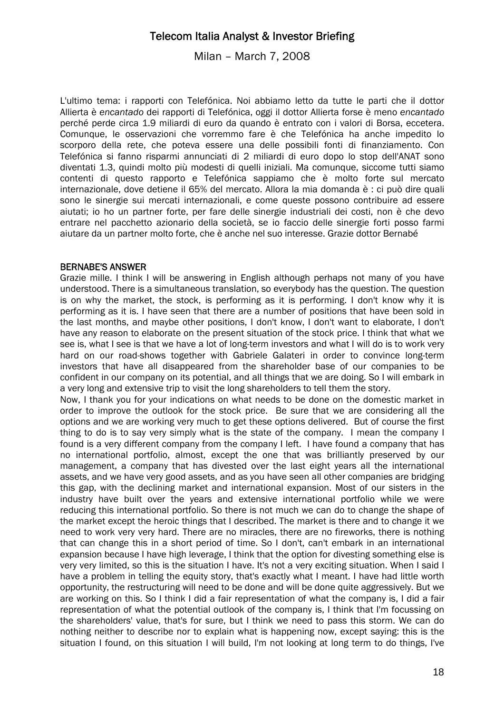Milan – March 7, 2008

L'ultimo tema: i rapporti con Telefónica. Noi abbiamo letto da tutte le parti che il dottor Allierta è *encantado* dei rapporti di Telefónica, oggi il dottor Allierta forse è meno *encantado* perché perde circa 1.9 miliardi di euro da quando è entrato con i valori di Borsa, eccetera. Comunque, le osservazioni che vorremmo fare è che Telefónica ha anche impedito lo scorporo della rete, che poteva essere una delle possibili fonti di finanziamento. Con Telefónica si fanno risparmi annunciati di 2 miliardi di euro dopo lo stop dell'ANAT sono diventati 1.3, quindi molto più modesti di quelli iniziali. Ma comunque, siccome tutti siamo contenti di questo rapporto e Telefónica sappiamo che è molto forte sul mercato internazionale, dove detiene il 65% del mercato. Allora la mia domanda è : ci può dire quali sono le sinergie sui mercati internazionali, e come queste possono contribuire ad essere aiutati; io ho un partner forte, per fare delle sinergie industriali dei costi, non è che devo entrare nel pacchetto azionario della società, se io faccio delle sinergie forti posso farmi aiutare da un partner molto forte, che è anche nel suo interesse. Grazie dottor Bernabé

#### BERNABE'S ANSWER

Grazie mille. I think I will be answering in English although perhaps not many of you have understood. There is a simultaneous translation, so everybody has the question. The question is on why the market, the stock, is performing as it is performing. I don't know why it is performing as it is. I have seen that there are a number of positions that have been sold in the last months, and maybe other positions, I don't know, I don't want to elaborate, I don't have any reason to elaborate on the present situation of the stock price. I think that what we see is, what I see is that we have a lot of long-term investors and what I will do is to work very hard on our road-shows together with Gabriele Galateri in order to convince long-term investors that have all disappeared from the shareholder base of our companies to be confident in our company on its potential, and all things that we are doing. So I will embark in a very long and extensive trip to visit the long shareholders to tell them the story.

Now, I thank you for your indications on what needs to be done on the domestic market in order to improve the outlook for the stock price. Be sure that we are considering all the options and we are working very much to get these options delivered. But of course the first thing to do is to say very simply what is the state of the company. I mean the company I found is a very different company from the company I left. I have found a company that has no international portfolio, almost, except the one that was brilliantly preserved by our management, a company that has divested over the last eight years all the international assets, and we have very good assets, and as you have seen all other companies are bridging this gap, with the declining market and international expansion. Most of our sisters in the industry have built over the years and extensive international portfolio while we were reducing this international portfolio. So there is not much we can do to change the shape of the market except the heroic things that I described. The market is there and to change it we need to work very very hard. There are no miracles, there are no fireworks, there is nothing that can change this in a short period of time. So I don't, can't embark in an international expansion because I have high leverage, I think that the option for divesting something else is very very limited, so this is the situation I have. It's not a very exciting situation. When I said I have a problem in telling the equity story, that's exactly what I meant. I have had little worth opportunity, the restructuring will need to be done and will be done quite aggressively. But we are working on this. So I think I did a fair representation of what the company is, I did a fair representation of what the potential outlook of the company is, I think that I'm focussing on the shareholders' value, that's for sure, but I think we need to pass this storm. We can do nothing neither to describe nor to explain what is happening now, except saying: this is the situation I found, on this situation I will build, I'm not looking at long term to do things, I've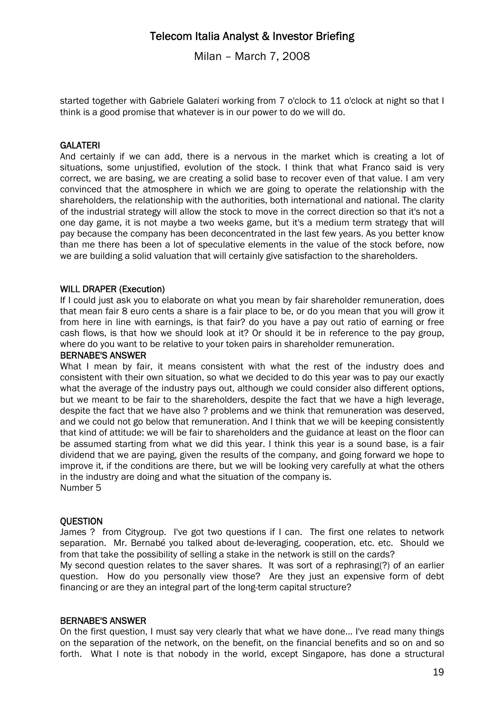Milan – March 7, 2008

started together with Gabriele Galateri working from 7 o'clock to 11 o'clock at night so that I think is a good promise that whatever is in our power to do we will do.

### **GALATERI**

And certainly if we can add, there is a nervous in the market which is creating a lot of situations, some unjustified, evolution of the stock. I think that what Franco said is very correct, we are basing, we are creating a solid base to recover even of that value. I am very convinced that the atmosphere in which we are going to operate the relationship with the shareholders, the relationship with the authorities, both international and national. The clarity of the industrial strategy will allow the stock to move in the correct direction so that it's not a one day game, it is not maybe a two weeks game, but it's a medium term strategy that will pay because the company has been deconcentrated in the last few years. As you better know than me there has been a lot of speculative elements in the value of the stock before, now we are building a solid valuation that will certainly give satisfaction to the shareholders.

#### WILL DRAPER (Execution)

If I could just ask you to elaborate on what you mean by fair shareholder remuneration, does that mean fair 8 euro cents a share is a fair place to be, or do you mean that you will grow it from here in line with earnings, is that fair? do you have a pay out ratio of earning or free cash flows, is that how we should look at it? Or should it be in reference to the pay group, where do you want to be relative to your token pairs in shareholder remuneration.

#### BERNABE'S ANSWER

What I mean by fair, it means consistent with what the rest of the industry does and consistent with their own situation, so what we decided to do this year was to pay our exactly what the average of the industry pays out, although we could consider also different options, but we meant to be fair to the shareholders, despite the fact that we have a high leverage, despite the fact that we have also ? problems and we think that remuneration was deserved, and we could not go below that remuneration. And I think that we will be keeping consistently that kind of attitude: we will be fair to shareholders and the guidance at least on the floor can be assumed starting from what we did this year. I think this year is a sound base, is a fair dividend that we are paying, given the results of the company, and going forward we hope to improve it, if the conditions are there, but we will be looking very carefully at what the others in the industry are doing and what the situation of the company is. Number 5

#### **OUESTION**

James ? from Citygroup. I've got two questions if I can. The first one relates to network separation. Mr. Bernabé you talked about de-leveraging, cooperation, etc. etc. Should we from that take the possibility of selling a stake in the network is still on the cards? My second question relates to the saver shares. It was sort of a rephrasing(?) of an earlier

question. How do you personally view those? Are they just an expensive form of debt financing or are they an integral part of the long-term capital structure?

#### BERNABE'S ANSWER

On the first question, I must say very clearly that what we have done... I've read many things on the separation of the network, on the benefit, on the financial benefits and so on and so forth. What I note is that nobody in the world, except Singapore, has done a structural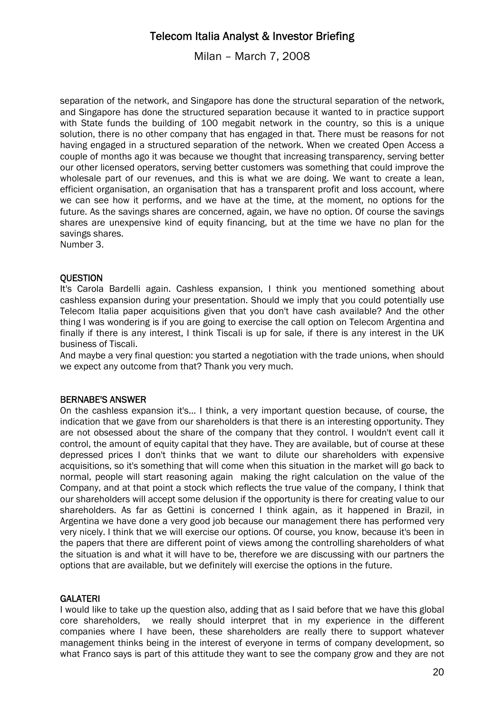Milan – March 7, 2008

separation of the network, and Singapore has done the structural separation of the network, and Singapore has done the structured separation because it wanted to in practice support with State funds the building of 100 megabit network in the country, so this is a unique solution, there is no other company that has engaged in that. There must be reasons for not having engaged in a structured separation of the network. When we created Open Access a couple of months ago it was because we thought that increasing transparency, serving better our other licensed operators, serving better customers was something that could improve the wholesale part of our revenues, and this is what we are doing. We want to create a lean, efficient organisation, an organisation that has a transparent profit and loss account, where we can see how it performs, and we have at the time, at the moment, no options for the future. As the savings shares are concerned, again, we have no option. Of course the savings shares are unexpensive kind of equity financing, but at the time we have no plan for the savings shares.

Number 3.

#### **OUESTION**

It's Carola Bardelli again. Cashless expansion, I think you mentioned something about cashless expansion during your presentation. Should we imply that you could potentially use Telecom Italia paper acquisitions given that you don't have cash available? And the other thing I was wondering is if you are going to exercise the call option on Telecom Argentina and finally if there is any interest, I think Tiscali is up for sale, if there is any interest in the UK business of Tiscali.

And maybe a very final question: you started a negotiation with the trade unions, when should we expect any outcome from that? Thank you very much.

#### BERNABE'S ANSWER

On the cashless expansion it's... I think, a very important question because, of course, the indication that we gave from our shareholders is that there is an interesting opportunity. They are not obsessed about the share of the company that they control. I wouldn't event call it control, the amount of equity capital that they have. They are available, but of course at these depressed prices I don't thinks that we want to dilute our shareholders with expensive acquisitions, so it's something that will come when this situation in the market will go back to normal, people will start reasoning again making the right calculation on the value of the Company, and at that point a stock which reflects the true value of the company, I think that our shareholders will accept some delusion if the opportunity is there for creating value to our shareholders. As far as Gettini is concerned I think again, as it happened in Brazil, in Argentina we have done a very good job because our management there has performed very very nicely. I think that we will exercise our options. Of course, you know, because it's been in the papers that there are different point of views among the controlling shareholders of what the situation is and what it will have to be, therefore we are discussing with our partners the options that are available, but we definitely will exercise the options in the future.

#### **GALATERI**

I would like to take up the question also, adding that as I said before that we have this global core shareholders, we really should interpret that in my experience in the different companies where I have been, these shareholders are really there to support whatever management thinks being in the interest of everyone in terms of company development, so what Franco says is part of this attitude they want to see the company grow and they are not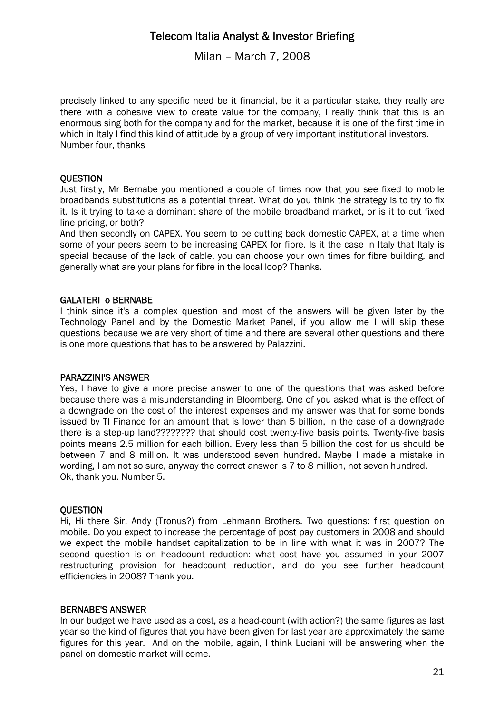Milan – March 7, 2008

precisely linked to any specific need be it financial, be it a particular stake, they really are there with a cohesive view to create value for the company, I really think that this is an enormous sing both for the company and for the market, because it is one of the first time in which in Italy I find this kind of attitude by a group of very important institutional investors. Number four, thanks

#### **OUESTION**

Just firstly, Mr Bernabe you mentioned a couple of times now that you see fixed to mobile broadbands substitutions as a potential threat. What do you think the strategy is to try to fix it. Is it trying to take a dominant share of the mobile broadband market, or is it to cut fixed line pricing, or both?

And then secondly on CAPEX. You seem to be cutting back domestic CAPEX, at a time when some of your peers seem to be increasing CAPEX for fibre. Is it the case in Italy that Italy is special because of the lack of cable, you can choose your own times for fibre building, and generally what are your plans for fibre in the local loop? Thanks.

#### GALATERI o BERNABE

I think since it's a complex question and most of the answers will be given later by the Technology Panel and by the Domestic Market Panel, if you allow me I will skip these questions because we are very short of time and there are several other questions and there is one more questions that has to be answered by Palazzini.

#### PARAZZINI'S ANSWER

Yes, I have to give a more precise answer to one of the questions that was asked before because there was a misunderstanding in Bloomberg. One of you asked what is the effect of a downgrade on the cost of the interest expenses and my answer was that for some bonds issued by TI Finance for an amount that is lower than 5 billion, in the case of a downgrade there is a step-up land???????? that should cost twenty-five basis points. Twenty-five basis points means 2.5 million for each billion. Every less than 5 billion the cost for us should be between 7 and 8 million. It was understood seven hundred. Maybe I made a mistake in wording, I am not so sure, anyway the correct answer is 7 to 8 million, not seven hundred. Ok, thank you. Number 5.

#### **OUESTION**

Hi, Hi there Sir. Andy (Tronus?) from Lehmann Brothers. Two questions: first question on mobile. Do you expect to increase the percentage of post pay customers in 2008 and should we expect the mobile handset capitalization to be in line with what it was in 2007? The second question is on headcount reduction: what cost have you assumed in your 2007 restructuring provision for headcount reduction, and do you see further headcount efficiencies in 2008? Thank you.

#### BERNABE'S ANSWER

In our budget we have used as a cost, as a head-count (with action?) the same figures as last year so the kind of figures that you have been given for last year are approximately the same figures for this year. And on the mobile, again, I think Luciani will be answering when the panel on domestic market will come.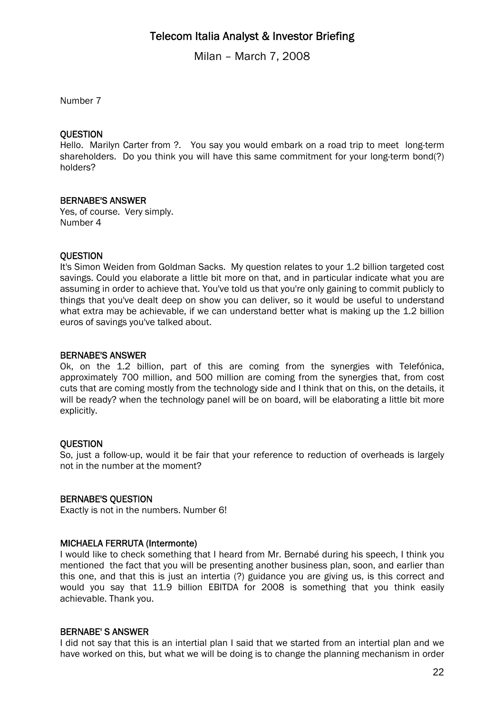Milan – March 7, 2008

Number 7

#### **OUESTION**

Hello. Marilyn Carter from ?. You say you would embark on a road trip to meet long-term shareholders. Do you think you will have this same commitment for your long-term bond(?) holders?

#### BERNABE'S ANSWER

Yes, of course. Very simply. Number 4

#### **OUESTION**

It's Simon Weiden from Goldman Sacks. My question relates to your 1.2 billion targeted cost savings. Could you elaborate a little bit more on that, and in particular indicate what you are assuming in order to achieve that. You've told us that you're only gaining to commit publicly to things that you've dealt deep on show you can deliver, so it would be useful to understand what extra may be achievable, if we can understand better what is making up the 1.2 billion euros of savings you've talked about.

#### BERNABE'S ANSWER

Ok, on the 1.2 billion, part of this are coming from the synergies with Telefónica, approximately 700 million, and 500 million are coming from the synergies that, from cost cuts that are coming mostly from the technology side and I think that on this, on the details, it will be ready? when the technology panel will be on board, will be elaborating a little bit more explicitly.

#### **OUESTION**

So, just a follow-up, would it be fair that your reference to reduction of overheads is largely not in the number at the moment?

#### BERNABE'S QUESTION

Exactly is not in the numbers. Number 6!

### MICHAELA FERRUTA (Intermonte)

I would like to check something that I heard from Mr. Bernabé during his speech, I think you mentioned the fact that you will be presenting another business plan, soon, and earlier than this one, and that this is just an intertia (?) guidance you are giving us, is this correct and would you say that 11.9 billion EBITDA for 2008 is something that you think easily achievable. Thank you.

#### BERNABE' S ANSWER

I did not say that this is an intertial plan I said that we started from an intertial plan and we have worked on this, but what we will be doing is to change the planning mechanism in order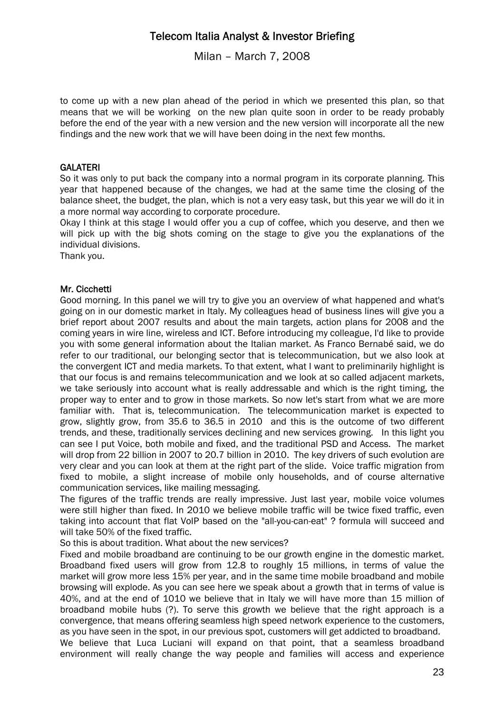Milan – March 7, 2008

to come up with a new plan ahead of the period in which we presented this plan, so that means that we will be working on the new plan quite soon in order to be ready probably before the end of the year with a new version and the new version will incorporate all the new findings and the new work that we will have been doing in the next few months.

### **GALATERI**

So it was only to put back the company into a normal program in its corporate planning. This year that happened because of the changes, we had at the same time the closing of the balance sheet, the budget, the plan, which is not a very easy task, but this year we will do it in a more normal way according to corporate procedure.

Okay I think at this stage I would offer you a cup of coffee, which you deserve, and then we will pick up with the big shots coming on the stage to give you the explanations of the individual divisions.

Thank you.

### Mr. Cicchetti

Good morning. In this panel we will try to give you an overview of what happened and what's going on in our domestic market in Italy. My colleagues head of business lines will give you a brief report about 2007 results and about the main targets, action plans for 2008 and the coming years in wire line, wireless and ICT. Before introducing my colleague, I'd like to provide you with some general information about the Italian market. As Franco Bernabé said, we do refer to our traditional, our belonging sector that is telecommunication, but we also look at the convergent ICT and media markets. To that extent, what I want to preliminarily highlight is that our focus is and remains telecommunication and we look at so called adjacent markets, we take seriously into account what is really addressable and which is the right timing, the proper way to enter and to grow in those markets. So now let's start from what we are more familiar with. That is, telecommunication. The telecommunication market is expected to grow, slightly grow, from 35.6 to 36.5 in 2010 and this is the outcome of two different trends, and these, traditionally services declining and new services growing. In this light you can see I put Voice, both mobile and fixed, and the traditional PSD and Access. The market will drop from 22 billion in 2007 to 20.7 billion in 2010. The key drivers of such evolution are very clear and you can look at them at the right part of the slide. Voice traffic migration from fixed to mobile, a slight increase of mobile only households, and of course alternative communication services, like mailing messaging.

The figures of the traffic trends are really impressive. Just last year, mobile voice volumes were still higher than fixed. In 2010 we believe mobile traffic will be twice fixed traffic, even taking into account that flat VoIP based on the "all-you-can-eat" ? formula will succeed and will take 50% of the fixed traffic.

So this is about tradition. What about the new services?

Fixed and mobile broadband are continuing to be our growth engine in the domestic market. Broadband fixed users will grow from 12.8 to roughly 15 millions, in terms of value the market will grow more less 15% per year, and in the same time mobile broadband and mobile browsing will explode. As you can see here we speak about a growth that in terms of value is 40%, and at the end of 1010 we believe that in Italy we will have more than 15 million of broadband mobile hubs (?). To serve this growth we believe that the right approach is a convergence, that means offering seamless high speed network experience to the customers, as you have seen in the spot, in our previous spot, customers will get addicted to broadband.

We believe that Luca Luciani will expand on that point, that a seamless broadband environment will really change the way people and families will access and experience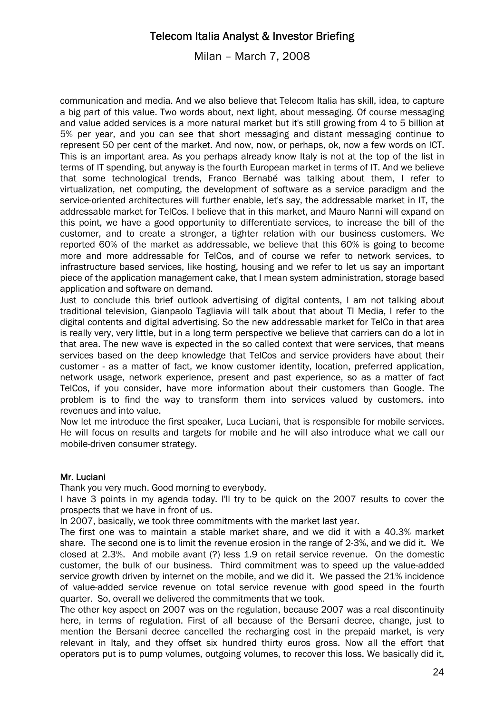Milan – March 7, 2008

communication and media. And we also believe that Telecom Italia has skill, idea, to capture a big part of this value. Two words about, next light, about messaging. Of course messaging and value added services is a more natural market but it's still growing from 4 to 5 billion at 5% per year, and you can see that short messaging and distant messaging continue to represent 50 per cent of the market. And now, now, or perhaps, ok, now a few words on ICT. This is an important area. As you perhaps already know Italy is not at the top of the list in terms of IT spending, but anyway is the fourth European market in terms of IT. And we believe that some technological trends, Franco Bernabé was talking about them, I refer to virtualization, net computing, the development of software as a service paradigm and the service-oriented architectures will further enable, let's say, the addressable market in IT, the addressable market for TelCos. I believe that in this market, and Mauro Nanni will expand on this point, we have a good opportunity to differentiate services, to increase the bill of the customer, and to create a stronger, a tighter relation with our business customers. We reported 60% of the market as addressable, we believe that this 60% is going to become more and more addressable for TelCos, and of course we refer to network services, to infrastructure based services, like hosting, housing and we refer to let us say an important piece of the application management cake, that I mean system administration, storage based application and software on demand.

Just to conclude this brief outlook advertising of digital contents, I am not talking about traditional television, Gianpaolo Tagliavia will talk about that about TI Media, I refer to the digital contents and digital advertising. So the new addressable market for TelCo in that area is really very, very little, but in a long term perspective we believe that carriers can do a lot in that area. The new wave is expected in the so called context that were services, that means services based on the deep knowledge that TelCos and service providers have about their customer - as a matter of fact, we know customer identity, location, preferred application, network usage, network experience, present and past experience, so as a matter of fact TelCos, if you consider, have more information about their customers than Google. The problem is to find the way to transform them into services valued by customers, into revenues and into value.

Now let me introduce the first speaker, Luca Luciani, that is responsible for mobile services. He will focus on results and targets for mobile and he will also introduce what we call our mobile-driven consumer strategy.

### Mr. Luciani

Thank you very much. Good morning to everybody.

I have 3 points in my agenda today. I'll try to be quick on the 2007 results to cover the prospects that we have in front of us.

In 2007, basically, we took three commitments with the market last year.

The first one was to maintain a stable market share, and we did it with a 40.3% market share. The second one is to limit the revenue erosion in the range of 2-3%, and we did it. We closed at 2.3%. And mobile avant (?) less 1.9 on retail service revenue. On the domestic customer, the bulk of our business. Third commitment was to speed up the value-added service growth driven by internet on the mobile, and we did it. We passed the 21% incidence of value-added service revenue on total service revenue with good speed in the fourth quarter. So, overall we delivered the commitments that we took.

The other key aspect on 2007 was on the regulation, because 2007 was a real discontinuity here, in terms of regulation. First of all because of the Bersani decree, change, just to mention the Bersani decree cancelled the recharging cost in the prepaid market, is very relevant in Italy, and they offset six hundred thirty euros gross. Now all the effort that operators put is to pump volumes, outgoing volumes, to recover this loss. We basically did it,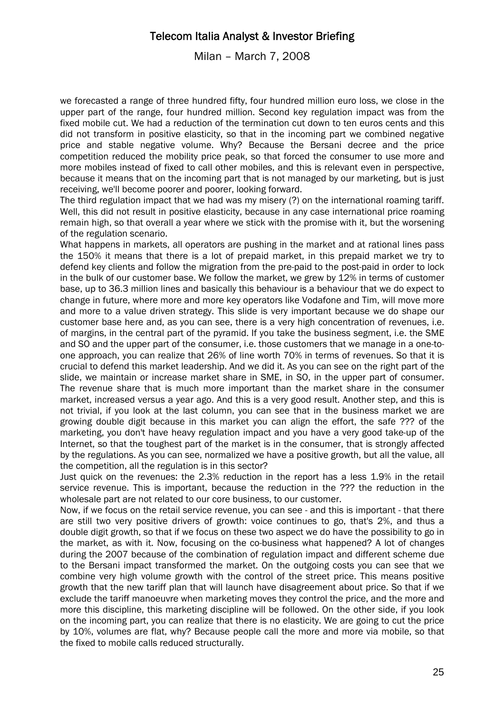Milan – March 7, 2008

we forecasted a range of three hundred fifty, four hundred million euro loss, we close in the upper part of the range, four hundred million. Second key regulation impact was from the fixed mobile cut. We had a reduction of the termination cut down to ten euros cents and this did not transform in positive elasticity, so that in the incoming part we combined negative price and stable negative volume. Why? Because the Bersani decree and the price competition reduced the mobility price peak, so that forced the consumer to use more and more mobiles instead of fixed to call other mobiles, and this is relevant even in perspective, because it means that on the incoming part that is not managed by our marketing, but is just receiving, we'll become poorer and poorer, looking forward.

The third regulation impact that we had was my misery (?) on the international roaming tariff. Well, this did not result in positive elasticity, because in any case international price roaming remain high, so that overall a year where we stick with the promise with it, but the worsening of the regulation scenario.

What happens in markets, all operators are pushing in the market and at rational lines pass the 150% it means that there is a lot of prepaid market, in this prepaid market we try to defend key clients and follow the migration from the pre-paid to the post-paid in order to lock in the bulk of our customer base. We follow the market, we grew by 12% in terms of customer base, up to 36.3 million lines and basically this behaviour is a behaviour that we do expect to change in future, where more and more key operators like Vodafone and Tim, will move more and more to a value driven strategy. This slide is very important because we do shape our customer base here and, as you can see, there is a very high concentration of revenues, i.e. of margins, in the central part of the pyramid. If you take the business segment, i.e. the SME and SO and the upper part of the consumer, i.e. those customers that we manage in a one-toone approach, you can realize that 26% of line worth 70% in terms of revenues. So that it is crucial to defend this market leadership. And we did it. As you can see on the right part of the slide, we maintain or increase market share in SME, in SO, in the upper part of consumer. The revenue share that is much more important than the market share in the consumer market, increased versus a year ago. And this is a very good result. Another step, and this is not trivial, if you look at the last column, you can see that in the business market we are growing double digit because in this market you can align the effort, the safe ??? of the marketing, you don't have heavy regulation impact and you have a very good take-up of the Internet, so that the toughest part of the market is in the consumer, that is strongly affected by the regulations. As you can see, normalized we have a positive growth, but all the value, all the competition, all the regulation is in this sector?

Just quick on the revenues: the 2.3% reduction in the report has a less 1.9% in the retail service revenue. This is important, because the reduction in the ??? the reduction in the wholesale part are not related to our core business, to our customer.

Now, if we focus on the retail service revenue, you can see - and this is important - that there are still two very positive drivers of growth: voice continues to go, that's 2%, and thus a double digit growth, so that if we focus on these two aspect we do have the possibility to go in the market, as with it. Now, focusing on the co-business what happened? A lot of changes during the 2007 because of the combination of regulation impact and different scheme due to the Bersani impact transformed the market. On the outgoing costs you can see that we combine very high volume growth with the control of the street price. This means positive growth that the new tariff plan that will launch have disagreement about price. So that if we exclude the tariff manoeuvre when marketing moves they control the price, and the more and more this discipline, this marketing discipline will be followed. On the other side, if you look on the incoming part, you can realize that there is no elasticity. We are going to cut the price by 10%, volumes are flat, why? Because people call the more and more via mobile, so that the fixed to mobile calls reduced structurally.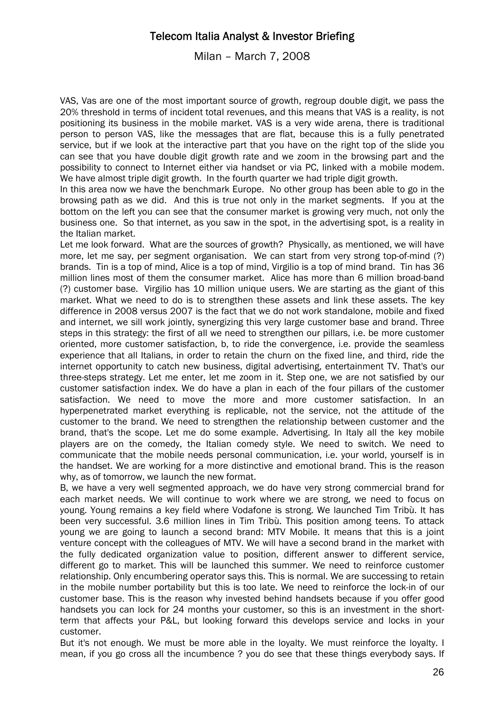Milan – March 7, 2008

VAS, Vas are one of the most important source of growth, regroup double digit, we pass the 20% threshold in terms of incident total revenues, and this means that VAS is a reality, is not positioning its business in the mobile market. VAS is a very wide arena, there is traditional person to person VAS, like the messages that are flat, because this is a fully penetrated service, but if we look at the interactive part that you have on the right top of the slide you can see that you have double digit growth rate and we zoom in the browsing part and the possibility to connect to Internet either via handset or via PC, linked with a mobile modem. We have almost triple digit growth. In the fourth quarter we had triple digit growth.

In this area now we have the benchmark Europe. No other group has been able to go in the browsing path as we did. And this is true not only in the market segments. If you at the bottom on the left you can see that the consumer market is growing very much, not only the business one. So that internet, as you saw in the spot, in the advertising spot, is a reality in the Italian market.

Let me look forward. What are the sources of growth? Physically, as mentioned, we will have more, let me say, per segment organisation. We can start from very strong top-of-mind (?) brands. Tin is a top of mind, Alice is a top of mind, Virgilio is a top of mind brand. Tin has 36 million lines most of them the consumer market. Alice has more than 6 million broad-band (?) customer base. Virgilio has 10 million unique users. We are starting as the giant of this market. What we need to do is to strengthen these assets and link these assets. The key difference in 2008 versus 2007 is the fact that we do not work standalone, mobile and fixed and internet, we sill work jointly, synergizing this very large customer base and brand. Three steps in this strategy: the first of all we need to strengthen our pillars, i.e. be more customer oriented, more customer satisfaction, b, to ride the convergence, i.e. provide the seamless experience that all Italians, in order to retain the churn on the fixed line, and third, ride the internet opportunity to catch new business, digital advertising, entertainment TV. That's our three-steps strategy. Let me enter, let me zoom in it. Step one, we are not satisfied by our customer satisfaction index. We do have a plan in each of the four pillars of the customer satisfaction. We need to move the more and more customer satisfaction. In an hyperpenetrated market everything is replicable, not the service, not the attitude of the customer to the brand. We need to strengthen the relationship between customer and the brand, that's the scope. Let me do some example. Advertising. In Italy all the key mobile players are on the comedy, the Italian comedy style. We need to switch. We need to communicate that the mobile needs personal communication, i.e. your world, yourself is in the handset. We are working for a more distinctive and emotional brand. This is the reason why, as of tomorrow, we launch the new format.

B, we have a very well segmented approach, we do have very strong commercial brand for each market needs. We will continue to work where we are strong, we need to focus on young. Young remains a key field where Vodafone is strong. We launched Tim Tribù. It has been very successful. 3.6 million lines in Tim Tribù. This position among teens. To attack young we are going to launch a second brand: MTV Mobile. It means that this is a joint venture concept with the colleagues of MTV. We will have a second brand in the market with the fully dedicated organization value to position, different answer to different service, different go to market. This will be launched this summer. We need to reinforce customer relationship. Only encumbering operator says this. This is normal. We are successing to retain in the mobile number portability but this is too late. We need to reinforce the lock-in of our customer base. This is the reason why invested behind handsets because if you offer good handsets you can lock for 24 months your customer, so this is an investment in the shortterm that affects your P&L, but looking forward this develops service and locks in your customer.

But it's not enough. We must be more able in the loyalty. We must reinforce the loyalty. I mean, if you go cross all the incumbence ? you do see that these things everybody says. If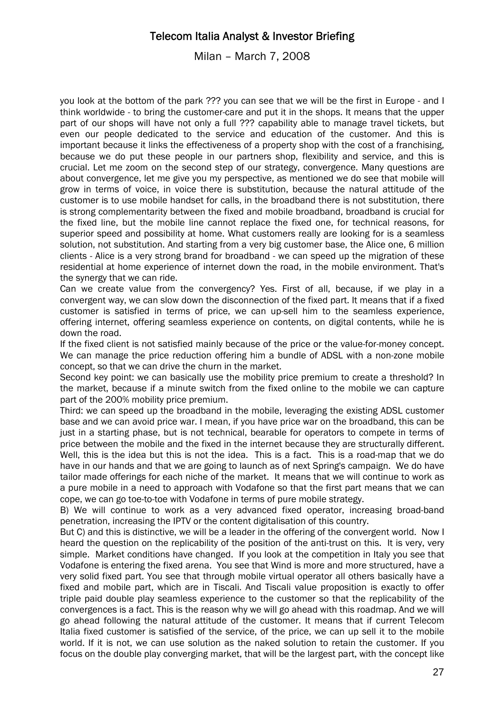Milan – March 7, 2008

you look at the bottom of the park ??? you can see that we will be the first in Europe - and I think worldwide - to bring the customer-care and put it in the shops. It means that the upper part of our shops will have not only a full ??? capability able to manage travel tickets, but even our people dedicated to the service and education of the customer. And this is important because it links the effectiveness of a property shop with the cost of a franchising, because we do put these people in our partners shop, flexibility and service, and this is crucial. Let me zoom on the second step of our strategy, convergence. Many questions are about convergence, let me give you my perspective, as mentioned we do see that mobile will grow in terms of voice, in voice there is substitution, because the natural attitude of the customer is to use mobile handset for calls, in the broadband there is not substitution, there is strong complementarity between the fixed and mobile broadband, broadband is crucial for the fixed line, but the mobile line cannot replace the fixed one, for technical reasons, for superior speed and possibility at home. What customers really are looking for is a seamless solution, not substitution. And starting from a very big customer base, the Alice one, 6 million clients - Alice is a very strong brand for broadband - we can speed up the migration of these residential at home experience of internet down the road, in the mobile environment. That's the synergy that we can ride.

Can we create value from the convergency? Yes. First of all, because, if we play in a convergent way, we can slow down the disconnection of the fixed part. It means that if a fixed customer is satisfied in terms of price, we can up-sell him to the seamless experience, offering internet, offering seamless experience on contents, on digital contents, while he is down the road.

If the fixed client is not satisfied mainly because of the price or the value-for-money concept. We can manage the price reduction offering him a bundle of ADSL with a non-zone mobile concept, so that we can drive the churn in the market.

Second key point: we can basically use the mobility price premium to create a threshold? In the market, because if a minute switch from the fixed online to the mobile we can capture part of the 200% mobility price premium.

Third: we can speed up the broadband in the mobile, leveraging the existing ADSL customer base and we can avoid price war. I mean, if you have price war on the broadband, this can be just in a starting phase, but is not technical, bearable for operators to compete in terms of price between the mobile and the fixed in the internet because they are structurally different. Well, this is the idea but this is not the idea. This is a fact. This is a road-map that we do have in our hands and that we are going to launch as of next Spring's campaign. We do have tailor made offerings for each niche of the market. It means that we will continue to work as a pure mobile in a need to approach with Vodafone so that the first part means that we can cope, we can go toe-to-toe with Vodafone in terms of pure mobile strategy.

B) We will continue to work as a very advanced fixed operator, increasing broad-band penetration, increasing the IPTV or the content digitalisation of this country.

But C) and this is distinctive, we will be a leader in the offering of the convergent world. Now I heard the question on the replicability of the position of the anti-trust on this. It is very, very simple. Market conditions have changed. If you look at the competition in Italy you see that Vodafone is entering the fixed arena. You see that Wind is more and more structured, have a very solid fixed part. You see that through mobile virtual operator all others basically have a fixed and mobile part, which are in Tiscali. And Tiscali value proposition is exactly to offer triple paid double play seamless experience to the customer so that the replicability of the convergences is a fact. This is the reason why we will go ahead with this roadmap. And we will go ahead following the natural attitude of the customer. It means that if current Telecom Italia fixed customer is satisfied of the service, of the price, we can up sell it to the mobile world. If it is not, we can use solution as the naked solution to retain the customer. If you focus on the double play converging market, that will be the largest part, with the concept like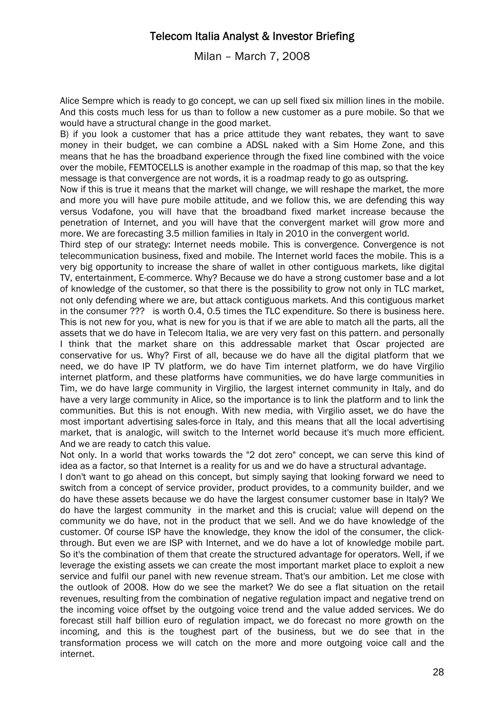Milan – March 7, 2008

Alice Sempre which is ready to go concept, we can up sell fixed six million lines in the mobile. And this costs much less for us than to follow a new customer as a pure mobile. So that we would have a structural change in the good market.

B) if you look a customer that has a price attitude they want rebates, they want to save money in their budget, we can combine a ADSL naked with a Sim Home Zone, and this means that he has the broadband experience through the fixed line combined with the voice over the mobile, FEMTOCELLS is another example in the roadmap of this map, so that the key message is that convergence are not words, it is a roadmap ready to go as outspring.

Now if this is true it means that the market will change, we will reshape the market, the more and more you will have pure mobile attitude, and we follow this, we are defending this way versus Vodafone, you will have that the broadband fixed market increase because the penetration of Internet, and you will have that the convergent market will grow more and more. We are forecasting 3.5 million families in Italy in 2010 in the convergent world.

Third step of our strategy: Internet needs mobile. This is convergence. Convergence is not telecommunication business, fixed and mobile. The Internet world faces the mobile. This is a very big opportunity to increase the share of wallet in other contiguous markets, like digital TV, entertainment, E-commerce. Why? Because we do have a strong customer base and a lot of knowledge of the customer, so that there is the possibility to grow not only in TLC market, not only defending where we are, but attack contiguous markets. And this contiguous market in the consumer ??? is worth 0.4, 0.5 times the TLC expenditure. So there is business here. This is not new for you, what is new for you is that if we are able to match all the parts, all the assets that we do have in Telecom Italia, we are very very fast on this pattern. and personally I think that the market share on this addressable market that Oscar projected are conservative for us. Why? First of all, because we do have all the digital platform that we need, we do have IP TV platform, we do have Tim internet platform, we do have Virgilio internet platform, and these platforms have communities, we do have large communities in Tim, we do have large community in Virgilio, the largest internet community in Italy, and do have a very large community in Alice, so the importance is to link the platform and to link the communities. But this is not enough. With new media, with Virgilio asset, we do have the most important advertising sales-force in Italy, and this means that all the local advertising market, that is analogic, will switch to the Internet world because it's much more efficient. And we are ready to catch this value.

Not only. In a world that works towards the "2 dot zero" concept, we can serve this kind of idea as a factor, so that Internet is a reality for us and we do have a structural advantage.

I don't want to go ahead on this concept, but simply saying that looking forward we need to switch from a concept of service provider, product provides, to a community builder, and we do have these assets because we do have the largest consumer customer base in Italy? We do have the largest community in the market and this is crucial; value will depend on the community we do have, not in the product that we sell. And we do have knowledge of the customer. Of course ISP have the knowledge, they know the idol of the consumer, the clickthrough. But even we are ISP with Internet, and we do have a lot of knowledge mobile part. So it's the combination of them that create the structured advantage for operators. Well, if we leverage the existing assets we can create the most important market place to exploit a new service and fulfil our panel with new revenue stream. That's our ambition. Let me close with the outlook of 2008. How do we see the market? We do see a flat situation on the retail revenues, resulting from the combination of negative regulation impact and negative trend on the incoming voice offset by the outgoing voice trend and the value added services. We do forecast still half billion euro of regulation impact, we do forecast no more growth on the incoming, and this is the toughest part of the business, but we do see that in the transformation process we will catch on the more and more outgoing voice call and the internet.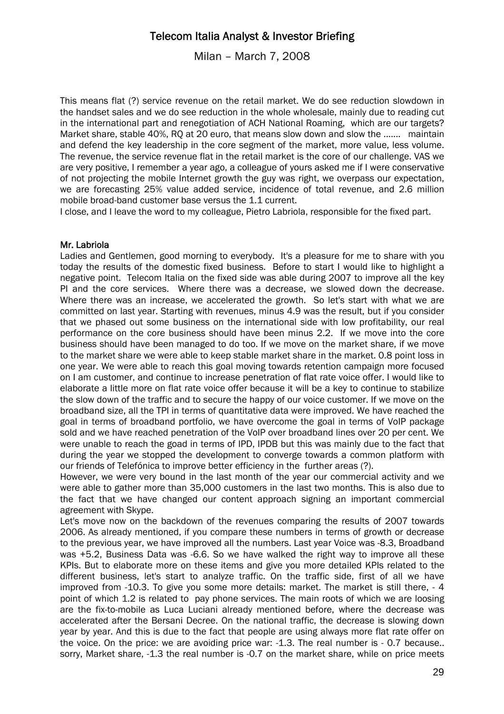Milan – March 7, 2008

This means flat (?) service revenue on the retail market. We do see reduction slowdown in the handset sales and we do see reduction in the whole wholesale, mainly due to reading cut in the international part and renegotiation of ACH National Roaming, which are our targets? Market share, stable 40%, RQ at 20 euro, that means slow down and slow the ....... maintain and defend the key leadership in the core segment of the market, more value, less volume. The revenue, the service revenue flat in the retail market is the core of our challenge. VAS we are very positive, I remember a year ago, a colleague of yours asked me if I were conservative of not projecting the mobile Internet growth the guy was right, we overpass our expectation, we are forecasting 25% value added service, incidence of total revenue, and 2.6 million mobile broad-band customer base versus the 1.1 current.

I close, and I leave the word to my colleague, Pietro Labriola, responsible for the fixed part.

### Mr. Labriola

Ladies and Gentlemen, good morning to everybody. It's a pleasure for me to share with you today the results of the domestic fixed business. Before to start I would like to highlight a negative point. Telecom Italia on the fixed side was able during 2007 to improve all the key PI and the core services. Where there was a decrease, we slowed down the decrease. Where there was an increase, we accelerated the growth. So let's start with what we are committed on last year. Starting with revenues, minus 4.9 was the result, but if you consider that we phased out some business on the international side with low profitability, our real performance on the core business should have been minus 2.2. If we move into the core business should have been managed to do too. If we move on the market share, if we move to the market share we were able to keep stable market share in the market. 0.8 point loss in one year. We were able to reach this goal moving towards retention campaign more focused on I am customer, and continue to increase penetration of flat rate voice offer. I would like to elaborate a little more on flat rate voice offer because it will be a key to continue to stabilize the slow down of the traffic and to secure the happy of our voice customer. If we move on the broadband size, all the TPI in terms of quantitative data were improved. We have reached the goal in terms of broadband portfolio, we have overcome the goal in terms of VoIP package sold and we have reached penetration of the VoIP over broadband lines over 20 per cent. We were unable to reach the goad in terms of IPD, IPDB but this was mainly due to the fact that during the year we stopped the development to converge towards a common platform with our friends of Telefónica to improve better efficiency in the further areas (?).

However, we were very bound in the last month of the year our commercial activity and we were able to gather more than 35,000 customers in the last two months. This is also due to the fact that we have changed our content approach signing an important commercial agreement with Skype.

Let's move now on the backdown of the revenues comparing the results of 2007 towards 2006. As already mentioned, if you compare these numbers in terms of growth or decrease to the previous year, we have improved all the numbers. Last year Voice was -8.3, Broadband was +5.2, Business Data was -6.6. So we have walked the right way to improve all these KPIs. But to elaborate more on these items and give you more detailed KPIs related to the different business, let's start to analyze traffic. On the traffic side, first of all we have improved from -10.3. To give you some more details: market. The market is still there, - 4 point of which 1.2 is related to pay phone services. The main roots of which we are loosing are the fix-to-mobile as Luca Luciani already mentioned before, where the decrease was accelerated after the Bersani Decree. On the national traffic, the decrease is slowing down year by year. And this is due to the fact that people are using always more flat rate offer on the voice. On the price: we are avoiding price war: -1.3. The real number is - 0.7 because.. sorry, Market share, -1.3 the real number is -0.7 on the market share, while on price meets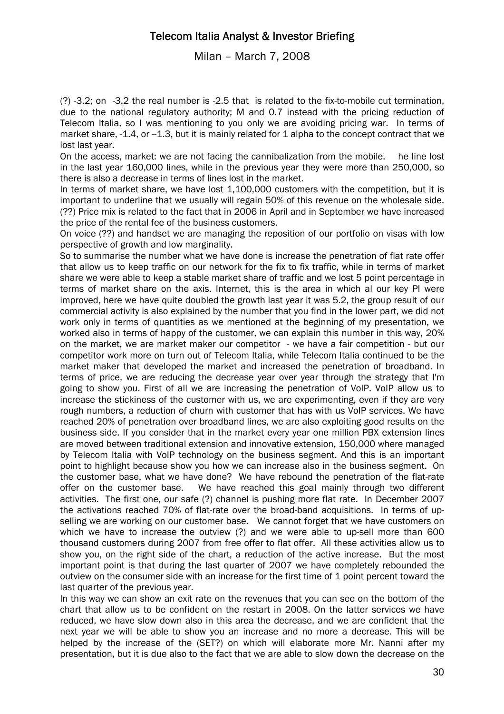### Milan – March 7, 2008

(?) -3.2; on -3.2 the real number is -2.5 that is related to the fix-to-mobile cut termination, due to the national regulatory authority; M and 0.7 instead with the pricing reduction of Telecom Italia, so I was mentioning to you only we are avoiding pricing war. In terms of market share, -1.4, or --1.3, but it is mainly related for 1 alpha to the concept contract that we lost last year.

On the access, market: we are not facing the cannibalization from the mobile. he line lost in the last year 160,000 lines, while in the previous year they were more than 250,000, so there is also a decrease in terms of lines lost in the market.

In terms of market share, we have lost 1,100,000 customers with the competition, but it is important to underline that we usually will regain 50% of this revenue on the wholesale side. (??) Price mix is related to the fact that in 2006 in April and in September we have increased the price of the rental fee of the business customers.

On voice (??) and handset we are managing the reposition of our portfolio on visas with low perspective of growth and low marginality.

So to summarise the number what we have done is increase the penetration of flat rate offer that allow us to keep traffic on our network for the fix to fix traffic, while in terms of market share we were able to keep a stable market share of traffic and we lost 5 point percentage in terms of market share on the axis. Internet, this is the area in which al our key PI were improved, here we have quite doubled the growth last year it was 5.2, the group result of our commercial activity is also explained by the number that you find in the lower part, we did not work only in terms of quantities as we mentioned at the beginning of my presentation, we worked also in terms of happy of the customer, we can explain this number in this way, 20% on the market, we are market maker our competitor - we have a fair competition - but our competitor work more on turn out of Telecom Italia, while Telecom Italia continued to be the market maker that developed the market and increased the penetration of broadband. In terms of price, we are reducing the decrease year over year through the strategy that I'm going to show you. First of all we are increasing the penetration of VoIP. VoIP allow us to increase the stickiness of the customer with us, we are experimenting, even if they are very rough numbers, a reduction of churn with customer that has with us VoIP services. We have reached 20% of penetration over broadband lines, we are also exploiting good results on the business side. If you consider that in the market every year one million PBX extension lines are moved between traditional extension and innovative extension, 150,000 where managed by Telecom Italia with VoIP technology on the business segment. And this is an important point to highlight because show you how we can increase also in the business segment. On the customer base, what we have done? We have rebound the penetration of the flat-rate offer on the customer base. We have reached this goal mainly through two different activities. The first one, our safe (?) channel is pushing more flat rate. In December 2007 the activations reached 70% of flat-rate over the broad-band acquisitions. In terms of upselling we are working on our customer base. We cannot forget that we have customers on which we have to increase the outview (?) and we were able to up-sell more than 600 thousand customers during 2007 from free offer to flat offer. All these activities allow us to show you, on the right side of the chart, a reduction of the active increase. But the most important point is that during the last quarter of 2007 we have completely rebounded the outview on the consumer side with an increase for the first time of 1 point percent toward the last quarter of the previous year.

In this way we can show an exit rate on the revenues that you can see on the bottom of the chart that allow us to be confident on the restart in 2008. On the latter services we have reduced, we have slow down also in this area the decrease, and we are confident that the next year we will be able to show you an increase and no more a decrease. This will be helped by the increase of the (SET?) on which will elaborate more Mr. Nanni after my presentation, but it is due also to the fact that we are able to slow down the decrease on the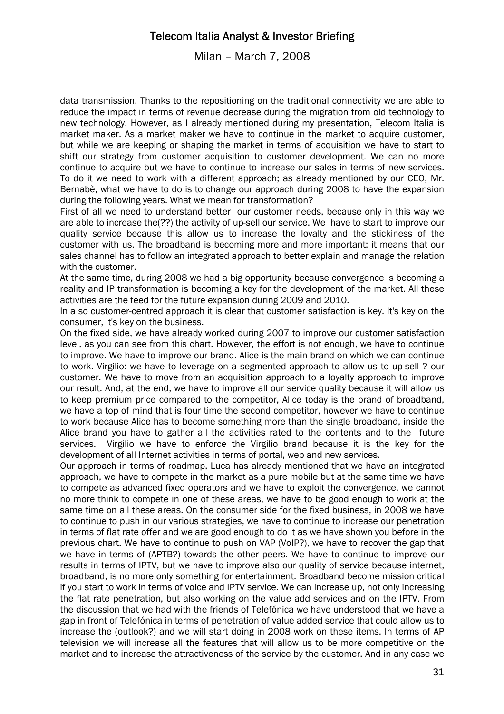Milan – March 7, 2008

data transmission. Thanks to the repositioning on the traditional connectivity we are able to reduce the impact in terms of revenue decrease during the migration from old technology to new technology. However, as I already mentioned during my presentation, Telecom Italia is market maker. As a market maker we have to continue in the market to acquire customer, but while we are keeping or shaping the market in terms of acquisition we have to start to shift our strategy from customer acquisition to customer development. We can no more continue to acquire but we have to continue to increase our sales in terms of new services. To do it we need to work with a different approach; as already mentioned by our CEO, Mr. Bernabè, what we have to do is to change our approach during 2008 to have the expansion during the following years. What we mean for transformation?

First of all we need to understand better our customer needs, because only in this way we are able to increase the(??) the activity of up-sell our service. We have to start to improve our quality service because this allow us to increase the loyalty and the stickiness of the customer with us. The broadband is becoming more and more important: it means that our sales channel has to follow an integrated approach to better explain and manage the relation with the customer.

At the same time, during 2008 we had a big opportunity because convergence is becoming a reality and IP transformation is becoming a key for the development of the market. All these activities are the feed for the future expansion during 2009 and 2010.

In a so customer-centred approach it is clear that customer satisfaction is key. It's key on the consumer, it's key on the business.

On the fixed side, we have already worked during 2007 to improve our customer satisfaction level, as you can see from this chart. However, the effort is not enough, we have to continue to improve. We have to improve our brand. Alice is the main brand on which we can continue to work. Virgilio: we have to leverage on a segmented approach to allow us to up-sell ? our customer. We have to move from an acquisition approach to a loyalty approach to improve our result. And, at the end, we have to improve all our service quality because it will allow us to keep premium price compared to the competitor, Alice today is the brand of broadband, we have a top of mind that is four time the second competitor, however we have to continue to work because Alice has to become something more than the single broadband, inside the Alice brand you have to gather all the activities rated to the contents and to the future services. Virgilio we have to enforce the Virgilio brand because it is the key for the development of all Internet activities in terms of portal, web and new services.

Our approach in terms of roadmap, Luca has already mentioned that we have an integrated approach, we have to compete in the market as a pure mobile but at the same time we have to compete as advanced fixed operators and we have to exploit the convergence, we cannot no more think to compete in one of these areas, we have to be good enough to work at the same time on all these areas. On the consumer side for the fixed business, in 2008 we have to continue to push in our various strategies, we have to continue to increase our penetration in terms of flat rate offer and we are good enough to do it as we have shown you before in the previous chart. We have to continue to push on VAP (VoIP?), we have to recover the gap that we have in terms of (APTB?) towards the other peers. We have to continue to improve our results in terms of IPTV, but we have to improve also our quality of service because internet, broadband, is no more only something for entertainment. Broadband become mission critical if you start to work in terms of voice and IPTV service. We can increase up, not only increasing the flat rate penetration, but also working on the value add services and on the IPTV. From the discussion that we had with the friends of Telefónica we have understood that we have a gap in front of Telefónica in terms of penetration of value added service that could allow us to increase the (outlook?) and we will start doing in 2008 work on these items. In terms of AP television we will increase all the features that will allow us to be more competitive on the market and to increase the attractiveness of the service by the customer. And in any case we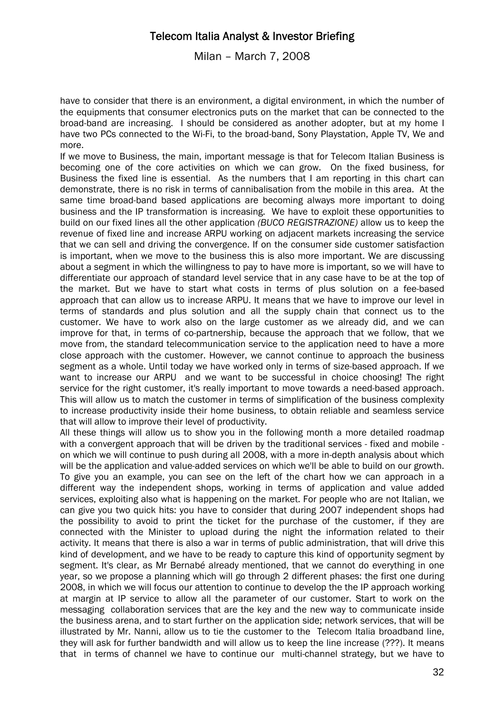Milan – March 7, 2008

have to consider that there is an environment, a digital environment, in which the number of the equipments that consumer electronics puts on the market that can be connected to the broad-band are increasing. I should be considered as another adopter, but at my home I have two PCs connected to the Wi-Fi, to the broad-band, Sony Playstation, Apple TV, We and more.

If we move to Business, the main, important message is that for Telecom Italian Business is becoming one of the core activities on which we can grow. On the fixed business, for Business the fixed line is essential. As the numbers that I am reporting in this chart can demonstrate, there is no risk in terms of cannibalisation from the mobile in this area. At the same time broad-band based applications are becoming always more important to doing business and the IP transformation is increasing. We have to exploit these opportunities to build on our fixed lines all the other application *(BUCO REGISTRAZIONE)* allow us to keep the revenue of fixed line and increase ARPU working on adjacent markets increasing the service that we can sell and driving the convergence. If on the consumer side customer satisfaction is important, when we move to the business this is also more important. We are discussing about a segment in which the willingness to pay to have more is important, so we will have to differentiate our approach of standard level service that in any case have to be at the top of the market. But we have to start what costs in terms of plus solution on a fee-based approach that can allow us to increase ARPU. It means that we have to improve our level in terms of standards and plus solution and all the supply chain that connect us to the customer. We have to work also on the large customer as we already did, and we can improve for that, in terms of co-partnership, because the approach that we follow, that we move from, the standard telecommunication service to the application need to have a more close approach with the customer. However, we cannot continue to approach the business segment as a whole. Until today we have worked only in terms of size-based approach. If we want to increase our ARPU and we want to be successful in choice choosing! The right service for the right customer, it's really important to move towards a need-based approach. This will allow us to match the customer in terms of simplification of the business complexity to increase productivity inside their home business, to obtain reliable and seamless service that will allow to improve their level of productivity.

All these things will allow us to show you in the following month a more detailed roadmap with a convergent approach that will be driven by the traditional services - fixed and mobile on which we will continue to push during all 2008, with a more in-depth analysis about which will be the application and value-added services on which we'll be able to build on our growth. To give you an example, you can see on the left of the chart how we can approach in a different way the independent shops, working in terms of application and value added services, exploiting also what is happening on the market. For people who are not Italian, we can give you two quick hits: you have to consider that during 2007 independent shops had the possibility to avoid to print the ticket for the purchase of the customer, if they are connected with the Minister to upload during the night the information related to their activity. It means that there is also a war in terms of public administration, that will drive this kind of development, and we have to be ready to capture this kind of opportunity segment by segment. It's clear, as Mr Bernabé already mentioned, that we cannot do everything in one year, so we propose a planning which will go through 2 different phases: the first one during 2008, in which we will focus our attention to continue to develop the the IP approach working at margin at IP service to allow all the parameter of our customer. Start to work on the messaging collaboration services that are the key and the new way to communicate inside the business arena, and to start further on the application side; network services, that will be illustrated by Mr. Nanni, allow us to tie the customer to the Telecom Italia broadband line, they will ask for further bandwidth and will allow us to keep the line increase (???). It means that in terms of channel we have to continue our multi-channel strategy, but we have to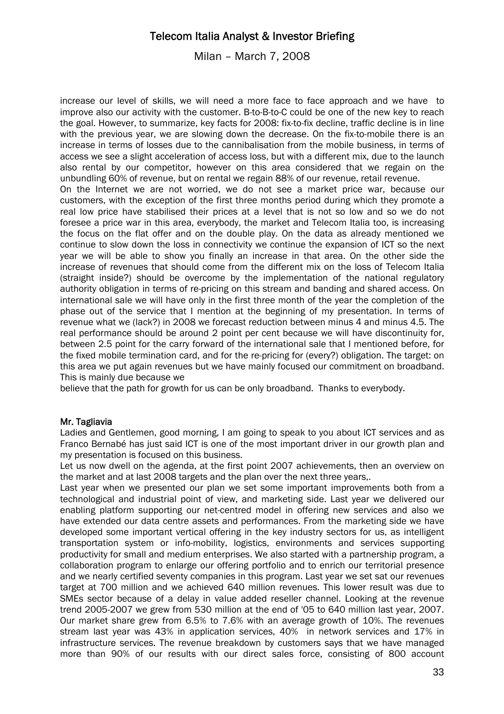Milan – March 7, 2008

increase our level of skills, we will need a more face to face approach and we have to improve also our activity with the customer. B-to-B-to-C could be one of the new key to reach the goal. However, to summarize, key facts for 2008: fix-to-fix decline, traffic decline is in line with the previous year, we are slowing down the decrease. On the fix-to-mobile there is an increase in terms of losses due to the cannibalisation from the mobile business, in terms of access we see a slight acceleration of access loss, but with a different mix, due to the launch also rental by our competitor, however on this area considered that we regain on the unbundling 60% of revenue, but on rental we regain 88% of our revenue, retail revenue. On the Internet we are not worried, we do not see a market price war, because our customers, with the exception of the first three months period during which they promote a real low price have stabilised their prices at a level that is not so low and so we do not foresee a price war in this area, everybody, the market and Telecom Italia too, is increasing the focus on the flat offer and on the double play. On the data as already mentioned we continue to slow down the loss in connectivity we continue the expansion of ICT so the next year we will be able to show you finally an increase in that area. On the other side the increase of revenues that should come from the different mix on the loss of Telecom Italia (straight inside?) should be overcome by the implementation of the national regulatory authority obligation in terms of re-pricing on this stream and banding and shared access. On international sale we will have only in the first three month of the year the completion of the phase out of the service that I mention at the beginning of my presentation. In terms of revenue what we (lack?) in 2008 we forecast reduction between minus 4 and minus 4.5. The real performance should be around 2 point per cent because we will have discontinuity for, between 2.5 point for the carry forward of the international sale that I mentioned before, for the fixed mobile termination card, and for the re-pricing for (every?) obligation. The target: on

this area we put again revenues but we have mainly focused our commitment on broadband. This is mainly due because we

believe that the path for growth for us can be only broadband. Thanks to everybody.

### Mr. Tagliavia

Ladies and Gentlemen, good morning, I am going to speak to you about ICT services and as Franco Bernabé has just said ICT is one of the most important driver in our growth plan and my presentation is focused on this business.

Let us now dwell on the agenda, at the first point 2007 achievements, then an overview on the market and at last 2008 targets and the plan over the next three years,.

Last year when we presented our plan we set some important improvements both from a technological and industrial point of view, and marketing side. Last year we delivered our enabling platform supporting our net-centred model in offering new services and also we have extended our data centre assets and performances. From the marketing side we have developed some important vertical offering in the key industry sectors for us, as intelligent transportation system or info-mobility, logistics, environments and services supporting productivity for small and medium enterprises. We also started with a partnership program, a collaboration program to enlarge our offering portfolio and to enrich our territorial presence and we nearly certified seventy companies in this program. Last year we set sat our revenues target at 700 million and we achieved 640 million revenues. This lower result was due to SMEs sector because of a delay in value added reseller channel. Looking at the revenue trend 2005-2007 we grew from 530 million at the end of '05 to 640 million last year, 2007. Our market share grew from 6.5% to 7.6% with an average growth of 10%. The revenues stream last year was 43% in application services, 40% in network services and 17% in infrastructure services. The revenue breakdown by customers says that we have managed more than 90% of our results with our direct sales force, consisting of 800 account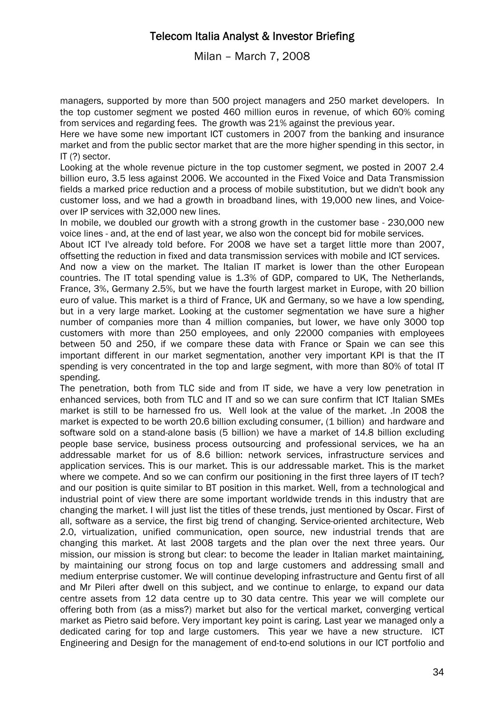Milan – March 7, 2008

managers, supported by more than 500 project managers and 250 market developers. In the top customer segment we posted 460 million euros in revenue, of which 60% coming from services and regarding fees. The growth was 21% against the previous year.

Here we have some new important ICT customers in 2007 from the banking and insurance market and from the public sector market that are the more higher spending in this sector, in IT (?) sector.

Looking at the whole revenue picture in the top customer segment, we posted in 2007 2.4 billion euro, 3.5 less against 2006. We accounted in the Fixed Voice and Data Transmission fields a marked price reduction and a process of mobile substitution, but we didn't book any customer loss, and we had a growth in broadband lines, with 19,000 new lines, and Voiceover IP services with 32,000 new lines.

In mobile, we doubled our growth with a strong growth in the customer base - 230,000 new voice lines - and, at the end of last year, we also won the concept bid for mobile services.

About ICT I've already told before. For 2008 we have set a target little more than 2007, offsetting the reduction in fixed and data transmission services with mobile and ICT services.

And now a view on the market. The Italian IT market is lower than the other European countries. The IT total spending value is 1.3% of GDP, compared to UK, The Netherlands, France, 3%, Germany 2.5%, but we have the fourth largest market in Europe, with 20 billion euro of value. This market is a third of France, UK and Germany, so we have a low spending, but in a very large market. Looking at the customer segmentation we have sure a higher number of companies more than 4 million companies, but lower, we have only 3000 top customers with more than 250 employees, and only 22000 companies with employees between 50 and 250, if we compare these data with France or Spain we can see this important different in our market segmentation, another very important KPI is that the IT spending is very concentrated in the top and large segment, with more than 80% of total IT spending.

The penetration, both from TLC side and from IT side, we have a very low penetration in enhanced services, both from TLC and IT and so we can sure confirm that ICT Italian SMEs market is still to be harnessed fro us. Well look at the value of the market. .In 2008 the market is expected to be worth 20.6 billion excluding consumer, (1 billion) and hardware and software sold on a stand-alone basis (5 billion) we have a market of 14.8 billion excluding people base service, business process outsourcing and professional services, we ha an addressable market for us of 8.6 billion: network services, infrastructure services and application services. This is our market. This is our addressable market. This is the market where we compete. And so we can confirm our positioning in the first three layers of IT tech? and our position is quite similar to BT position in this market. Well, from a technological and industrial point of view there are some important worldwide trends in this industry that are changing the market. I will just list the titles of these trends, just mentioned by Oscar. First of all, software as a service, the first big trend of changing. Service-oriented architecture, Web 2.0, virtualization, unified communication, open source, new industrial trends that are changing this market. At last 2008 targets and the plan over the next three years. Our mission, our mission is strong but clear: to become the leader in Italian market maintaining, by maintaining our strong focus on top and large customers and addressing small and medium enterprise customer. We will continue developing infrastructure and Gentu first of all and Mr Pileri after dwell on this subject, and we continue to enlarge, to expand our data centre assets from 12 data centre up to 30 data centre. This year we will complete our offering both from (as a miss?) market but also for the vertical market, converging vertical market as Pietro said before. Very important key point is caring. Last year we managed only a dedicated caring for top and large customers. This year we have a new structure. ICT Engineering and Design for the management of end-to-end solutions in our ICT portfolio and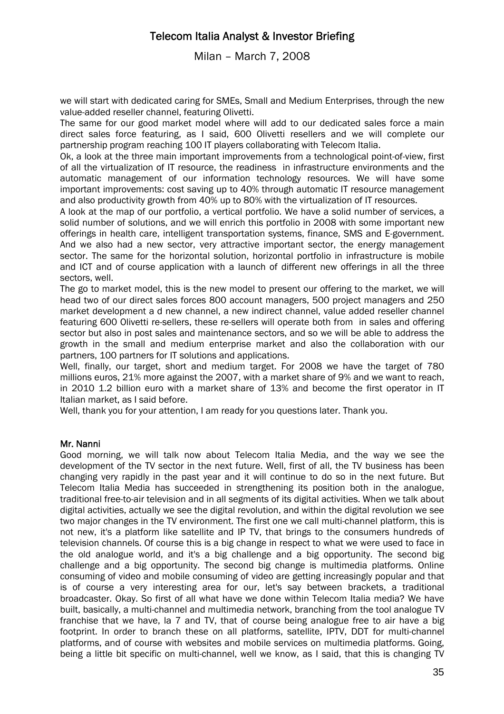Milan – March 7, 2008

we will start with dedicated caring for SMEs, Small and Medium Enterprises, through the new value-added reseller channel, featuring Olivetti.

The same for our good market model where will add to our dedicated sales force a main direct sales force featuring, as I said, 600 Olivetti resellers and we will complete our partnership program reaching 100 IT players collaborating with Telecom Italia.

Ok, a look at the three main important improvements from a technological point-of-view, first of all the virtualization of IT resource, the readiness in infrastructure environments and the automatic management of our information technology resources. We will have some important improvements: cost saving up to 40% through automatic IT resource management and also productivity growth from 40% up to 80% with the virtualization of IT resources.

A look at the map of our portfolio, a vertical portfolio. We have a solid number of services, a solid number of solutions, and we will enrich this portfolio in 2008 with some important new offerings in health care, intelligent transportation systems, finance, SMS and E-government. And we also had a new sector, very attractive important sector, the energy management sector. The same for the horizontal solution, horizontal portfolio in infrastructure is mobile and ICT and of course application with a launch of different new offerings in all the three sectors, well.

The go to market model, this is the new model to present our offering to the market, we will head two of our direct sales forces 800 account managers, 500 project managers and 250 market development a d new channel, a new indirect channel, value added reseller channel featuring 600 Olivetti re-sellers, these re-sellers will operate both from in sales and offering sector but also in post sales and maintenance sectors, and so we will be able to address the growth in the small and medium enterprise market and also the collaboration with our partners, 100 partners for IT solutions and applications.

Well, finally, our target, short and medium target. For 2008 we have the target of 780 millions euros, 21% more against the 2007, with a market share of 9% and we want to reach, in 2010 1.2 billion euro with a market share of 13% and become the first operator in IT Italian market, as I said before.

Well, thank you for your attention, I am ready for you questions later. Thank you.

### Mr. Nanni

Good morning, we will talk now about Telecom Italia Media, and the way we see the development of the TV sector in the next future. Well, first of all, the TV business has been changing very rapidly in the past year and it will continue to do so in the next future. But Telecom Italia Media has succeeded in strengthening its position both in the analogue, traditional free-to-air television and in all segments of its digital activities. When we talk about digital activities, actually we see the digital revolution, and within the digital revolution we see two major changes in the TV environment. The first one we call multi-channel platform, this is not new, it's a platform like satellite and IP TV, that brings to the consumers hundreds of television channels. Of course this is a big change in respect to what we were used to face in the old analogue world, and it's a big challenge and a big opportunity. The second big challenge and a big opportunity. The second big change is multimedia platforms. Online consuming of video and mobile consuming of video are getting increasingly popular and that is of course a very interesting area for our, let's say between brackets, a traditional broadcaster. Okay. So first of all what have we done within Telecom Italia media? We have built, basically, a multi-channel and multimedia network, branching from the tool analogue TV franchise that we have, la 7 and TV, that of course being analogue free to air have a big footprint. In order to branch these on all platforms, satellite, IPTV, DDT for multi-channel platforms, and of course with websites and mobile services on multimedia platforms. Going, being a little bit specific on multi-channel, well we know, as I said, that this is changing TV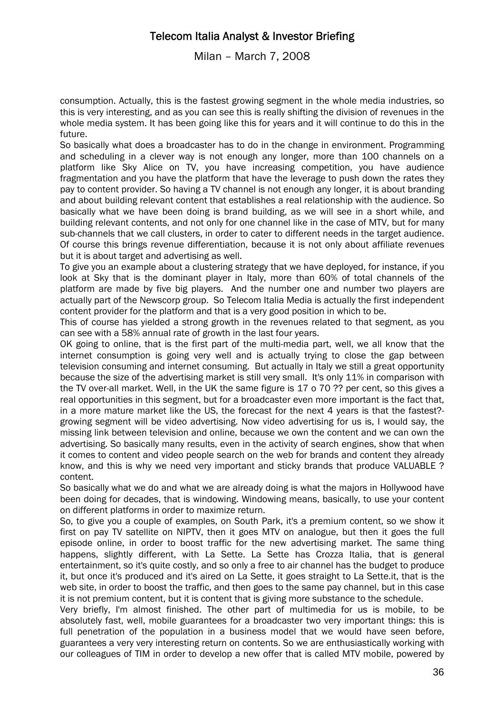Milan – March 7, 2008

consumption. Actually, this is the fastest growing segment in the whole media industries, so this is very interesting, and as you can see this is really shifting the division of revenues in the whole media system. It has been going like this for years and it will continue to do this in the future.

So basically what does a broadcaster has to do in the change in environment. Programming and scheduling in a clever way is not enough any longer, more than 100 channels on a platform like Sky Alice on TV, you have increasing competition, you have audience fragmentation and you have the platform that have the leverage to push down the rates they pay to content provider. So having a TV channel is not enough any longer, it is about branding and about building relevant content that establishes a real relationship with the audience. So basically what we have been doing is brand building, as we will see in a short while, and building relevant contents, and not only for one channel like in the case of MTV, but for many sub-channels that we call clusters, in order to cater to different needs in the target audience. Of course this brings revenue differentiation, because it is not only about affiliate revenues but it is about target and advertising as well.

To give you an example about a clustering strategy that we have deployed, for instance, if you look at Sky that is the dominant player in Italy, more than 60% of total channels of the platform are made by five big players. And the number one and number two players are actually part of the Newscorp group. So Telecom Italia Media is actually the first independent content provider for the platform and that is a very good position in which to be.

This of course has yielded a strong growth in the revenues related to that segment, as you can see with a 58% annual rate of growth in the last four years.

OK going to online, that is the first part of the multi-media part, well, we all know that the internet consumption is going very well and is actually trying to close the gap between television consuming and internet consuming. But actually in Italy we still a great opportunity because the size of the advertising market is still very small. It's only 11% in comparison with the TV over-all market. Well, in the UK the same figure is 17 o 70 ?? per cent, so this gives a real opportunities in this segment, but for a broadcaster even more important is the fact that, in a more mature market like the US, the forecast for the next 4 years is that the fastest? growing segment will be video advertising. Now video advertising for us is, I would say, the missing link between television and online, because we own the content and we can own the advertising. So basically many results, even in the activity of search engines, show that when it comes to content and video people search on the web for brands and content they already know, and this is why we need very important and sticky brands that produce VALUABLE ? content.

So basically what we do and what we are already doing is what the majors in Hollywood have been doing for decades, that is windowing. Windowing means, basically, to use your content on different platforms in order to maximize return.

So, to give you a couple of examples, on South Park, it's a premium content, so we show it first on pay TV satellite on NIPTV, then it goes MTV on analogue, but then it goes the full episode online, in order to boost traffic for the new advertising market. The same thing happens, slightly different, with La Sette. La Sette has Crozza Italia, that is general entertainment, so it's quite costly, and so only a free to air channel has the budget to produce it, but once it's produced and it's aired on La Sette, it goes straight to La Sette.it, that is the web site, in order to boost the traffic, and then goes to the same pay channel, but in this case it is not premium content, but it is content that is giving more substance to the schedule.

Very briefly, I'm almost finished. The other part of multimedia for us is mobile, to be absolutely fast, well, mobile guarantees for a broadcaster two very important things: this is full penetration of the population in a business model that we would have seen before, guarantees a very very interesting return on contents. So we are enthusiastically working with our colleagues of TIM in order to develop a new offer that is called MTV mobile, powered by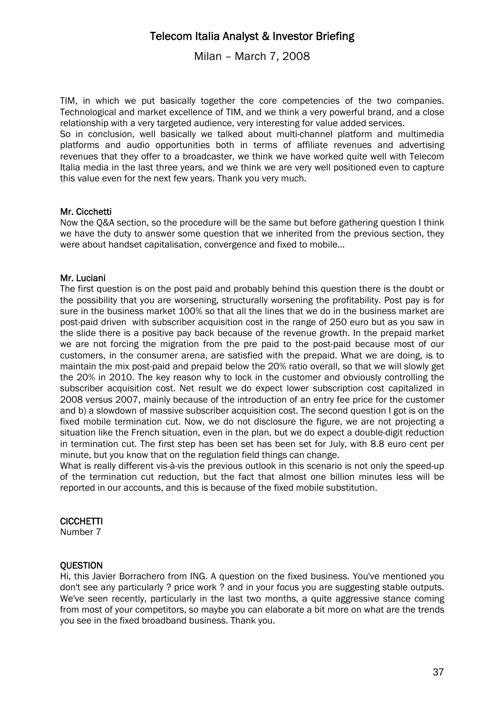Milan – March 7, 2008

TIM, in which we put basically together the core competencies of the two companies. Technological and market excellence of TIM, and we think a very powerful brand, and a close relationship with a very targeted audience, very interesting for value added services.

So in conclusion, well basically we talked about multi-channel platform and multimedia platforms and audio opportunities both in terms of affiliate revenues and advertising revenues that they offer to a broadcaster, we think we have worked quite well with Telecom Italia media in the last three years, and we think we are very well positioned even to capture this value even for the next few years. Thank you very much.

#### Mr. Cicchetti

Now the Q&A section, so the procedure will be the same but before gathering question I think we have the duty to answer some question that we inherited from the previous section, they were about handset capitalisation, convergence and fixed to mobile...

#### Mr. Luciani

The first question is on the post paid and probably behind this question there is the doubt or the possibility that you are worsening, structurally worsening the profitability. Post pay is for sure in the business market 100% so that all the lines that we do in the business market are post-paid driven with subscriber acquisition cost in the range of 250 euro but as you saw in the slide there is a positive pay back because of the revenue growth. In the prepaid market we are not forcing the migration from the pre paid to the post-paid because most of our customers, in the consumer arena, are satisfied with the prepaid. What we are doing, is to maintain the mix post-paid and prepaid below the 20% ratio overall, so that we will slowly get the 20% in 2010. The key reason why to lock in the customer and obviously controlling the subscriber acquisition cost. Net result we do expect lower subscription cost capitalized in 2008 versus 2007, mainly because of the introduction of an entry fee price for the customer and b) a slowdown of massive subscriber acquisition cost. The second question I got is on the fixed mobile termination cut. Now, we do not disclosure the figure, we are not projecting a situation like the French situation, even in the plan, but we do expect a double-digit reduction in termination cut. The first step has been set has been set for July, with 8.8 euro cent per minute, but you know that on the regulation field things can change.

What is really different vis-à-vis the previous outlook in this scenario is not only the speed-up of the termination cut reduction, but the fact that almost one billion minutes less will be reported in our accounts, and this is because of the fixed mobile substitution.

#### **CICCHETTI**

Number 7

### **OUESTION**

Hi, this Javier Borrachero from ING. A question on the fixed business. You've mentioned you don't see any particularly ? price work ? and in your focus you are suggesting stable outputs. We've seen recently, particularly in the last two months, a quite aggressive stance coming from most of your competitors, so maybe you can elaborate a bit more on what are the trends you see in the fixed broadband business. Thank you.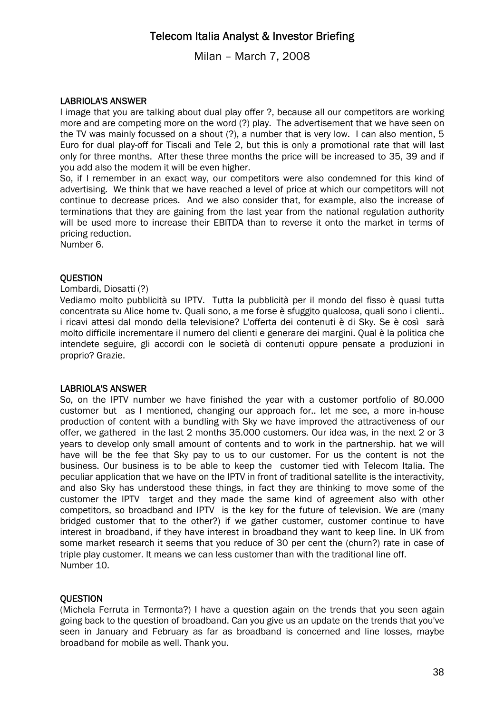Milan – March 7, 2008

### LABRIOLA'S ANSWER

I image that you are talking about dual play offer ?, because all our competitors are working more and are competing more on the word (?) play. The advertisement that we have seen on the TV was mainly focussed on a shout (?), a number that is very low. I can also mention, 5 Euro for dual play-off for Tiscali and Tele 2, but this is only a promotional rate that will last only for three months. After these three months the price will be increased to 35, 39 and if you add also the modem it will be even higher.

So, if I remember in an exact way, our competitors were also condemned for this kind of advertising. We think that we have reached a level of price at which our competitors will not continue to decrease prices. And we also consider that, for example, also the increase of terminations that they are gaining from the last year from the national regulation authority will be used more to increase their EBITDA than to reverse it onto the market in terms of pricing reduction.

Number 6.

### **OUESTION**

#### Lombardi, Diosatti (?)

Vediamo molto pubblicità su IPTV. Tutta la pubblicità per il mondo del fisso è quasi tutta concentrata su Alice home tv. Quali sono, a me forse è sfuggito qualcosa, quali sono i clienti.. i ricavi attesi dal mondo della televisione? L'offerta dei contenuti è di Sky. Se è così sarà molto difficile incrementare il numero del clienti e generare dei margini. Qual è la politica che intendete seguire, gli accordi con le società di contenuti oppure pensate a produzioni in proprio? Grazie.

#### LABRIOLA'S ANSWER

So, on the IPTV number we have finished the year with a customer portfolio of 80.000 customer but as I mentioned, changing our approach for.. let me see, a more in-house production of content with a bundling with Sky we have improved the attractiveness of our offer, we gathered in the last 2 months 35.000 customers. Our idea was, in the next 2 or 3 years to develop only small amount of contents and to work in the partnership. hat we will have will be the fee that Sky pay to us to our customer. For us the content is not the business. Our business is to be able to keep the customer tied with Telecom Italia. The peculiar application that we have on the IPTV in front of traditional satellite is the interactivity, and also Sky has understood these things, in fact they are thinking to move some of the customer the IPTV target and they made the same kind of agreement also with other competitors, so broadband and IPTV is the key for the future of television. We are (many bridged customer that to the other?) if we gather customer, customer continue to have interest in broadband, if they have interest in broadband they want to keep line. In UK from some market research it seems that you reduce of 30 per cent the (churn?) rate in case of triple play customer. It means we can less customer than with the traditional line off. Number 10.

### **OUESTION**

(Michela Ferruta in Termonta?) I have a question again on the trends that you seen again going back to the question of broadband. Can you give us an update on the trends that you've seen in January and February as far as broadband is concerned and line losses, maybe broadband for mobile as well. Thank you.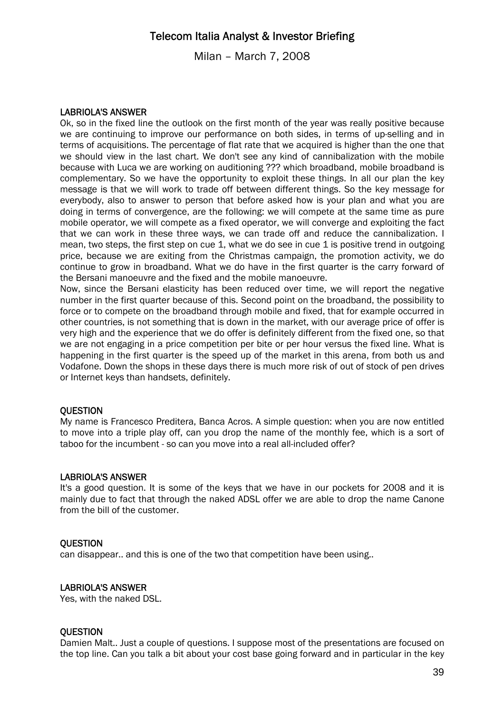Milan – March 7, 2008

#### LABRIOLA'S ANSWER

Ok, so in the fixed line the outlook on the first month of the year was really positive because we are continuing to improve our performance on both sides, in terms of up-selling and in terms of acquisitions. The percentage of flat rate that we acquired is higher than the one that we should view in the last chart. We don't see any kind of cannibalization with the mobile because with Luca we are working on auditioning ??? which broadband, mobile broadband is complementary. So we have the opportunity to exploit these things. In all our plan the key message is that we will work to trade off between different things. So the key message for everybody, also to answer to person that before asked how is your plan and what you are doing in terms of convergence, are the following: we will compete at the same time as pure mobile operator, we will compete as a fixed operator, we will converge and exploiting the fact that we can work in these three ways, we can trade off and reduce the cannibalization. I mean, two steps, the first step on cue 1, what we do see in cue 1 is positive trend in outgoing price, because we are exiting from the Christmas campaign, the promotion activity, we do continue to grow in broadband. What we do have in the first quarter is the carry forward of the Bersani manoeuvre and the fixed and the mobile manoeuvre.

Now, since the Bersani elasticity has been reduced over time, we will report the negative number in the first quarter because of this. Second point on the broadband, the possibility to force or to compete on the broadband through mobile and fixed, that for example occurred in other countries, is not something that is down in the market, with our average price of offer is very high and the experience that we do offer is definitely different from the fixed one, so that we are not engaging in a price competition per bite or per hour versus the fixed line. What is happening in the first quarter is the speed up of the market in this arena, from both us and Vodafone. Down the shops in these days there is much more risk of out of stock of pen drives or Internet keys than handsets, definitely.

#### **OUESTION**

My name is Francesco Preditera, Banca Acros. A simple question: when you are now entitled to move into a triple play off, can you drop the name of the monthly fee, which is a sort of taboo for the incumbent - so can you move into a real all-included offer?

#### LABRIOLA'S ANSWER

It's a good question. It is some of the keys that we have in our pockets for 2008 and it is mainly due to fact that through the naked ADSL offer we are able to drop the name Canone from the bill of the customer.

#### **OUESTION**

can disappear.. and this is one of the two that competition have been using..

### LABRIOLA'S ANSWER

Yes, with the naked DSL.

#### **QUESTION**

Damien Malt.. Just a couple of questions. I suppose most of the presentations are focused on the top line. Can you talk a bit about your cost base going forward and in particular in the key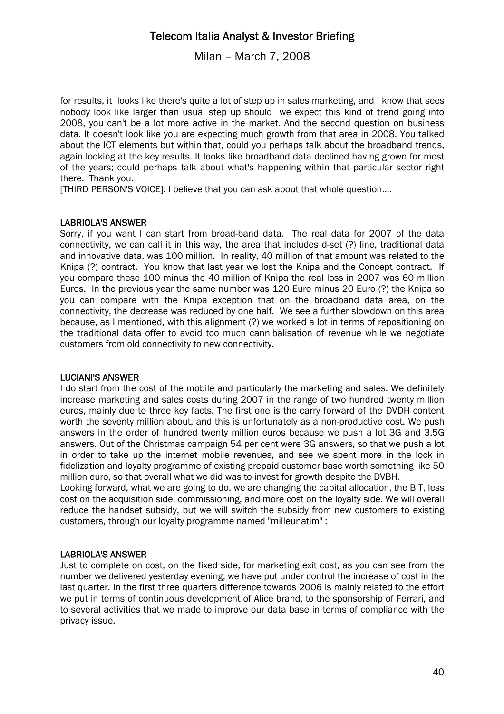Milan – March 7, 2008

for results, it looks like there's quite a lot of step up in sales marketing, and I know that sees nobody look like larger than usual step up should we expect this kind of trend going into 2008, you can't be a lot more active in the market. And the second question on business data. It doesn't look like you are expecting much growth from that area in 2008. You talked about the ICT elements but within that, could you perhaps talk about the broadband trends, again looking at the key results. It looks like broadband data declined having grown for most of the years; could perhaps talk about what's happening within that particular sector right there. Thank you.

[THIRD PERSON'S VOICE]: I believe that you can ask about that whole question....

### LABRIOLA'S ANSWER

Sorry, if you want I can start from broad-band data. The real data for 2007 of the data connectivity, we can call it in this way, the area that includes d-set (?) line, traditional data and innovative data, was 100 million. In reality, 40 million of that amount was related to the Knipa (?) contract. You know that last year we lost the Knipa and the Concept contract. If you compare these 100 minus the 40 million of Knipa the real loss in 2007 was 60 million Euros. In the previous year the same number was 120 Euro minus 20 Euro (?) the Knipa so you can compare with the Knipa exception that on the broadband data area, on the connectivity, the decrease was reduced by one half. We see a further slowdown on this area because, as I mentioned, with this alignment (?) we worked a lot in terms of repositioning on the traditional data offer to avoid too much cannibalisation of revenue while we negotiate customers from old connectivity to new connectivity.

### LUCIANI'S ANSWER

I do start from the cost of the mobile and particularly the marketing and sales. We definitely increase marketing and sales costs during 2007 in the range of two hundred twenty million euros, mainly due to three key facts. The first one is the carry forward of the DVDH content worth the seventy million about, and this is unfortunately as a non-productive cost. We push answers in the order of hundred twenty million euros because we push a lot 3G and 3.5G answers. Out of the Christmas campaign 54 per cent were 3G answers, so that we push a lot in order to take up the internet mobile revenues, and see we spent more in the lock in fidelization and loyalty programme of existing prepaid customer base worth something like 50 million euro, so that overall what we did was to invest for growth despite the DVBH.

Looking forward, what we are going to do, we are changing the capital allocation, the BIT, less cost on the acquisition side, commissioning, and more cost on the loyalty side. We will overall reduce the handset subsidy, but we will switch the subsidy from new customers to existing customers, through our loyalty programme named "milleunatim" :

### LABRIOLA'S ANSWER

Just to complete on cost, on the fixed side, for marketing exit cost, as you can see from the number we delivered yesterday evening, we have put under control the increase of cost in the last quarter. In the first three quarters difference towards 2006 is mainly related to the effort we put in terms of continuous development of Alice brand, to the sponsorship of Ferrari, and to several activities that we made to improve our data base in terms of compliance with the privacy issue.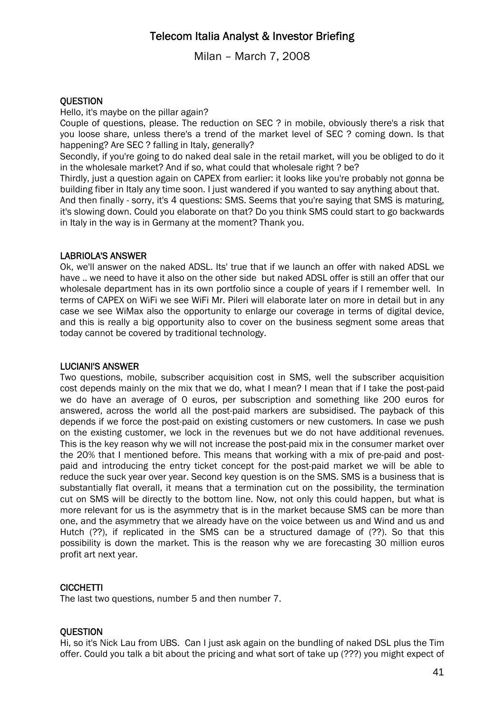Milan – March 7, 2008

### **OUESTION**

Hello, it's maybe on the pillar again?

Couple of questions, please. The reduction on SEC ? in mobile, obviously there's a risk that you loose share, unless there's a trend of the market level of SEC ? coming down. Is that happening? Are SEC ? falling in Italy, generally?

Secondly, if you're going to do naked deal sale in the retail market, will you be obliged to do it in the wholesale market? And if so, what could that wholesale right ? be?

Thirdly, just a question again on CAPEX from earlier: it looks like you're probably not gonna be building fiber in Italy any time soon. I just wandered if you wanted to say anything about that.

And then finally - sorry, it's 4 questions: SMS. Seems that you're saying that SMS is maturing, it's slowing down. Could you elaborate on that? Do you think SMS could start to go backwards in Italy in the way is in Germany at the moment? Thank you.

### LABRIOLA'S ANSWER

Ok, we'll answer on the naked ADSL. Its' true that if we launch an offer with naked ADSL we have .. we need to have it also on the other side but naked ADSL offer is still an offer that our wholesale department has in its own portfolio since a couple of years if I remember well. In terms of CAPEX on WiFi we see WiFi Mr. Pileri will elaborate later on more in detail but in any case we see WiMax also the opportunity to enlarge our coverage in terms of digital device, and this is really a big opportunity also to cover on the business segment some areas that today cannot be covered by traditional technology.

### LUCIANI'S ANSWER

Two questions, mobile, subscriber acquisition cost in SMS, well the subscriber acquisition cost depends mainly on the mix that we do, what I mean? I mean that if I take the post-paid we do have an average of 0 euros, per subscription and something like 200 euros for answered, across the world all the post-paid markers are subsidised. The payback of this depends if we force the post-paid on existing customers or new customers. In case we push on the existing customer, we lock in the revenues but we do not have additional revenues. This is the key reason why we will not increase the post-paid mix in the consumer market over the 20% that I mentioned before. This means that working with a mix of pre-paid and postpaid and introducing the entry ticket concept for the post-paid market we will be able to reduce the suck year over year. Second key question is on the SMS. SMS is a business that is substantially flat overall, it means that a termination cut on the possibility, the termination cut on SMS will be directly to the bottom line. Now, not only this could happen, but what is more relevant for us is the asymmetry that is in the market because SMS can be more than one, and the asymmetry that we already have on the voice between us and Wind and us and Hutch (??), if replicated in the SMS can be a structured damage of (??). So that this possibility is down the market. This is the reason why we are forecasting 30 million euros profit art next year.

### **CICCHETTI**

The last two questions, number 5 and then number 7.

### **QUESTION**

Hi, so it's Nick Lau from UBS. Can I just ask again on the bundling of naked DSL plus the Tim offer. Could you talk a bit about the pricing and what sort of take up (???) you might expect of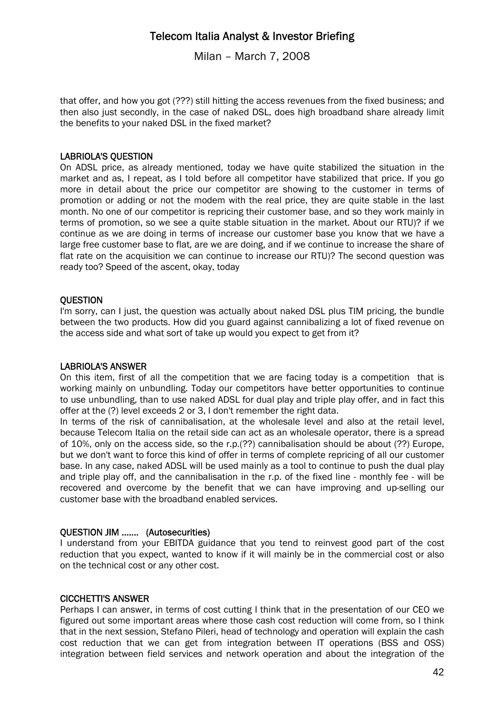Milan – March 7, 2008

that offer, and how you got (???) still hitting the access revenues from the fixed business; and then also just secondly, in the case of naked DSL, does high broadband share already limit the benefits to your naked DSL in the fixed market?

### LABRIOLA'S QUESTION

On ADSL price, as already mentioned, today we have quite stabilized the situation in the market and as, I repeat, as I told before all competitor have stabilized that price. If you go more in detail about the price our competitor are showing to the customer in terms of promotion or adding or not the modem with the real price, they are quite stable in the last month. No one of our competitor is repricing their customer base, and so they work mainly in terms of promotion, so we see a quite stable situation in the market. About our RTU)? if we continue as we are doing in terms of increase our customer base you know that we have a large free customer base to flat, are we are doing, and if we continue to increase the share of flat rate on the acquisition we can continue to increase our RTU)? The second question was ready too? Speed of the ascent, okay, today

### **OUESTION**

I'm sorry, can I just, the question was actually about naked DSL plus TIM pricing, the bundle between the two products. How did you guard against cannibalizing a lot of fixed revenue on the access side and what sort of take up would you expect to get from it?

### LABRIOLA'S ANSWER

On this item, first of all the competition that we are facing today is a competition that is working mainly on unbundling. Today our competitors have better opportunities to continue to use unbundling, than to use naked ADSL for dual play and triple play offer, and in fact this offer at the (?) level exceeds 2 or 3, I don't remember the right data.

In terms of the risk of cannibalisation, at the wholesale level and also at the retail level, because Telecom Italia on the retail side can act as an wholesale operator, there is a spread of 10%, only on the access side, so the r.p.(??) cannibalisation should be about (??) Europe, but we don't want to force this kind of offer in terms of complete repricing of all our customer base. In any case, naked ADSL will be used mainly as a tool to continue to push the dual play and triple play off, and the cannibalisation in the r.p. of the fixed line - monthly fee - will be recovered and overcome by the benefit that we can have improving and up-selling our customer base with the broadband enabled services.

### QUESTION JIM ....... (Autosecurities)

I understand from your EBITDA guidance that you tend to reinvest good part of the cost reduction that you expect, wanted to know if it will mainly be in the commercial cost or also on the technical cost or any other cost.

### CICCHETTI'S ANSWER

Perhaps I can answer, in terms of cost cutting I think that in the presentation of our CEO we figured out some important areas where those cash cost reduction will come from, so I think that in the next session, Stefano Pileri, head of technology and operation will explain the cash cost reduction that we can get from integration between IT operations (BSS and OSS) integration between field services and network operation and about the integration of the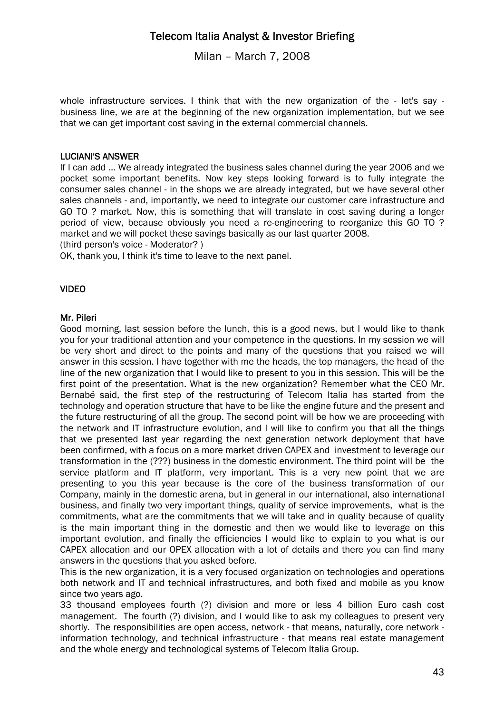Milan – March 7, 2008

whole infrastructure services. I think that with the new organization of the - let's say business line, we are at the beginning of the new organization implementation, but we see that we can get important cost saving in the external commercial channels.

### LUCIANI'S ANSWER

If I can add ... We already integrated the business sales channel during the year 2006 and we pocket some important benefits. Now key steps looking forward is to fully integrate the consumer sales channel - in the shops we are already integrated, but we have several other sales channels - and, importantly, we need to integrate our customer care infrastructure and GO TO ? market. Now, this is something that will translate in cost saving during a longer period of view, because obviously you need a re-engineering to reorganize this GO TO ? market and we will pocket these savings basically as our last quarter 2008.

(third person's voice - Moderator? )

OK, thank you, I think it's time to leave to the next panel.

### VIDEO

#### Mr. Pileri

Good morning, last session before the lunch, this is a good news, but I would like to thank you for your traditional attention and your competence in the questions. In my session we will be very short and direct to the points and many of the questions that you raised we will answer in this session. I have together with me the heads, the top managers, the head of the line of the new organization that I would like to present to you in this session. This will be the first point of the presentation. What is the new organization? Remember what the CEO Mr. Bernabé said, the first step of the restructuring of Telecom Italia has started from the technology and operation structure that have to be like the engine future and the present and the future restructuring of all the group. The second point will be how we are proceeding with the network and IT infrastructure evolution, and I will like to confirm you that all the things that we presented last year regarding the next generation network deployment that have been confirmed, with a focus on a more market driven CAPEX and investment to leverage our transformation in the (???) business in the domestic environment. The third point will be the service platform and IT platform, very important. This is a very new point that we are presenting to you this year because is the core of the business transformation of our Company, mainly in the domestic arena, but in general in our international, also international business, and finally two very important things, quality of service improvements, what is the commitments, what are the commitments that we will take and in quality because of quality is the main important thing in the domestic and then we would like to leverage on this important evolution, and finally the efficiencies I would like to explain to you what is our CAPEX allocation and our OPEX allocation with a lot of details and there you can find many answers in the questions that you asked before.

This is the new organization, it is a very focused organization on technologies and operations both network and IT and technical infrastructures, and both fixed and mobile as you know since two years ago.

33 thousand employees fourth (?) division and more or less 4 billion Euro cash cost management. The fourth (?) division, and I would like to ask my colleagues to present very shortly. The responsibilities are open access, network - that means, naturally, core network information technology, and technical infrastructure - that means real estate management and the whole energy and technological systems of Telecom Italia Group.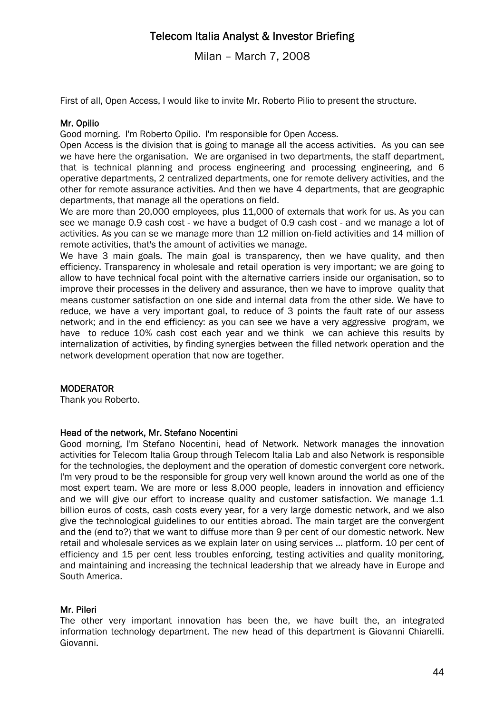Milan – March 7, 2008

First of all, Open Access, I would like to invite Mr. Roberto Pilio to present the structure.

#### Mr. Opilio

Good morning. I'm Roberto Opilio. I'm responsible for Open Access.

Open Access is the division that is going to manage all the access activities. As you can see we have here the organisation. We are organised in two departments, the staff department, that is technical planning and process engineering and processing engineering, and 6 operative departments, 2 centralized departments, one for remote delivery activities, and the other for remote assurance activities. And then we have 4 departments, that are geographic departments, that manage all the operations on field.

We are more than 20,000 employees, plus 11,000 of externals that work for us. As you can see we manage 0.9 cash cost - we have a budget of 0.9 cash cost - and we manage a lot of activities. As you can se we manage more than 12 million on-field activities and 14 million of remote activities, that's the amount of activities we manage.

We have 3 main goals. The main goal is transparency, then we have quality, and then efficiency. Transparency in wholesale and retail operation is very important; we are going to allow to have technical focal point with the alternative carriers inside our organisation, so to improve their processes in the delivery and assurance, then we have to improve quality that means customer satisfaction on one side and internal data from the other side. We have to reduce, we have a very important goal, to reduce of 3 points the fault rate of our assess network; and in the end efficiency: as you can see we have a very aggressive program, we have to reduce 10% cash cost each year and we think we can achieve this results by internalization of activities, by finding synergies between the filled network operation and the network development operation that now are together.

### **MODERATOR**

Thank you Roberto.

#### Head of the network, Mr. Stefano Nocentini

Good morning, I'm Stefano Nocentini, head of Network. Network manages the innovation activities for Telecom Italia Group through Telecom Italia Lab and also Network is responsible for the technologies, the deployment and the operation of domestic convergent core network. I'm very proud to be the responsible for group very well known around the world as one of the most expert team. We are more or less 8,000 people, leaders in innovation and efficiency and we will give our effort to increase quality and customer satisfaction. We manage 1.1 billion euros of costs, cash costs every year, for a very large domestic network, and we also give the technological guidelines to our entities abroad. The main target are the convergent and the (end to?) that we want to diffuse more than 9 per cent of our domestic network. New retail and wholesale services as we explain later on using services ... platform. 10 per cent of efficiency and 15 per cent less troubles enforcing, testing activities and quality monitoring, and maintaining and increasing the technical leadership that we already have in Europe and South America.

### Mr. Pileri

The other very important innovation has been the, we have built the, an integrated information technology department. The new head of this department is Giovanni Chiarelli. Giovanni.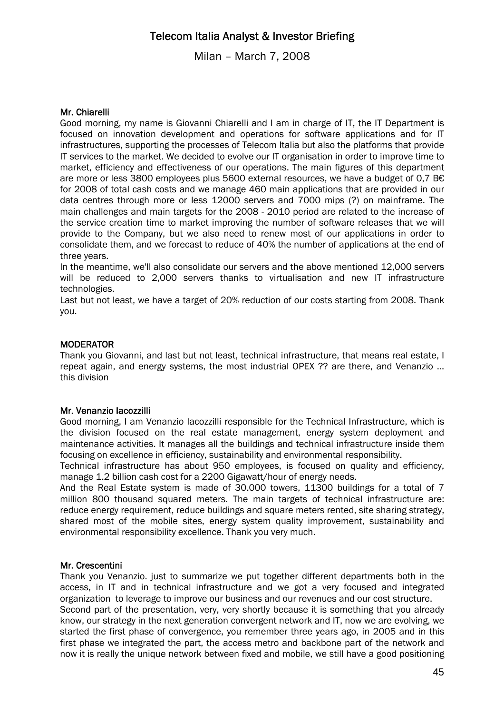Milan – March 7, 2008

#### Mr. Chiarelli

Good morning, my name is Giovanni Chiarelli and I am in charge of IT, the IT Department is focused on innovation development and operations for software applications and for IT infrastructures, supporting the processes of Telecom Italia but also the platforms that provide IT services to the market. We decided to evolve our IT organisation in order to improve time to market, efficiency and effectiveness of our operations. The main figures of this department are more or less 3800 employees plus 5600 external resources, we have a budget of 0,7 B€ for 2008 of total cash costs and we manage 460 main applications that are provided in our data centres through more or less 12000 servers and 7000 mips (?) on mainframe. The main challenges and main targets for the 2008 - 2010 period are related to the increase of the service creation time to market improving the number of software releases that we will provide to the Company, but we also need to renew most of our applications in order to consolidate them, and we forecast to reduce of 40% the number of applications at the end of three years.

In the meantime, we'll also consolidate our servers and the above mentioned 12,000 servers will be reduced to 2,000 servers thanks to virtualisation and new IT infrastructure technologies.

Last but not least, we have a target of 20% reduction of our costs starting from 2008. Thank you.

#### **MODERATOR**

Thank you Giovanni, and last but not least, technical infrastructure, that means real estate, I repeat again, and energy systems, the most industrial OPEX ?? are there, and Venanzio ... this division

#### Mr. Venanzio Iacozzilli

Good morning, I am Venanzio Iacozzilli responsible for the Technical Infrastructure, which is the division focused on the real estate management, energy system deployment and maintenance activities. It manages all the buildings and technical infrastructure inside them focusing on excellence in efficiency, sustainability and environmental responsibility.

Technical infrastructure has about 950 employees, is focused on quality and efficiency, manage 1.2 billion cash cost for a 2200 Gigawatt/hour of energy needs.

And the Real Estate system is made of 30.000 towers, 11300 buildings for a total of 7 million 800 thousand squared meters. The main targets of technical infrastructure are: reduce energy requirement, reduce buildings and square meters rented, site sharing strategy, shared most of the mobile sites, energy system quality improvement, sustainability and environmental responsibility excellence. Thank you very much.

#### Mr. Crescentini

Thank you Venanzio. just to summarize we put together different departments both in the access, in IT and in technical infrastructure and we got a very focused and integrated organization to leverage to improve our business and our revenues and our cost structure.

Second part of the presentation, very, very shortly because it is something that you already know, our strategy in the next generation convergent network and IT, now we are evolving, we started the first phase of convergence, you remember three years ago, in 2005 and in this first phase we integrated the part, the access metro and backbone part of the network and now it is really the unique network between fixed and mobile, we still have a good positioning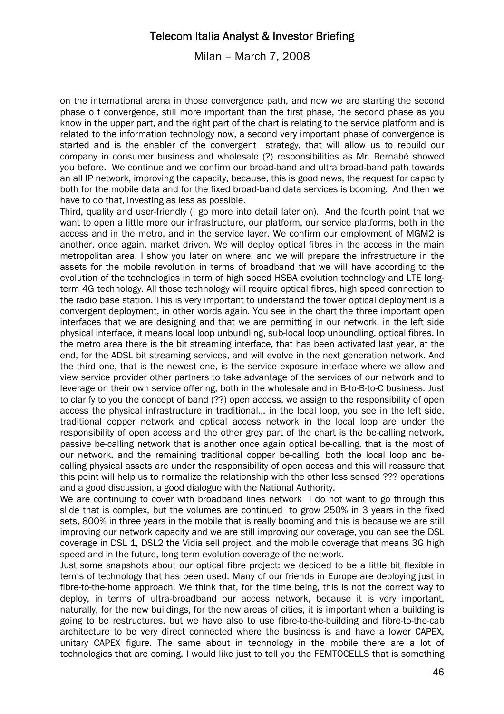Milan – March 7, 2008

on the international arena in those convergence path, and now we are starting the second phase o f convergence, still more important than the first phase, the second phase as you know in the upper part, and the right part of the chart is relating to the service platform and is related to the information technology now, a second very important phase of convergence is started and is the enabler of the convergent strategy, that will allow us to rebuild our company in consumer business and wholesale (?) responsibilities as Mr. Bernabé showed you before. We continue and we confirm our broad-band and ultra broad-band path towards an all IP network, improving the capacity, because, this is good news, the request for capacity both for the mobile data and for the fixed broad-band data services is booming. And then we have to do that, investing as less as possible.

Third, quality and user-friendly (I go more into detail later on). And the fourth point that we want to open a little more our infrastructure, our platform, our service platforms, both in the access and in the metro, and in the service layer. We confirm our employment of MGM2 is another, once again, market driven. We will deploy optical fibres in the access in the main metropolitan area. I show you later on where, and we will prepare the infrastructure in the assets for the mobile revolution in terms of broadband that we will have according to the evolution of the technologies in term of high speed HSBA evolution technology and LTE longterm 4G technology. All those technology will require optical fibres, high speed connection to the radio base station. This is very important to understand the tower optical deployment is a convergent deployment, in other words again. You see in the chart the three important open interfaces that we are designing and that we are permitting in our network, in the left side physical interface, it means local loop unbundling, sub-local loop unbundling, optical fibres. In the metro area there is the bit streaming interface, that has been activated last year, at the end, for the ADSL bit streaming services, and will evolve in the next generation network. And the third one, that is the newest one, is the service exposure interface where we allow and view service provider other partners to take advantage of the services of our network and to leverage on their own service offering, both in the wholesale and in B-to-B-to-C business. Just to clarify to you the concept of band (??) open access, we assign to the responsibility of open access the physical infrastructure in traditional.,. in the local loop, you see in the left side, traditional copper network and optical access network in the local loop are under the responsibility of open access and the other grey part of the chart is the be-calling network, passive be-calling network that is another once again optical be-calling, that is the most of our network, and the remaining traditional copper be-calling, both the local loop and becalling physical assets are under the responsibility of open access and this will reassure that this point will help us to normalize the relationship with the other less sensed ??? operations and a good discussion, a good dialogue with the National Authority.

We are continuing to cover with broadband lines network I do not want to go through this slide that is complex, but the volumes are continued to grow 250% in 3 years in the fixed sets, 800% in three years in the mobile that is really booming and this is because we are still improving our network capacity and we are still improving our coverage, you can see the DSL coverage in DSL 1, DSL2 the Vidia sell project, and the mobile coverage that means 3G high speed and in the future, long-term evolution coverage of the network.

Just some snapshots about our optical fibre project: we decided to be a little bit flexible in terms of technology that has been used. Many of our friends in Europe are deploying just in fibre-to-the-home approach. We think that, for the time being, this is not the correct way to deploy, in terms of ultra-broadband our access network, because it is very important, naturally, for the new buildings, for the new areas of cities, it is important when a building is going to be restructures, but we have also to use fibre-to-the-building and fibre-to-the-cab architecture to be very direct connected where the business is and have a lower CAPEX, unitary CAPEX figure. The same about in technology in the mobile there are a lot of technologies that are coming. I would like just to tell you the FEMTOCELLS that is something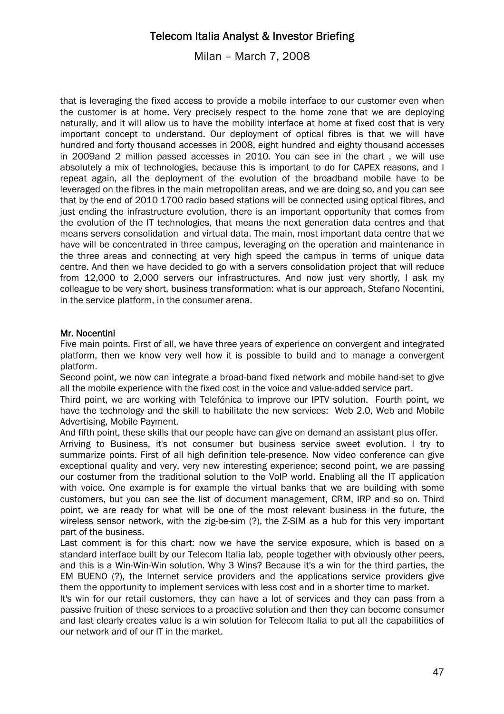Milan – March 7, 2008

that is leveraging the fixed access to provide a mobile interface to our customer even when the customer is at home. Very precisely respect to the home zone that we are deploying naturally, and it will allow us to have the mobility interface at home at fixed cost that is very important concept to understand. Our deployment of optical fibres is that we will have hundred and forty thousand accesses in 2008, eight hundred and eighty thousand accesses in 2009and 2 million passed accesses in 2010. You can see in the chart , we will use absolutely a mix of technologies, because this is important to do for CAPEX reasons, and I repeat again, all the deployment of the evolution of the broadband mobile have to be leveraged on the fibres in the main metropolitan areas, and we are doing so, and you can see that by the end of 2010 1700 radio based stations will be connected using optical fibres, and just ending the infrastructure evolution, there is an important opportunity that comes from the evolution of the IT technologies, that means the next generation data centres and that means servers consolidation and virtual data. The main, most important data centre that we have will be concentrated in three campus, leveraging on the operation and maintenance in the three areas and connecting at very high speed the campus in terms of unique data centre. And then we have decided to go with a servers consolidation project that will reduce from 12,000 to 2,000 servers our infrastructures. And now just very shortly, I ask my colleague to be very short, business transformation: what is our approach, Stefano Nocentini, in the service platform, in the consumer arena.

### Mr. Nocentini

Five main points. First of all, we have three years of experience on convergent and integrated platform, then we know very well how it is possible to build and to manage a convergent platform.

Second point, we now can integrate a broad-band fixed network and mobile hand-set to give all the mobile experience with the fixed cost in the voice and value-added service part.

Third point, we are working with Telefónica to improve our IPTV solution. Fourth point, we have the technology and the skill to habilitate the new services: Web 2.0, Web and Mobile Advertising, Mobile Payment.

And fifth point, these skills that our people have can give on demand an assistant plus offer.

Arriving to Business, it's not consumer but business service sweet evolution. I try to summarize points. First of all high definition tele-presence. Now video conference can give exceptional quality and very, very new interesting experience; second point, we are passing our costumer from the traditional solution to the VoIP world. Enabling all the IT application with voice. One example is for example the virtual banks that we are building with some customers, but you can see the list of document management, CRM, IRP and so on. Third point, we are ready for what will be one of the most relevant business in the future, the wireless sensor network, with the zig-be-sim (?), the Z-SIM as a hub for this very important part of the business.

Last comment is for this chart: now we have the service exposure, which is based on a standard interface built by our Telecom Italia lab, people together with obviously other peers, and this is a Win-Win-Win solution. Why 3 Wins? Because it's a win for the third parties, the EM BUENO (?), the Internet service providers and the applications service providers give them the opportunity to implement services with less cost and in a shorter time to market.

It's win for our retail customers, they can have a lot of services and they can pass from a passive fruition of these services to a proactive solution and then they can become consumer and last clearly creates value is a win solution for Telecom Italia to put all the capabilities of our network and of our IT in the market.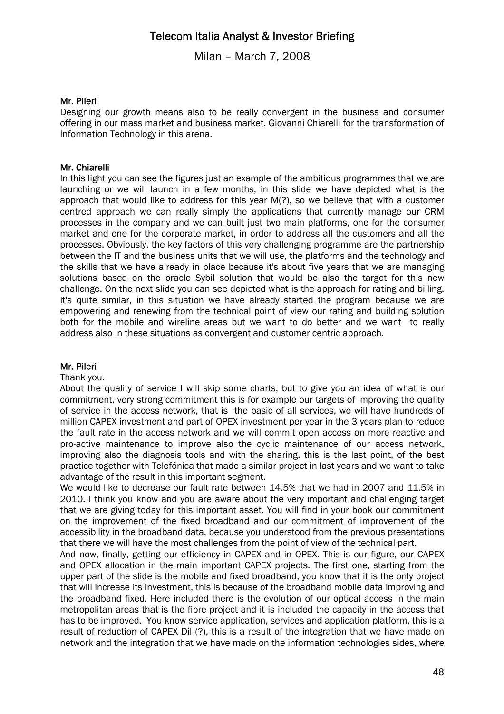Milan – March 7, 2008

#### Mr. Pileri

Designing our growth means also to be really convergent in the business and consumer offering in our mass market and business market. Giovanni Chiarelli for the transformation of Information Technology in this arena.

#### Mr. Chiarelli

In this light you can see the figures just an example of the ambitious programmes that we are launching or we will launch in a few months, in this slide we have depicted what is the approach that would like to address for this year M(?), so we believe that with a customer centred approach we can really simply the applications that currently manage our CRM processes in the company and we can built just two main platforms, one for the consumer market and one for the corporate market, in order to address all the customers and all the processes. Obviously, the key factors of this very challenging programme are the partnership between the IT and the business units that we will use, the platforms and the technology and the skills that we have already in place because it's about five years that we are managing solutions based on the oracle Sybil solution that would be also the target for this new challenge. On the next slide you can see depicted what is the approach for rating and billing. It's quite similar, in this situation we have already started the program because we are empowering and renewing from the technical point of view our rating and building solution both for the mobile and wireline areas but we want to do better and we want to really address also in these situations as convergent and customer centric approach.

#### Mr. Pileri

Thank you.

About the quality of service I will skip some charts, but to give you an idea of what is our commitment, very strong commitment this is for example our targets of improving the quality of service in the access network, that is the basic of all services, we will have hundreds of million CAPEX investment and part of OPEX investment per year in the 3 years plan to reduce the fault rate in the access network and we will commit open access on more reactive and pro-active maintenance to improve also the cyclic maintenance of our access network, improving also the diagnosis tools and with the sharing, this is the last point, of the best practice together with Telefónica that made a similar project in last years and we want to take advantage of the result in this important segment.

We would like to decrease our fault rate between 14.5% that we had in 2007 and 11.5% in 2010. I think you know and you are aware about the very important and challenging target that we are giving today for this important asset. You will find in your book our commitment on the improvement of the fixed broadband and our commitment of improvement of the accessibility in the broadband data, because you understood from the previous presentations that there we will have the most challenges from the point of view of the technical part.

And now, finally, getting our efficiency in CAPEX and in OPEX. This is our figure, our CAPEX and OPEX allocation in the main important CAPEX projects. The first one, starting from the upper part of the slide is the mobile and fixed broadband, you know that it is the only project that will increase its investment, this is because of the broadband mobile data improving and the broadband fixed. Here included there is the evolution of our optical access in the main metropolitan areas that is the fibre project and it is included the capacity in the access that has to be improved. You know service application, services and application platform, this is a result of reduction of CAPEX Dil (?), this is a result of the integration that we have made on network and the integration that we have made on the information technologies sides, where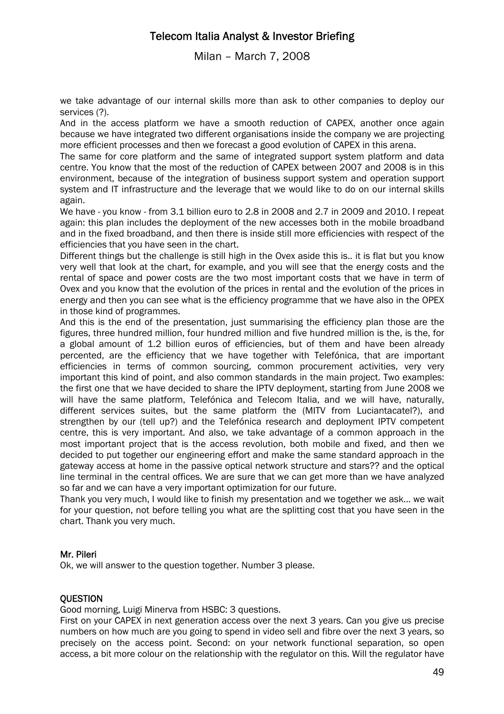Milan – March 7, 2008

we take advantage of our internal skills more than ask to other companies to deploy our services (?).

And in the access platform we have a smooth reduction of CAPEX, another once again because we have integrated two different organisations inside the company we are projecting more efficient processes and then we forecast a good evolution of CAPEX in this arena.

The same for core platform and the same of integrated support system platform and data centre. You know that the most of the reduction of CAPEX between 2007 and 2008 is in this environment, because of the integration of business support system and operation support system and IT infrastructure and the leverage that we would like to do on our internal skills again.

We have - you know - from 3.1 billion euro to 2.8 in 2008 and 2.7 in 2009 and 2010. I repeat again: this plan includes the deployment of the new accesses both in the mobile broadband and in the fixed broadband, and then there is inside still more efficiencies with respect of the efficiencies that you have seen in the chart.

Different things but the challenge is still high in the Ovex aside this is.. it is flat but you know very well that look at the chart, for example, and you will see that the energy costs and the rental of space and power costs are the two most important costs that we have in term of Ovex and you know that the evolution of the prices in rental and the evolution of the prices in energy and then you can see what is the efficiency programme that we have also in the OPEX in those kind of programmes.

And this is the end of the presentation, just summarising the efficiency plan those are the figures, three hundred million, four hundred million and five hundred million is the, is the, for a global amount of 1.2 billion euros of efficiencies, but of them and have been already percented, are the efficiency that we have together with Telefónica, that are important efficiencies in terms of common sourcing, common procurement activities, very very important this kind of point, and also common standards in the main project. Two examples: the first one that we have decided to share the IPTV deployment, starting from June 2008 we will have the same platform, Telefónica and Telecom Italia, and we will have, naturally, different services suites, but the same platform the (MITV from Luciantacatel?), and strengthen by our (tell up?) and the Telefónica research and deployment IPTV competent centre, this is very important. And also, we take advantage of a common approach in the most important project that is the access revolution, both mobile and fixed, and then we decided to put together our engineering effort and make the same standard approach in the gateway access at home in the passive optical network structure and stars?? and the optical line terminal in the central offices. We are sure that we can get more than we have analyzed so far and we can have a very important optimization for our future.

Thank you very much, I would like to finish my presentation and we together we ask... we wait for your question, not before telling you what are the splitting cost that you have seen in the chart. Thank you very much.

### Mr. Pileri

Ok, we will answer to the question together. Number 3 please.

### **OUESTION**

Good morning, Luigi Minerva from HSBC: 3 questions.

First on your CAPEX in next generation access over the next 3 years. Can you give us precise numbers on how much are you going to spend in video sell and fibre over the next 3 years, so precisely on the access point. Second: on your network functional separation, so open access, a bit more colour on the relationship with the regulator on this. Will the regulator have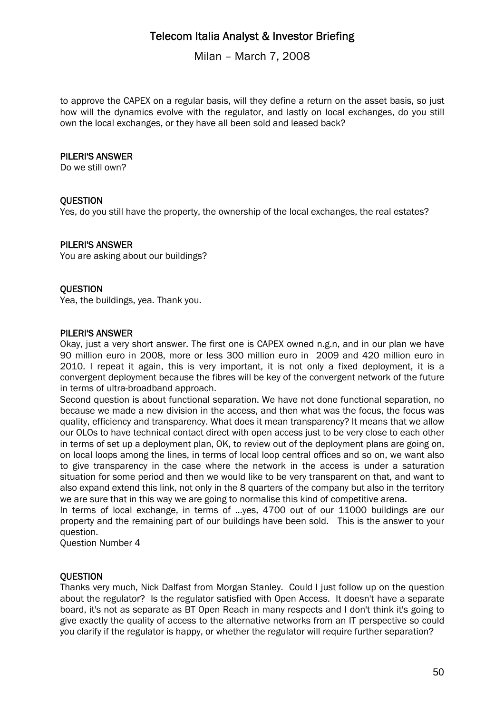Milan – March 7, 2008

to approve the CAPEX on a regular basis, will they define a return on the asset basis, so just how will the dynamics evolve with the regulator, and lastly on local exchanges, do you still own the local exchanges, or they have all been sold and leased back?

### PILERI'S ANSWER

Do we still own?

### **OUESTION**

Yes, do you still have the property, the ownership of the local exchanges, the real estates?

### PILERI'S ANSWER

You are asking about our buildings?

### **QUESTION**

Yea, the buildings, yea. Thank you.

### PILERI'S ANSWER

Okay, just a very short answer. The first one is CAPEX owned n.g.n, and in our plan we have 90 million euro in 2008, more or less 300 million euro in 2009 and 420 million euro in 2010. I repeat it again, this is very important, it is not only a fixed deployment, it is a convergent deployment because the fibres will be key of the convergent network of the future in terms of ultra-broadband approach.

Second question is about functional separation. We have not done functional separation, no because we made a new division in the access, and then what was the focus, the focus was quality, efficiency and transparency. What does it mean transparency? It means that we allow our OLOs to have technical contact direct with open access just to be very close to each other in terms of set up a deployment plan, OK, to review out of the deployment plans are going on, on local loops among the lines, in terms of local loop central offices and so on, we want also to give transparency in the case where the network in the access is under a saturation situation for some period and then we would like to be very transparent on that, and want to also expand extend this link, not only in the 8 quarters of the company but also in the territory we are sure that in this way we are going to normalise this kind of competitive arena.

In terms of local exchange, in terms of ...yes, 4700 out of our 11000 buildings are our property and the remaining part of our buildings have been sold. This is the answer to your question.

Question Number 4

### **OUESTION**

Thanks very much, Nick Dalfast from Morgan Stanley. Could I just follow up on the question about the regulator? Is the regulator satisfied with Open Access. It doesn't have a separate board, it's not as separate as BT Open Reach in many respects and I don't think it's going to give exactly the quality of access to the alternative networks from an IT perspective so could you clarify if the regulator is happy, or whether the regulator will require further separation?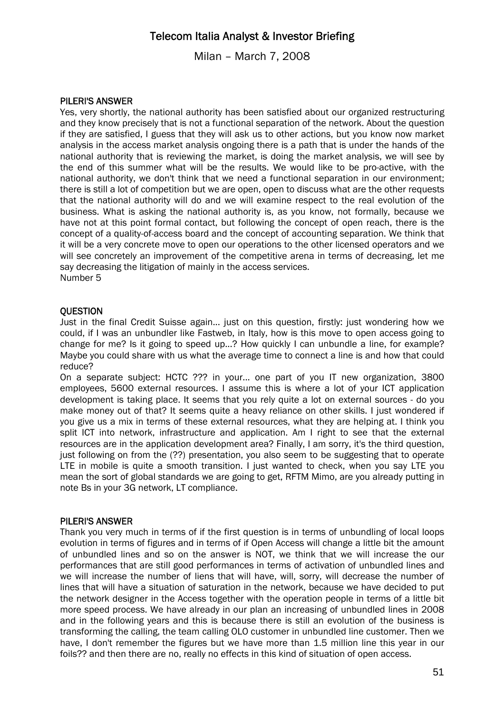Milan – March 7, 2008

### PILERI'S ANSWER

Yes, very shortly, the national authority has been satisfied about our organized restructuring and they know precisely that is not a functional separation of the network. About the question if they are satisfied, I guess that they will ask us to other actions, but you know now market analysis in the access market analysis ongoing there is a path that is under the hands of the national authority that is reviewing the market, is doing the market analysis, we will see by the end of this summer what will be the results. We would like to be pro-active, with the national authority, we don't think that we need a functional separation in our environment; there is still a lot of competition but we are open, open to discuss what are the other requests that the national authority will do and we will examine respect to the real evolution of the business. What is asking the national authority is, as you know, not formally, because we have not at this point formal contact, but following the concept of open reach, there is the concept of a quality-of-access board and the concept of accounting separation. We think that it will be a very concrete move to open our operations to the other licensed operators and we will see concretely an improvement of the competitive arena in terms of decreasing, let me say decreasing the litigation of mainly in the access services. Number 5

### **OUESTION**

Just in the final Credit Suisse again... just on this question, firstly: just wondering how we could, if I was an unbundler like Fastweb, in Italy, how is this move to open access going to change for me? Is it going to speed up...? How quickly I can unbundle a line, for example? Maybe you could share with us what the average time to connect a line is and how that could reduce?

On a separate subject: HCTC ??? in your... one part of you IT new organization, 3800 employees, 5600 external resources. I assume this is where a lot of your ICT application development is taking place. It seems that you rely quite a lot on external sources - do you make money out of that? It seems quite a heavy reliance on other skills. I just wondered if you give us a mix in terms of these external resources, what they are helping at. I think you split ICT into network, infrastructure and application. Am I right to see that the external resources are in the application development area? Finally, I am sorry, it's the third question, just following on from the (??) presentation, you also seem to be suggesting that to operate LTE in mobile is quite a smooth transition. I just wanted to check, when you say LTE you mean the sort of global standards we are going to get, RFTM Mimo, are you already putting in note Bs in your 3G network, LT compliance.

### PILERI'S ANSWER

Thank you very much in terms of if the first question is in terms of unbundling of local loops evolution in terms of figures and in terms of if Open Access will change a little bit the amount of unbundled lines and so on the answer is NOT, we think that we will increase the our performances that are still good performances in terms of activation of unbundled lines and we will increase the number of liens that will have, will, sorry, will decrease the number of lines that will have a situation of saturation in the network, because we have decided to put the network designer in the Access together with the operation people in terms of a little bit more speed process. We have already in our plan an increasing of unbundled lines in 2008 and in the following years and this is because there is still an evolution of the business is transforming the calling, the team calling OLO customer in unbundled line customer. Then we have, I don't remember the figures but we have more than 1.5 million line this year in our foils?? and then there are no, really no effects in this kind of situation of open access.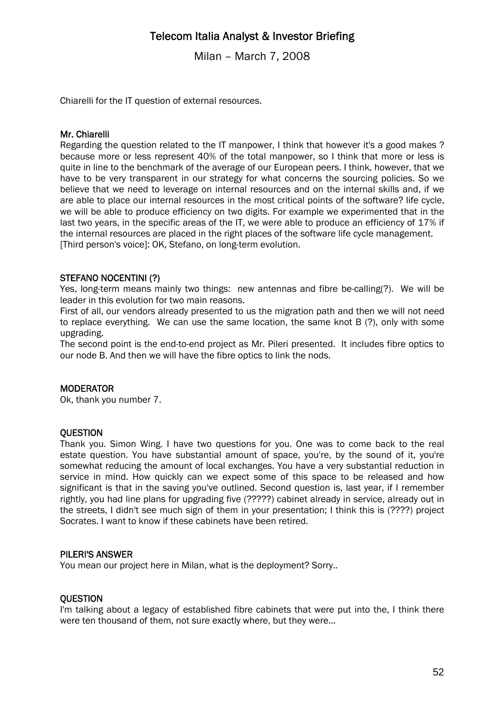Milan – March 7, 2008

Chiarelli for the IT question of external resources.

#### Mr. Chiarelli

Regarding the question related to the IT manpower, I think that however it's a good makes ? because more or less represent 40% of the total manpower, so I think that more or less is quite in line to the benchmark of the average of our European peers. I think, however, that we have to be very transparent in our strategy for what concerns the sourcing policies. So we believe that we need to leverage on internal resources and on the internal skills and, if we are able to place our internal resources in the most critical points of the software? life cycle, we will be able to produce efficiency on two digits. For example we experimented that in the last two years, in the specific areas of the IT, we were able to produce an efficiency of 17% if the internal resources are placed in the right places of the software life cycle management. [Third person's voice]: OK, Stefano, on long-term evolution.

#### STEFANO NOCENTINI (?)

Yes, long-term means mainly two things: new antennas and fibre be-calling(?). We will be leader in this evolution for two main reasons.

First of all, our vendors already presented to us the migration path and then we will not need to replace everything. We can use the same location, the same knot B (?), only with some upgrading.

The second point is the end-to-end project as Mr. Pileri presented. It includes fibre optics to our node B. And then we will have the fibre optics to link the nods.

#### **MODERATOR**

Ok, thank you number 7.

#### **OUESTION**

Thank you. Simon Wing. I have two questions for you. One was to come back to the real estate question. You have substantial amount of space, you're, by the sound of it, you're somewhat reducing the amount of local exchanges. You have a very substantial reduction in service in mind. How quickly can we expect some of this space to be released and how significant is that in the saving you've outlined. Second question is, last year, if I remember rightly, you had line plans for upgrading five (?????) cabinet already in service, already out in the streets, I didn't see much sign of them in your presentation; I think this is (????) project Socrates. I want to know if these cabinets have been retired.

#### PILERI'S ANSWER

You mean our project here in Milan, what is the deployment? Sorry..

#### **OUESTION**

I'm talking about a legacy of established fibre cabinets that were put into the, I think there were ten thousand of them, not sure exactly where, but they were...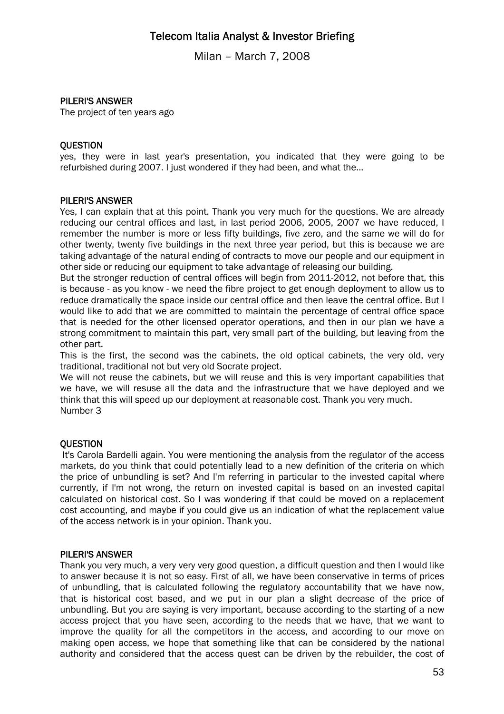Milan – March 7, 2008

### PILERI'S ANSWER

The project of ten years ago

#### **OUESTION**

yes, they were in last year's presentation, you indicated that they were going to be refurbished during 2007. I just wondered if they had been, and what the...

#### PILERI'S ANSWER

Yes, I can explain that at this point. Thank you very much for the questions. We are already reducing our central offices and last, in last period 2006, 2005, 2007 we have reduced, I remember the number is more or less fifty buildings, five zero, and the same we will do for other twenty, twenty five buildings in the next three year period, but this is because we are taking advantage of the natural ending of contracts to move our people and our equipment in other side or reducing our equipment to take advantage of releasing our building.

But the stronger reduction of central offices will begin from 2011-2012, not before that, this is because - as you know - we need the fibre project to get enough deployment to allow us to reduce dramatically the space inside our central office and then leave the central office. But I would like to add that we are committed to maintain the percentage of central office space that is needed for the other licensed operator operations, and then in our plan we have a strong commitment to maintain this part, very small part of the building, but leaving from the other part.

This is the first, the second was the cabinets, the old optical cabinets, the very old, very traditional, traditional not but very old Socrate project.

We will not reuse the cabinets, but we will reuse and this is very important capabilities that we have, we will resuse all the data and the infrastructure that we have deployed and we think that this will speed up our deployment at reasonable cost. Thank you very much. Number 3

### **OUESTION**

 It's Carola Bardelli again. You were mentioning the analysis from the regulator of the access markets, do you think that could potentially lead to a new definition of the criteria on which the price of unbundling is set? And I'm referring in particular to the invested capital where currently, if I'm not wrong, the return on invested capital is based on an invested capital calculated on historical cost. So I was wondering if that could be moved on a replacement cost accounting, and maybe if you could give us an indication of what the replacement value of the access network is in your opinion. Thank you.

### PILERI'S ANSWER

Thank you very much, a very very very good question, a difficult question and then I would like to answer because it is not so easy. First of all, we have been conservative in terms of prices of unbundling, that is calculated following the regulatory accountability that we have now, that is historical cost based, and we put in our plan a slight decrease of the price of unbundling. But you are saying is very important, because according to the starting of a new access project that you have seen, according to the needs that we have, that we want to improve the quality for all the competitors in the access, and according to our move on making open access, we hope that something like that can be considered by the national authority and considered that the access quest can be driven by the rebuilder, the cost of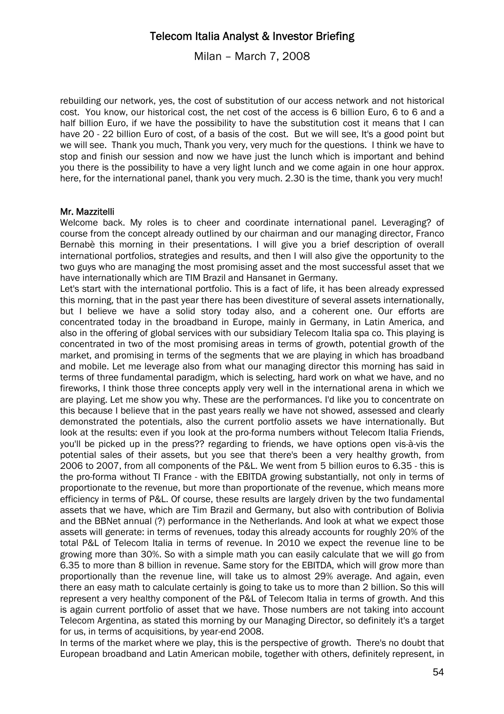Milan – March 7, 2008

rebuilding our network, yes, the cost of substitution of our access network and not historical cost. You know, our historical cost, the net cost of the access is 6 billion Euro, 6 to 6 and a half billion Euro, if we have the possibility to have the substitution cost it means that I can have 20 - 22 billion Euro of cost, of a basis of the cost. But we will see, It's a good point but we will see. Thank you much, Thank you very, very much for the questions. I think we have to stop and finish our session and now we have just the lunch which is important and behind you there is the possibility to have a very light lunch and we come again in one hour approx. here, for the international panel, thank you very much. 2.30 is the time, thank you very much!

#### Mr. Mazzitelli

Welcome back. My roles is to cheer and coordinate international panel. Leveraging? of course from the concept already outlined by our chairman and our managing director, Franco Bernabè this morning in their presentations. I will give you a brief description of overall international portfolios, strategies and results, and then I will also give the opportunity to the two guys who are managing the most promising asset and the most successful asset that we have internationally which are TIM Brazil and Hansanet in Germany.

Let's start with the international portfolio. This is a fact of life, it has been already expressed this morning, that in the past year there has been divestiture of several assets internationally, but I believe we have a solid story today also, and a coherent one. Our efforts are concentrated today in the broadband in Europe, mainly in Germany, in Latin America, and also in the offering of global services with our subsidiary Telecom Italia spa co. This playing is concentrated in two of the most promising areas in terms of growth, potential growth of the market, and promising in terms of the segments that we are playing in which has broadband and mobile. Let me leverage also from what our managing director this morning has said in terms of three fundamental paradigm, which is selecting, hard work on what we have, and no fireworks, I think those three concepts apply very well in the international arena in which we are playing. Let me show you why. These are the performances. I'd like you to concentrate on this because I believe that in the past years really we have not showed, assessed and clearly demonstrated the potentials, also the current portfolio assets we have internationally. But look at the results: even if you look at the pro-forma numbers without Telecom Italia Friends, you'll be picked up in the press?? regarding to friends, we have options open vis-à-vis the potential sales of their assets, but you see that there's been a very healthy growth, from 2006 to 2007, from all components of the P&L. We went from 5 billion euros to 6.35 - this is the pro-forma without TI France - with the EBITDA growing substantially, not only in terms of proportionate to the revenue, but more than proportionate of the revenue, which means more efficiency in terms of P&L. Of course, these results are largely driven by the two fundamental assets that we have, which are Tim Brazil and Germany, but also with contribution of Bolivia and the BBNet annual (?) performance in the Netherlands. And look at what we expect those assets will generate: in terms of revenues, today this already accounts for roughly 20% of the total P&L of Telecom Italia in terms of revenue. In 2010 we expect the revenue line to be growing more than 30%. So with a simple math you can easily calculate that we will go from 6.35 to more than 8 billion in revenue. Same story for the EBITDA, which will grow more than proportionally than the revenue line, will take us to almost 29% average. And again, even there an easy math to calculate certainly is going to take us to more than 2 billion. So this will represent a very healthy component of the P&L of Telecom Italia in terms of growth. And this is again current portfolio of asset that we have. Those numbers are not taking into account Telecom Argentina, as stated this morning by our Managing Director, so definitely it's a target for us, in terms of acquisitions, by year-end 2008.

In terms of the market where we play, this is the perspective of growth. There's no doubt that European broadband and Latin American mobile, together with others, definitely represent, in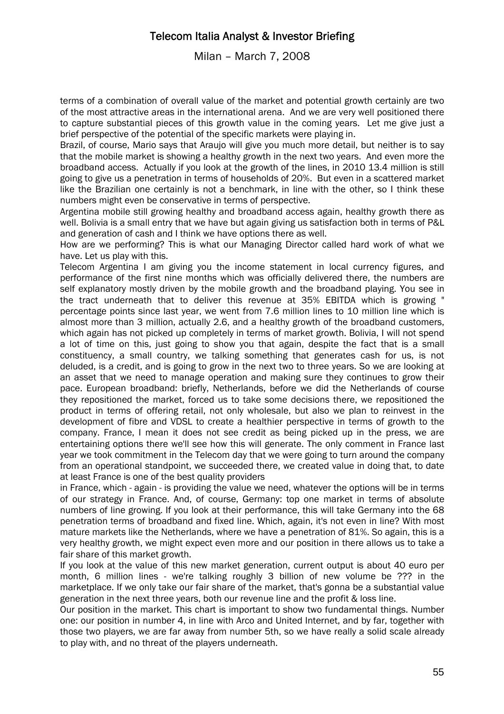Milan – March 7, 2008

terms of a combination of overall value of the market and potential growth certainly are two of the most attractive areas in the international arena. And we are very well positioned there to capture substantial pieces of this growth value in the coming years. Let me give just a brief perspective of the potential of the specific markets were playing in.

Brazil, of course, Mario says that Araujo will give you much more detail, but neither is to say that the mobile market is showing a healthy growth in the next two years. And even more the broadband access. Actually if you look at the growth of the lines, in 2010 13.4 million is still going to give us a penetration in terms of households of 20%. But even in a scattered market like the Brazilian one certainly is not a benchmark, in line with the other, so I think these numbers might even be conservative in terms of perspective.

Argentina mobile still growing healthy and broadband access again, healthy growth there as well. Bolivia is a small entry that we have but again giving us satisfaction both in terms of P&L and generation of cash and I think we have options there as well.

How are we performing? This is what our Managing Director called hard work of what we have. Let us play with this.

Telecom Argentina I am giving you the income statement in local currency figures, and performance of the first nine months which was officially delivered there, the numbers are self explanatory mostly driven by the mobile growth and the broadband playing. You see in the tract underneath that to deliver this revenue at 35% EBITDA which is growing " percentage points since last year, we went from 7.6 million lines to 10 million line which is almost more than 3 million, actually 2.6, and a healthy growth of the broadband customers, which again has not picked up completely in terms of market growth. Bolivia, I will not spend a lot of time on this, just going to show you that again, despite the fact that is a small constituency, a small country, we talking something that generates cash for us, is not deluded, is a credit, and is going to grow in the next two to three years. So we are looking at an asset that we need to manage operation and making sure they continues to grow their pace. European broadband: briefly, Netherlands, before we did the Netherlands of course they repositioned the market, forced us to take some decisions there, we repositioned the product in terms of offering retail, not only wholesale, but also we plan to reinvest in the development of fibre and VDSL to create a healthier perspective in terms of growth to the company. France, I mean it does not see credit as being picked up in the press, we are entertaining options there we'll see how this will generate. The only comment in France last year we took commitment in the Telecom day that we were going to turn around the company from an operational standpoint, we succeeded there, we created value in doing that, to date at least France is one of the best quality providers

in France, which - again - is providing the value we need, whatever the options will be in terms of our strategy in France. And, of course, Germany: top one market in terms of absolute numbers of line growing. If you look at their performance, this will take Germany into the 68 penetration terms of broadband and fixed line. Which, again, it's not even in line? With most mature markets like the Netherlands, where we have a penetration of 81%. So again, this is a very healthy growth, we might expect even more and our position in there allows us to take a fair share of this market growth.

If you look at the value of this new market generation, current output is about 40 euro per month, 6 million lines - we're talking roughly 3 billion of new volume be ??? in the marketplace. If we only take our fair share of the market, that's gonna be a substantial value generation in the next three years, both our revenue line and the profit & loss line.

Our position in the market. This chart is important to show two fundamental things. Number one: our position in number 4, in line with Arco and United Internet, and by far, together with those two players, we are far away from number 5th, so we have really a solid scale already to play with, and no threat of the players underneath.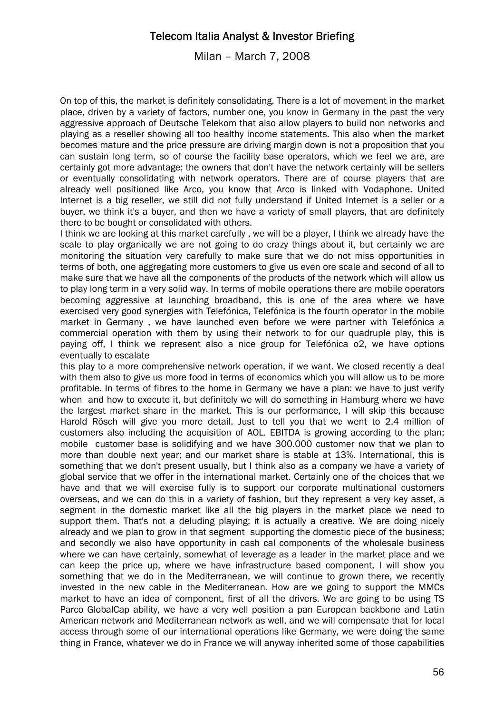Milan – March 7, 2008

On top of this, the market is definitely consolidating. There is a lot of movement in the market place, driven by a variety of factors, number one, you know in Germany in the past the very aggressive approach of Deutsche Telekom that also allow players to build non networks and playing as a reseller showing all too healthy income statements. This also when the market becomes mature and the price pressure are driving margin down is not a proposition that you can sustain long term, so of course the facility base operators, which we feel we are, are certainly got more advantage; the owners that don't have the network certainly will be sellers or eventually consolidating with network operators. There are of course players that are already well positioned like Arco, you know that Arco is linked with Vodaphone. United Internet is a big reseller, we still did not fully understand if United Internet is a seller or a buyer, we think it's a buyer, and then we have a variety of small players, that are definitely there to be bought or consolidated with others.

I think we are looking at this market carefully , we will be a player, I think we already have the scale to play organically we are not going to do crazy things about it, but certainly we are monitoring the situation very carefully to make sure that we do not miss opportunities in terms of both, one aggregating more customers to give us even ore scale and second of all to make sure that we have all the components of the products of the network which will allow us to play long term in a very solid way. In terms of mobile operations there are mobile operators becoming aggressive at launching broadband, this is one of the area where we have exercised very good synergies with Telefónica, Telefónica is the fourth operator in the mobile market in Germany , we have launched even before we were partner with Telefónica a commercial operation with them by using their network to for our quadruple play, this is paying off, I think we represent also a nice group for Telefónica o2, we have options eventually to escalate

this play to a more comprehensive network operation, if we want. We closed recently a deal with them also to give us more food in terms of economics which you will allow us to be more profitable. In terms of fibres to the home in Germany we have a plan: we have to just verify when and how to execute it, but definitely we will do something in Hamburg where we have the largest market share in the market. This is our performance, I will skip this because Harold Rösch will give you more detail. Just to tell you that we went to 2.4 million of customers also including the acquisition of AOL. EBITDA is growing according to the plan; mobile customer base is solidifying and we have 300.000 customer now that we plan to more than double next year; and our market share is stable at 13%. International, this is something that we don't present usually, but I think also as a company we have a variety of global service that we offer in the international market. Certainly one of the choices that we have and that we will exercise fully is to support our corporate multinational customers overseas, and we can do this in a variety of fashion, but they represent a very key asset, a segment in the domestic market like all the big players in the market place we need to support them. That's not a deluding playing; it is actually a creative. We are doing nicely already and we plan to grow in that segment supporting the domestic piece of the business; and secondly we also have opportunity in cash cal components of the wholesale business where we can have certainly, somewhat of leverage as a leader in the market place and we can keep the price up, where we have infrastructure based component, I will show you something that we do in the Mediterranean, we will continue to grown there, we recently invested in the new cable in the Mediterranean. How are we going to support the MMCs market to have an idea of component, first of all the drivers. We are going to be using TS Parco GlobalCap ability, we have a very well position a pan European backbone and Latin American network and Mediterranean network as well, and we will compensate that for local access through some of our international operations like Germany, we were doing the same thing in France, whatever we do in France we will anyway inherited some of those capabilities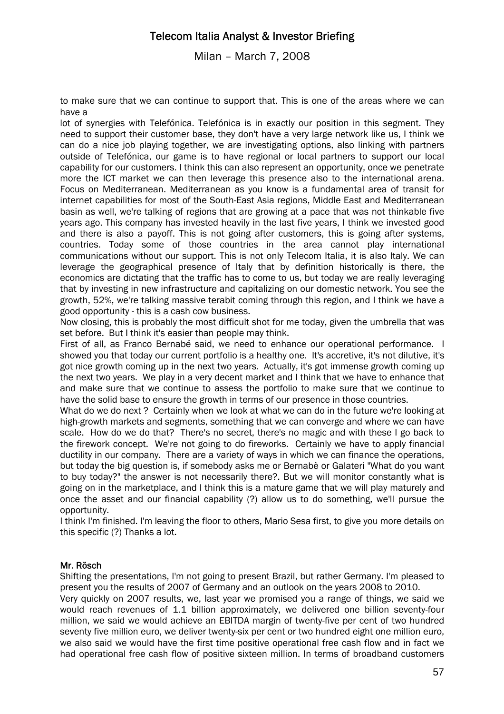Milan – March 7, 2008

to make sure that we can continue to support that. This is one of the areas where we can have a

lot of synergies with Telefónica. Telefónica is in exactly our position in this segment. They need to support their customer base, they don't have a very large network like us, I think we can do a nice job playing together, we are investigating options, also linking with partners outside of Telefónica, our game is to have regional or local partners to support our local capability for our customers. I think this can also represent an opportunity, once we penetrate more the ICT market we can then leverage this presence also to the international arena. Focus on Mediterranean. Mediterranean as you know is a fundamental area of transit for internet capabilities for most of the South-East Asia regions, Middle East and Mediterranean basin as well, we're talking of regions that are growing at a pace that was not thinkable five years ago. This company has invested heavily in the last five years, I think we invested good and there is also a payoff. This is not going after customers, this is going after systems, countries. Today some of those countries in the area cannot play international communications without our support. This is not only Telecom Italia, it is also Italy. We can leverage the geographical presence of Italy that by definition historically is there, the economics are dictating that the traffic has to come to us, but today we are really leveraging that by investing in new infrastructure and capitalizing on our domestic network. You see the growth, 52%, we're talking massive terabit coming through this region, and I think we have a good opportunity - this is a cash cow business.

Now closing, this is probably the most difficult shot for me today, given the umbrella that was set before. But I think it's easier than people may think.

First of all, as Franco Bernabé said, we need to enhance our operational performance. I showed you that today our current portfolio is a healthy one. It's accretive, it's not dilutive, it's got nice growth coming up in the next two years. Actually, it's got immense growth coming up the next two years. We play in a very decent market and I think that we have to enhance that and make sure that we continue to assess the portfolio to make sure that we continue to have the solid base to ensure the growth in terms of our presence in those countries.

What do we do next ? Certainly when we look at what we can do in the future we're looking at high-growth markets and segments, something that we can converge and where we can have scale. How do we do that? There's no secret, there's no magic and with these I go back to the firework concept. We're not going to do fireworks. Certainly we have to apply financial ductility in our company. There are a variety of ways in which we can finance the operations, but today the big question is, if somebody asks me or Bernabè or Galateri "What do you want to buy today?" the answer is not necessarily there?. But we will monitor constantly what is going on in the marketplace, and I think this is a mature game that we will play maturely and once the asset and our financial capability (?) allow us to do something, we'll pursue the opportunity.

I think I'm finished. I'm leaving the floor to others, Mario Sesa first, to give you more details on this specific (?) Thanks a lot.

### Mr. Rösch

Shifting the presentations, I'm not going to present Brazil, but rather Germany. I'm pleased to present you the results of 2007 of Germany and an outlook on the years 2008 to 2010.

Very quickly on 2007 results, we, last year we promised you a range of things, we said we would reach revenues of 1.1 billion approximately, we delivered one billion seventy-four million, we said we would achieve an EBITDA margin of twenty-five per cent of two hundred seventy five million euro, we deliver twenty-six per cent or two hundred eight one million euro, we also said we would have the first time positive operational free cash flow and in fact we had operational free cash flow of positive sixteen million. In terms of broadband customers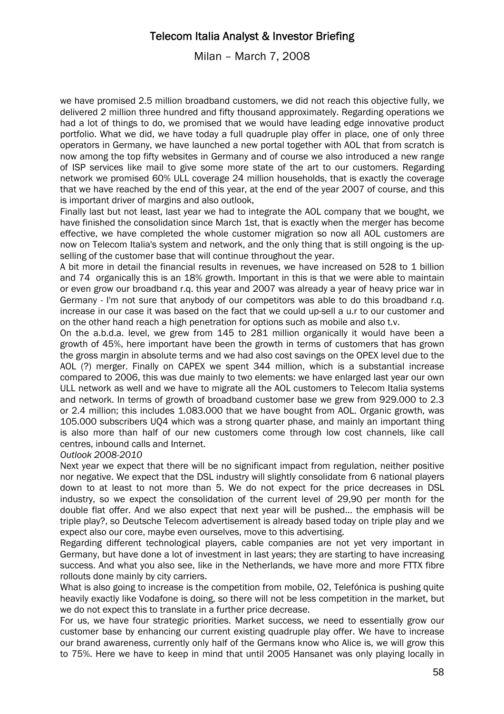Milan – March 7, 2008

we have promised 2.5 million broadband customers, we did not reach this objective fully, we delivered 2 million three hundred and fifty thousand approximately. Regarding operations we had a lot of things to do, we promised that we would have leading edge innovative product portfolio. What we did, we have today a full quadruple play offer in place, one of only three operators in Germany, we have launched a new portal together with AOL that from scratch is now among the top fifty websites in Germany and of course we also introduced a new range of ISP services like mail to give some more state of the art to our customers. Regarding network we promised 60% ULL coverage 24 million households, that is exactly the coverage that we have reached by the end of this year, at the end of the year 2007 of course, and this is important driver of margins and also outlook,

Finally last but not least, last year we had to integrate the AOL company that we bought, we have finished the consolidation since March 1st, that is exactly when the merger has become effective, we have completed the whole customer migration so now all AOL customers are now on Telecom Italia's system and network, and the only thing that is still ongoing is the upselling of the customer base that will continue throughout the year.

A bit more in detail the financial results in revenues, we have increased on 528 to 1 billion and 74 organically this is an 18% growth. Important in this is that we were able to maintain or even grow our broadband r.q. this year and 2007 was already a year of heavy price war in Germany - I'm not sure that anybody of our competitors was able to do this broadband r.q. increase in our case it was based on the fact that we could up-sell a u.r to our customer and on the other hand reach a high penetration for options such as mobile and also t.v.

On the a.b.d.a. level, we grew from 145 to 281 million organically it would have been a growth of 45%, here important have been the growth in terms of customers that has grown the gross margin in absolute terms and we had also cost savings on the OPEX level due to the AOL (?) merger. Finally on CAPEX we spent 344 million, which is a substantial increase compared to 2006, this was due mainly to two elements: we have enlarged last year our own ULL network as well and we have to migrate all the AOL customers to Telecom Italia systems and network. In terms of growth of broadband customer base we grew from 929.000 to 2.3 or 2.4 million; this includes 1.083.000 that we have bought from AOL. Organic growth, was 105.000 subscribers UQ4 which was a strong quarter phase, and mainly an important thing is also more than half of our new customers come through low cost channels, like call centres, inbound calls and Internet.

*Outlook 2008-2010* 

Next year we expect that there will be no significant impact from regulation, neither positive nor negative. We expect that the DSL industry will slightly consolidate from 6 national players down to at least to not more than 5. We do not expect for the price decreases in DSL industry, so we expect the consolidation of the current level of 29,90 per month for the double flat offer. And we also expect that next year will be pushed... the emphasis will be triple play?, so Deutsche Telecom advertisement is already based today on triple play and we expect also our core, maybe even ourselves, move to this advertising.

Regarding different technological players, cable companies are not yet very important in Germany, but have done a lot of investment in last years; they are starting to have increasing success. And what you also see, like in the Netherlands, we have more and more FTTX fibre rollouts done mainly by city carriers.

What is also going to increase is the competition from mobile, 02, Telefónica is pushing quite heavily exactly like Vodafone is doing, so there will not be less competition in the market, but we do not expect this to translate in a further price decrease.

For us, we have four strategic priorities. Market success, we need to essentially grow our customer base by enhancing our current existing quadruple play offer. We have to increase our brand awareness, currently only half of the Germans know who Alice is, we will grow this to 75%. Here we have to keep in mind that until 2005 Hansanet was only playing locally in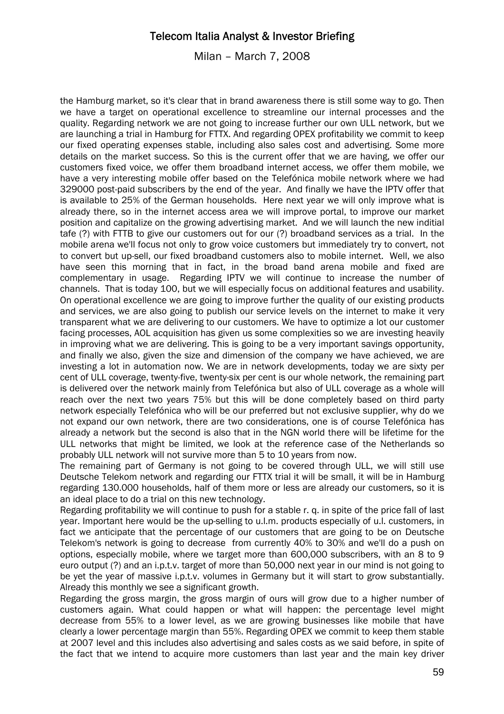Milan – March 7, 2008

the Hamburg market, so it's clear that in brand awareness there is still some way to go. Then we have a target on operational excellence to streamline our internal processes and the quality. Regarding network we are not going to increase further our own ULL network, but we are launching a trial in Hamburg for FTTX. And regarding OPEX profitability we commit to keep our fixed operating expenses stable, including also sales cost and advertising. Some more details on the market success. So this is the current offer that we are having, we offer our customers fixed voice, we offer them broadband internet access, we offer them mobile, we have a very interesting mobile offer based on the Telefónica mobile network where we had 329000 post-paid subscribers by the end of the year. And finally we have the IPTV offer that is available to 25% of the German households. Here next year we will only improve what is already there, so in the internet access area we will improve portal, to improve our market position and capitalize on the growing advertising market. And we will launch the new inditial tafe (?) with FTTB to give our customers out for our (?) broadband services as a trial. In the mobile arena we'll focus not only to grow voice customers but immediately try to convert, not to convert but up-sell, our fixed broadband customers also to mobile internet. Well, we also have seen this morning that in fact, in the broad band arena mobile and fixed are complementary in usage. Regarding IPTV we will continue to increase the number of channels. That is today 100, but we will especially focus on additional features and usability. On operational excellence we are going to improve further the quality of our existing products and services, we are also going to publish our service levels on the internet to make it very transparent what we are delivering to our customers. We have to optimize a lot our customer facing processes, AOL acquisition has given us some complexities so we are investing heavily in improving what we are delivering. This is going to be a very important savings opportunity, and finally we also, given the size and dimension of the company we have achieved, we are investing a lot in automation now. We are in network developments, today we are sixty per cent of ULL coverage, twenty-five, twenty-six per cent is our whole network, the remaining part is delivered over the network mainly from Telefónica but also of ULL coverage as a whole will reach over the next two years 75% but this will be done completely based on third party network especially Telefónica who will be our preferred but not exclusive supplier, why do we not expand our own network, there are two considerations, one is of course Telefónica has already a network but the second is also that in the NGN world there will be lifetime for the ULL networks that might be limited, we look at the reference case of the Netherlands so probably ULL network will not survive more than 5 to 10 years from now.

The remaining part of Germany is not going to be covered through ULL, we will still use Deutsche Telekom network and regarding our FTTX trial it will be small, it will be in Hamburg regarding 130.000 households, half of them more or less are already our customers, so it is an ideal place to do a trial on this new technology.

Regarding profitability we will continue to push for a stable r. q. in spite of the price fall of last year. Important here would be the up-selling to u.l.m. products especially of u.l. customers, in fact we anticipate that the percentage of our customers that are going to be on Deutsche Telekom's network is going to decrease from currently 40% to 30% and we'll do a push on options, especially mobile, where we target more than 600,000 subscribers, with an 8 to 9 euro output (?) and an i.p.t.v. target of more than 50,000 next year in our mind is not going to be yet the year of massive i.p.t.v. volumes in Germany but it will start to grow substantially. Already this monthly we see a significant growth.

Regarding the gross margin, the gross margin of ours will grow due to a higher number of customers again. What could happen or what will happen: the percentage level might decrease from 55% to a lower level, as we are growing businesses like mobile that have clearly a lower percentage margin than 55%. Regarding OPEX we commit to keep them stable at 2007 level and this includes also advertising and sales costs as we said before, in spite of the fact that we intend to acquire more customers than last year and the main key driver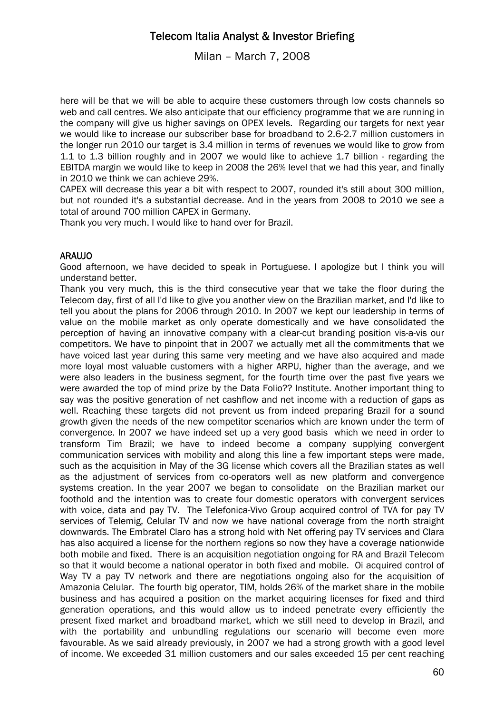Milan – March 7, 2008

here will be that we will be able to acquire these customers through low costs channels so web and call centres. We also anticipate that our efficiency programme that we are running in the company will give us higher savings on OPEX levels. Regarding our targets for next year we would like to increase our subscriber base for broadband to 2.6-2.7 million customers in the longer run 2010 our target is 3.4 million in terms of revenues we would like to grow from 1.1 to 1.3 billion roughly and in 2007 we would like to achieve 1.7 billion - regarding the EBITDA margin we would like to keep in 2008 the 26% level that we had this year, and finally in 2010 we think we can achieve 29%.

CAPEX will decrease this year a bit with respect to 2007, rounded it's still about 300 million, but not rounded it's a substantial decrease. And in the years from 2008 to 2010 we see a total of around 700 million CAPEX in Germany.

Thank you very much. I would like to hand over for Brazil.

### ARAUJO

Good afternoon, we have decided to speak in Portuguese. I apologize but I think you will understand better.

Thank you very much, this is the third consecutive year that we take the floor during the Telecom day, first of all I'd like to give you another view on the Brazilian market, and I'd like to tell you about the plans for 2006 through 2010. In 2007 we kept our leadership in terms of value on the mobile market as only operate domestically and we have consolidated the perception of having an innovative company with a clear-cut branding position vis-a-vis our competitors. We have to pinpoint that in 2007 we actually met all the commitments that we have voiced last year during this same very meeting and we have also acquired and made more loyal most valuable customers with a higher ARPU, higher than the average, and we were also leaders in the business segment, for the fourth time over the past five years we were awarded the top of mind prize by the Data Folio?? Institute. Another important thing to say was the positive generation of net cashflow and net income with a reduction of gaps as well. Reaching these targets did not prevent us from indeed preparing Brazil for a sound growth given the needs of the new competitor scenarios which are known under the term of convergence. In 2007 we have indeed set up a very good basis which we need in order to transform Tim Brazil; we have to indeed become a company supplying convergent communication services with mobility and along this line a few important steps were made, such as the acquisition in May of the 3G license which covers all the Brazilian states as well as the adjustment of services from co-operators well as new platform and convergence systems creation. In the year 2007 we began to consolidate on the Brazilian market our foothold and the intention was to create four domestic operators with convergent services with voice, data and pay TV. The Telefonica-Vivo Group acquired control of TVA for pay TV services of Telemig, Celular TV and now we have national coverage from the north straight downwards. The Embratel Claro has a strong hold with Net offering pay TV services and Clara has also acquired a license for the northern regions so now they have a coverage nationwide both mobile and fixed. There is an acquisition negotiation ongoing for RA and Brazil Telecom so that it would become a national operator in both fixed and mobile. Oi acquired control of Way TV a pay TV network and there are negotiations ongoing also for the acquisition of Amazonia Celular. The fourth big operator, TIM, holds 26% of the market share in the mobile business and has acquired a position on the market acquiring licenses for fixed and third generation operations, and this would allow us to indeed penetrate every efficiently the present fixed market and broadband market, which we still need to develop in Brazil, and with the portability and unbundling regulations our scenario will become even more favourable. As we said already previously, in 2007 we had a strong growth with a good level of income. We exceeded 31 million customers and our sales exceeded 15 per cent reaching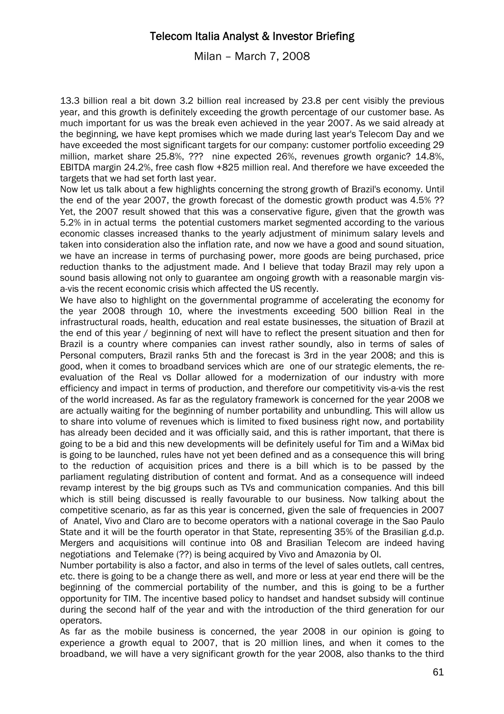Milan – March 7, 2008

13.3 billion real a bit down 3.2 billion real increased by 23.8 per cent visibly the previous year, and this growth is definitely exceeding the growth percentage of our customer base. As much important for us was the break even achieved in the year 2007. As we said already at the beginning, we have kept promises which we made during last year's Telecom Day and we have exceeded the most significant targets for our company: customer portfolio exceeding 29 million, market share 25.8%, ??? nine expected 26%, revenues growth organic? 14.8%, EBITDA margin 24.2%, free cash flow +825 million real. And therefore we have exceeded the targets that we had set forth last year.

Now let us talk about a few highlights concerning the strong growth of Brazil's economy. Until the end of the year 2007, the growth forecast of the domestic growth product was 4.5% ?? Yet, the 2007 result showed that this was a conservative figure, given that the growth was 5.2% in in actual terms the potential customers market segmented according to the various economic classes increased thanks to the yearly adjustment of minimum salary levels and taken into consideration also the inflation rate, and now we have a good and sound situation, we have an increase in terms of purchasing power, more goods are being purchased, price reduction thanks to the adjustment made. And I believe that today Brazil may rely upon a sound basis allowing not only to guarantee am ongoing growth with a reasonable margin visa-vis the recent economic crisis which affected the US recently.

We have also to highlight on the governmental programme of accelerating the economy for the year 2008 through 10, where the investments exceeding 500 billion Real in the infrastructural roads, health, education and real estate businesses, the situation of Brazil at the end of this year / beginning of next will have to reflect the present situation and then for Brazil is a country where companies can invest rather soundly, also in terms of sales of Personal computers, Brazil ranks 5th and the forecast is 3rd in the year 2008; and this is good, when it comes to broadband services which are one of our strategic elements, the reevaluation of the Real vs Dollar allowed for a modernization of our industry with more efficiency and impact in terms of production, and therefore our competitivity vis-a-vis the rest of the world increased. As far as the regulatory framework is concerned for the year 2008 we are actually waiting for the beginning of number portability and unbundling. This will allow us to share into volume of revenues which is limited to fixed business right now, and portability has already been decided and it was officially said, and this is rather important, that there is going to be a bid and this new developments will be definitely useful for Tim and a WiMax bid is going to be launched, rules have not yet been defined and as a consequence this will bring to the reduction of acquisition prices and there is a bill which is to be passed by the parliament regulating distribution of content and format. And as a consequence will indeed revamp interest by the big groups such as TVs and communication companies. And this bill which is still being discussed is really favourable to our business. Now talking about the competitive scenario, as far as this year is concerned, given the sale of frequencies in 2007 of Anatel, Vivo and Claro are to become operators with a national coverage in the Sao Paulo State and it will be the fourth operator in that State, representing 35% of the Brasilian g.d.p. Mergers and acquisitions will continue into 08 and Brasilian Telecom are indeed having negotiations and Telemake (??) is being acquired by Vivo and Amazonia by OI.

Number portability is also a factor, and also in terms of the level of sales outlets, call centres, etc. there is going to be a change there as well, and more or less at year end there will be the beginning of the commercial portability of the number, and this is going to be a further opportunity for TIM. The incentive based policy to handset and handset subsidy will continue during the second half of the year and with the introduction of the third generation for our operators.

As far as the mobile business is concerned, the year 2008 in our opinion is going to experience a growth equal to 2007, that is 20 million lines, and when it comes to the broadband, we will have a very significant growth for the year 2008, also thanks to the third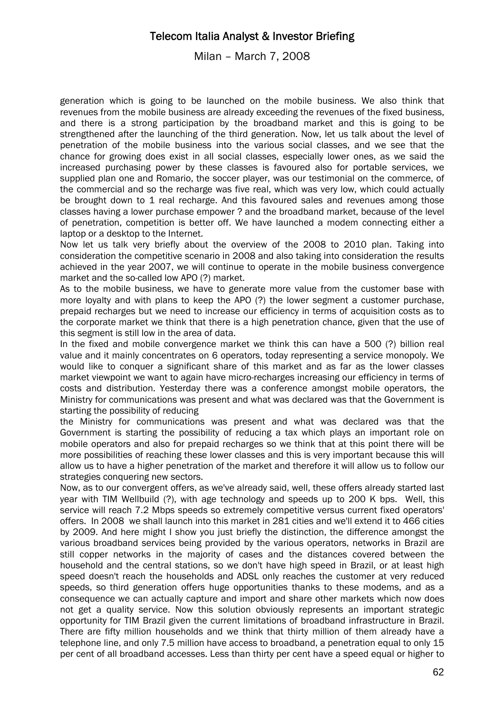Milan – March 7, 2008

generation which is going to be launched on the mobile business. We also think that revenues from the mobile business are already exceeding the revenues of the fixed business, and there is a strong participation by the broadband market and this is going to be strengthened after the launching of the third generation. Now, let us talk about the level of penetration of the mobile business into the various social classes, and we see that the chance for growing does exist in all social classes, especially lower ones, as we said the increased purchasing power by these classes is favoured also for portable services, we supplied plan one and Romario, the soccer player, was our testimonial on the commerce, of the commercial and so the recharge was five real, which was very low, which could actually be brought down to 1 real recharge. And this favoured sales and revenues among those classes having a lower purchase empower ? and the broadband market, because of the level of penetration, competition is better off. We have launched a modem connecting either a laptop or a desktop to the Internet.

Now let us talk very briefly about the overview of the 2008 to 2010 plan. Taking into consideration the competitive scenario in 2008 and also taking into consideration the results achieved in the year 2007, we will continue to operate in the mobile business convergence market and the so-called low APO (?) market.

As to the mobile business, we have to generate more value from the customer base with more loyalty and with plans to keep the APO (?) the lower segment a customer purchase, prepaid recharges but we need to increase our efficiency in terms of acquisition costs as to the corporate market we think that there is a high penetration chance, given that the use of this segment is still low in the area of data.

In the fixed and mobile convergence market we think this can have a 500 (?) billion real value and it mainly concentrates on 6 operators, today representing a service monopoly. We would like to conquer a significant share of this market and as far as the lower classes market viewpoint we want to again have micro-recharges increasing our efficiency in terms of costs and distribution. Yesterday there was a conference amongst mobile operators, the Ministry for communications was present and what was declared was that the Government is starting the possibility of reducing

the Ministry for communications was present and what was declared was that the Government is starting the possibility of reducing a tax which plays an important role on mobile operators and also for prepaid recharges so we think that at this point there will be more possibilities of reaching these lower classes and this is very important because this will allow us to have a higher penetration of the market and therefore it will allow us to follow our strategies conquering new sectors.

Now, as to our convergent offers, as we've already said, well, these offers already started last year with TIM Wellbuild (?), with age technology and speeds up to 200 K bps. Well, this service will reach 7.2 Mbps speeds so extremely competitive versus current fixed operators' offers. In 2008 we shall launch into this market in 281 cities and we'll extend it to 466 cities by 2009. And here might I show you just briefly the distinction, the difference amongst the various broadband services being provided by the various operators, networks in Brazil are still copper networks in the majority of cases and the distances covered between the household and the central stations, so we don't have high speed in Brazil, or at least high speed doesn't reach the households and ADSL only reaches the customer at very reduced speeds, so third generation offers huge opportunities thanks to these modems, and as a consequence we can actually capture and import and share other markets which now does not get a quality service. Now this solution obviously represents an important strategic opportunity for TIM Brazil given the current limitations of broadband infrastructure in Brazil. There are fifty million households and we think that thirty million of them already have a telephone line, and only 7.5 million have access to broadband, a penetration equal to only 15 per cent of all broadband accesses. Less than thirty per cent have a speed equal or higher to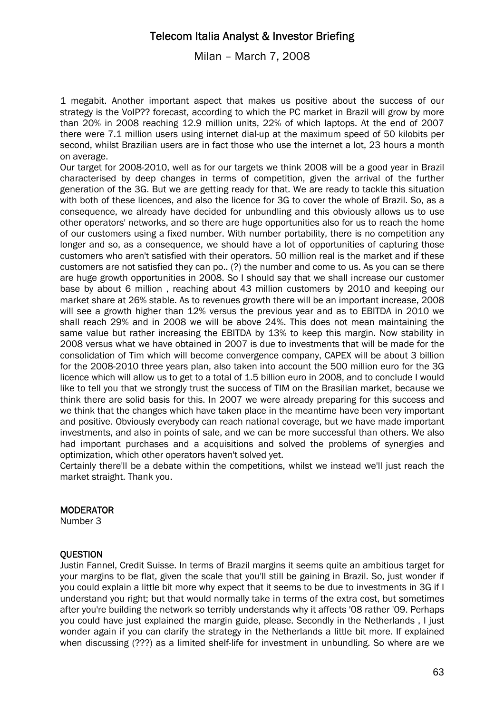Milan – March 7, 2008

1 megabit. Another important aspect that makes us positive about the success of our strategy is the VoIP?? forecast, according to which the PC market in Brazil will grow by more than 20% in 2008 reaching 12.9 million units, 22% of which laptops. At the end of 2007 there were 7.1 million users using internet dial-up at the maximum speed of 50 kilobits per second, whilst Brazilian users are in fact those who use the internet a lot, 23 hours a month on average.

Our target for 2008-2010, well as for our targets we think 2008 will be a good year in Brazil characterised by deep changes in terms of competition, given the arrival of the further generation of the 3G. But we are getting ready for that. We are ready to tackle this situation with both of these licences, and also the licence for 3G to cover the whole of Brazil. So, as a consequence, we already have decided for unbundling and this obviously allows us to use other operators' networks, and so there are huge opportunities also for us to reach the home of our customers using a fixed number. With number portability, there is no competition any longer and so, as a consequence, we should have a lot of opportunities of capturing those customers who aren't satisfied with their operators. 50 million real is the market and if these customers are not satisfied they can po.. (?) the number and come to us. As you can se there are huge growth opportunities in 2008. So I should say that we shall increase our customer base by about 6 million , reaching about 43 million customers by 2010 and keeping our market share at 26% stable. As to revenues growth there will be an important increase, 2008 will see a growth higher than 12% versus the previous year and as to EBITDA in 2010 we shall reach 29% and in 2008 we will be above 24%. This does not mean maintaining the same value but rather increasing the EBITDA by 13% to keep this margin. Now stability in 2008 versus what we have obtained in 2007 is due to investments that will be made for the consolidation of Tim which will become convergence company, CAPEX will be about 3 billion for the 2008-2010 three years plan, also taken into account the 500 million euro for the 3G licence which will allow us to get to a total of 1.5 billion euro in 2008, and to conclude I would like to tell you that we strongly trust the success of TIM on the Brasilian market, because we think there are solid basis for this. In 2007 we were already preparing for this success and we think that the changes which have taken place in the meantime have been very important and positive. Obviously everybody can reach national coverage, but we have made important investments, and also in points of sale, and we can be more successful than others. We also had important purchases and a acquisitions and solved the problems of synergies and optimization, which other operators haven't solved yet.

Certainly there'll be a debate within the competitions, whilst we instead we'll just reach the market straight. Thank you.

### **MODERATOR**

Number 3

### **OUESTION**

Justin Fannel, Credit Suisse. In terms of Brazil margins it seems quite an ambitious target for your margins to be flat, given the scale that you'll still be gaining in Brazil. So, just wonder if you could explain a little bit more why expect that it seems to be due to investments in 3G if I understand you right; but that would normally take in terms of the extra cost, but sometimes after you're building the network so terribly understands why it affects '08 rather '09. Perhaps you could have just explained the margin guide, please. Secondly in the Netherlands , I just wonder again if you can clarify the strategy in the Netherlands a little bit more. If explained when discussing (???) as a limited shelf-life for investment in unbundling. So where are we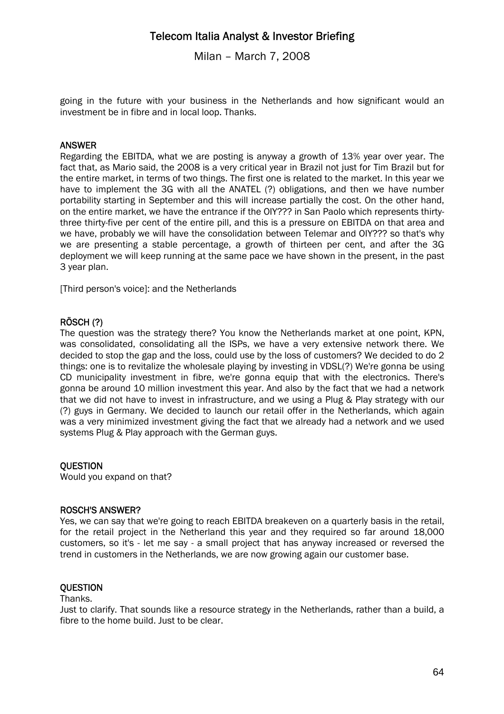Milan – March 7, 2008

going in the future with your business in the Netherlands and how significant would an investment be in fibre and in local loop. Thanks.

### ANSWER

Regarding the EBITDA, what we are posting is anyway a growth of 13% year over year. The fact that, as Mario said, the 2008 is a very critical year in Brazil not just for Tim Brazil but for the entire market, in terms of two things. The first one is related to the market. In this year we have to implement the 3G with all the ANATEL (?) obligations, and then we have number portability starting in September and this will increase partially the cost. On the other hand, on the entire market, we have the entrance if the OIY??? in San Paolo which represents thirtythree thirty-five per cent of the entire pill, and this is a pressure on EBITDA on that area and we have, probably we will have the consolidation between Telemar and OIY??? so that's why we are presenting a stable percentage, a growth of thirteen per cent, and after the 3G deployment we will keep running at the same pace we have shown in the present, in the past 3 year plan.

[Third person's voice]: and the Netherlands

### RÖSCH (?)

The question was the strategy there? You know the Netherlands market at one point, KPN, was consolidated, consolidating all the ISPs, we have a very extensive network there. We decided to stop the gap and the loss, could use by the loss of customers? We decided to do 2 things: one is to revitalize the wholesale playing by investing in VDSL(?) We're gonna be using CD municipality investment in fibre, we're gonna equip that with the electronics. There's gonna be around 10 million investment this year. And also by the fact that we had a network that we did not have to invest in infrastructure, and we using a Plug & Play strategy with our (?) guys in Germany. We decided to launch our retail offer in the Netherlands, which again was a very minimized investment giving the fact that we already had a network and we used systems Plug & Play approach with the German guys.

### **OUESTION**

Would you expand on that?

#### ROSCH'S ANSWER?

Yes, we can say that we're going to reach EBITDA breakeven on a quarterly basis in the retail, for the retail project in the Netherland this year and they required so far around 18,000 customers, so it's - let me say - a small project that has anyway increased or reversed the trend in customers in the Netherlands, we are now growing again our customer base.

### **QUESTION**

#### Thanks.

Just to clarify. That sounds like a resource strategy in the Netherlands, rather than a build, a fibre to the home build. Just to be clear.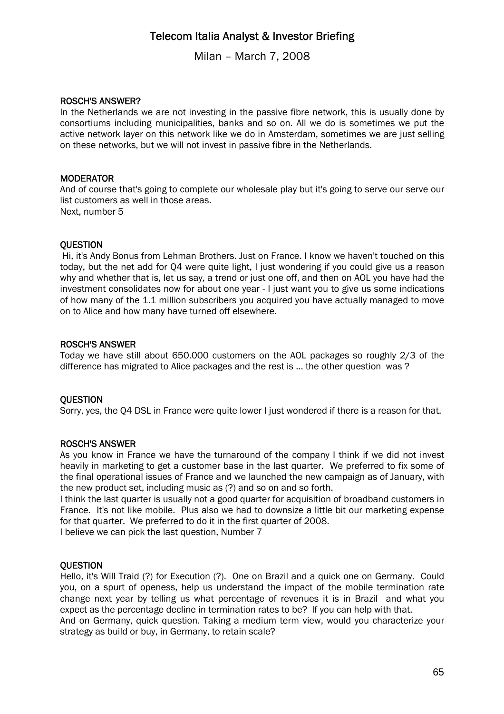Milan – March 7, 2008

### ROSCH'S ANSWER?

In the Netherlands we are not investing in the passive fibre network, this is usually done by consortiums including municipalities, banks and so on. All we do is sometimes we put the active network layer on this network like we do in Amsterdam, sometimes we are just selling on these networks, but we will not invest in passive fibre in the Netherlands.

### **MODERATOR**

And of course that's going to complete our wholesale play but it's going to serve our serve our list customers as well in those areas. Next, number 5

### **OUESTION**

 Hi, it's Andy Bonus from Lehman Brothers. Just on France. I know we haven't touched on this today, but the net add for Q4 were quite light, I just wondering if you could give us a reason why and whether that is, let us say, a trend or just one off, and then on AOL you have had the investment consolidates now for about one year - I just want you to give us some indications of how many of the 1.1 million subscribers you acquired you have actually managed to move on to Alice and how many have turned off elsewhere.

#### ROSCH'S ANSWER

Today we have still about 650.000 customers on the AOL packages so roughly 2/3 of the difference has migrated to Alice packages and the rest is ... the other question was ?

#### **OUESTION**

Sorry, yes, the Q4 DSL in France were quite lower I just wondered if there is a reason for that.

### ROSCH'S ANSWER

As you know in France we have the turnaround of the company I think if we did not invest heavily in marketing to get a customer base in the last quarter. We preferred to fix some of the final operational issues of France and we launched the new campaign as of January, with the new product set, including music as (?) and so on and so forth.

I think the last quarter is usually not a good quarter for acquisition of broadband customers in France. It's not like mobile. Plus also we had to downsize a little bit our marketing expense for that quarter. We preferred to do it in the first quarter of 2008.

I believe we can pick the last question, Number 7

#### **OUESTION**

Hello, it's Will Traid (?) for Execution (?). One on Brazil and a quick one on Germany. Could you, on a spurt of openess, help us understand the impact of the mobile termination rate change next year by telling us what percentage of revenues it is in Brazil and what you expect as the percentage decline in termination rates to be? If you can help with that.

And on Germany, quick question. Taking a medium term view, would you characterize your strategy as build or buy, in Germany, to retain scale?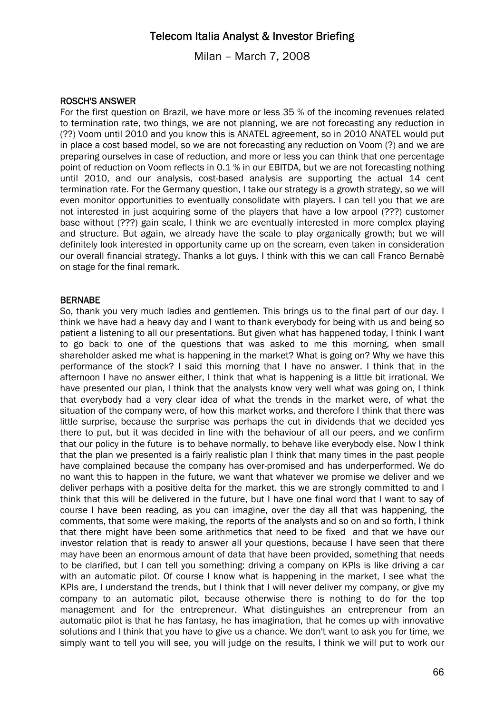Milan – March 7, 2008

### ROSCH'S ANSWER

For the first question on Brazil, we have more or less 35 % of the incoming revenues related to termination rate, two things, we are not planning, we are not forecasting any reduction in (??) Voom until 2010 and you know this is ANATEL agreement, so in 2010 ANATEL would put in place a cost based model, so we are not forecasting any reduction on Voom (?) and we are preparing ourselves in case of reduction, and more or less you can think that one percentage point of reduction on Voom reflects in 0.1 % in our EBITDA, but we are not forecasting nothing until 2010, and our analysis, cost-based analysis are supporting the actual 14 cent termination rate. For the Germany question, I take our strategy is a growth strategy, so we will even monitor opportunities to eventually consolidate with players. I can tell you that we are not interested in just acquiring some of the players that have a low arpool (???) customer base without (???) gain scale, I think we are eventually interested in more complex playing and structure. But again, we already have the scale to play organically growth; but we will definitely look interested in opportunity came up on the scream, even taken in consideration our overall financial strategy. Thanks a lot guys. I think with this we can call Franco Bernabè on stage for the final remark.

### **BERNABE**

So, thank you very much ladies and gentlemen. This brings us to the final part of our day. I think we have had a heavy day and I want to thank everybody for being with us and being so patient a listening to all our presentations. But given what has happened today, I think I want to go back to one of the questions that was asked to me this morning, when small shareholder asked me what is happening in the market? What is going on? Why we have this performance of the stock? I said this morning that I have no answer. I think that in the afternoon I have no answer either, I think that what is happening is a little bit irrational. We have presented our plan, I think that the analysts know very well what was going on, I think that everybody had a very clear idea of what the trends in the market were, of what the situation of the company were, of how this market works, and therefore I think that there was little surprise, because the surprise was perhaps the cut in dividends that we decided yes there to put, but it was decided in line with the behaviour of all our peers, and we confirm that our policy in the future is to behave normally, to behave like everybody else. Now I think that the plan we presented is a fairly realistic plan I think that many times in the past people have complained because the company has over-promised and has underperformed. We do no want this to happen in the future, we want that whatever we promise we deliver and we deliver perhaps with a positive delta for the market. this we are strongly committed to and I think that this will be delivered in the future, but I have one final word that I want to say of course I have been reading, as you can imagine, over the day all that was happening, the comments, that some were making, the reports of the analysts and so on and so forth, I think that there might have been some arithmetics that need to be fixed and that we have our investor relation that is ready to answer all your questions, because I have seen that there may have been an enormous amount of data that have been provided, something that needs to be clarified, but I can tell you something: driving a company on KPIs is like driving a car with an automatic pilot. Of course I know what is happening in the market, I see what the KPIs are, I understand the trends, but I think that I will never deliver my company, or give my company to an automatic pilot, because otherwise there is nothing to do for the top management and for the entrepreneur. What distinguishes an entrepreneur from an automatic pilot is that he has fantasy, he has imagination, that he comes up with innovative solutions and I think that you have to give us a chance. We don't want to ask you for time, we simply want to tell you will see, you will judge on the results, I think we will put to work our